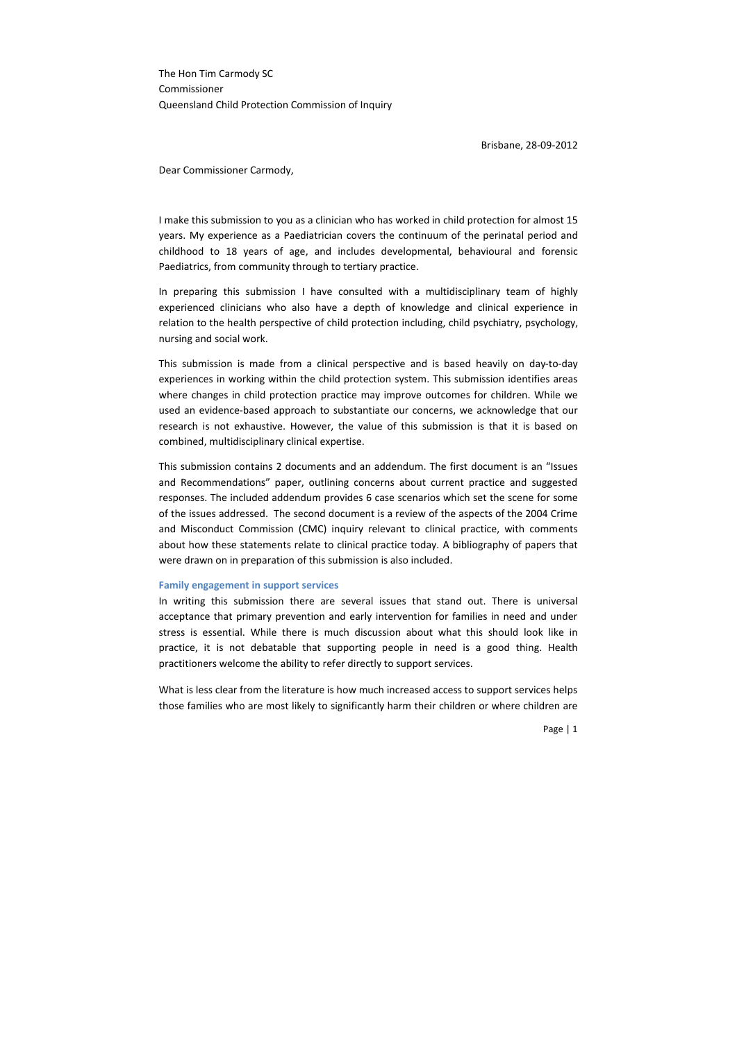The Hon Tim Carmody SC Commissioner Queensland Child Protection Commission of Inquiry

Brisbane, 28-09-2012

Dear Commissioner Carmody,

I make this submission to you as a clinician who has worked in child protection for almost 15 years. My experience as a Paediatrician covers the continuum of the perinatal period and childhood to 18 years of age, and includes developmental, behavioural and forensic Paediatrics, from community through to tertiary practice.

In preparing this submission I have consulted with a multidisciplinary team of highly experienced clinicians who also have a depth of knowledge and clinical experience in relation to the health perspective of child protection including, child psychiatry, psychology, nursing and social work.

This submission is made from a clinical perspective and is based heavily on day-to-day experiences in working within the child protection system. This submission identifies areas where changes in child protection practice may improve outcomes for children. While we used an evidence-based approach to substantiate our concerns, we acknowledge that our research is not exhaustive. However, the value of this submission is that it is based on combined, multidisciplinary clinical expertise.

This submission contains 2 documents and an addendum. The first document is an "Issues and Recommendations" paper, outlining concerns about current practice and suggested responses. The included addendum provides 6 case scenarios which set the scene for some of the issues addressed. The second document is a review of the aspects of the 2004 Crime and Misconduct Commission (CMC) inquiry relevant to clinical practice, with comments about how these statements relate to clinical practice today. A bibliography of papers that were drawn on in preparation of this submission is also included.

#### **Family engagement in support services**

In writing this submission there are several issues that stand out. There is universal acceptance that primary prevention and early intervention for families in need and under stress is essential. While there is much discussion about what this should look like in practice, it is not debatable that supporting people in need is a good thing. Health practitioners welcome the ability to refer directly to support services.

What is less clear from the literature is how much increased access to support services helps those families who are most likely to significantly harm their children or where children are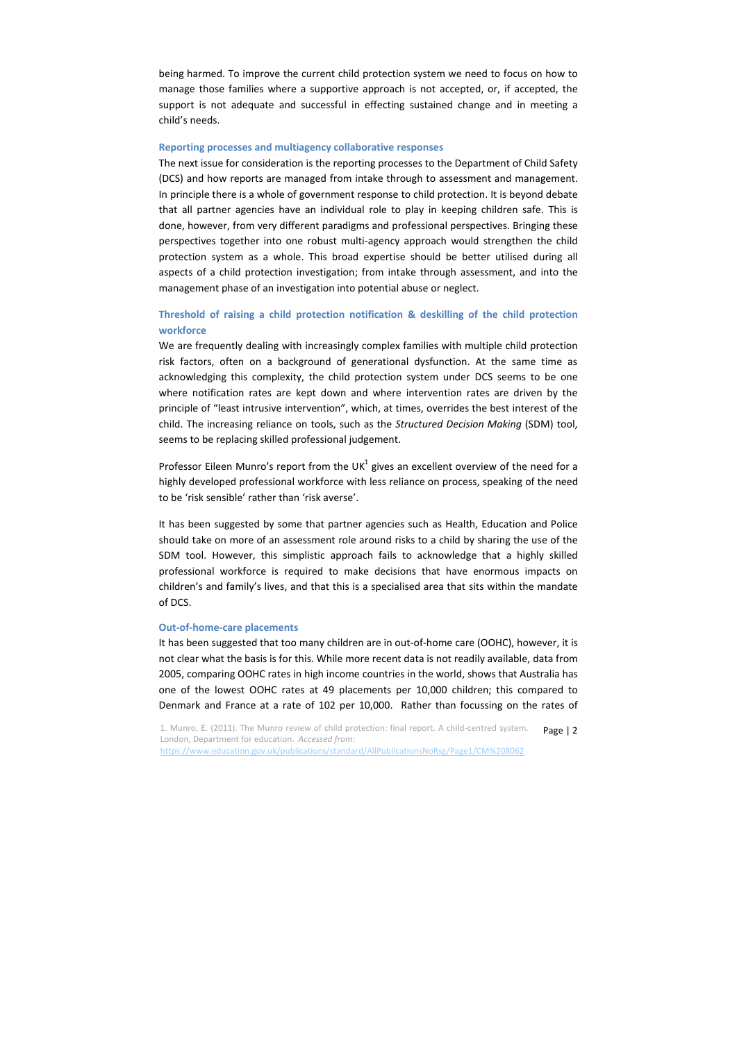being harmed. To improve the current child protection system we need to focus on how to manage those families where a supportive approach is not accepted, or, if accepted, the support is not adequate and successful in effecting sustained change and in meeting a child's needs.

#### **Reporting processes and multiagency collaborative responses**

The next issue for consideration is the reporting processes to the Department of Child Safety (DCS) and how reports are managed from intake through to assessment and management. In principle there is a whole of government response to child protection. It is beyond debate that all partner agencies have an individual role to play in keeping children safe. This is done, however, from very different paradigms and professional perspectives. Bringing these perspectives together into one robust multi-agency approach would strengthen the child protection system as a whole. This broad expertise should be better utilised during all aspects of a child protection investigation; from intake through assessment, and into the management phase of an investigation into potential abuse or neglect.

# **Threshold of raising a child protection notification & deskilling of the child protection workforce**

We are frequently dealing with increasingly complex families with multiple child protection risk factors, often on a background of generational dysfunction. At the same time as acknowledging this complexity, the child protection system under DCS seems to be one where notification rates are kept down and where intervention rates are driven by the principle of "least intrusive intervention", which, at times, overrides the best interest of the child. The increasing reliance on tools, such as the *Structured Decision Making* (SDM) tool, seems to be replacing skilled professional judgement.

Professor Eileen Munro's report from the UK $<sup>1</sup>$  gives an excellent overview of the need for a</sup> highly developed professional workforce with less reliance on process, speaking of the need to be 'risk sensible' rather than 'risk averse'.

It has been suggested by some that partner agencies such as Health, Education and Police should take on more of an assessment role around risks to a child by sharing the use of the SDM tool. However, this simplistic approach fails to acknowledge that a highly skilled professional workforce is required to make decisions that have enormous impacts on children's and family's lives, and that this is a specialised area that sits within the mandate of DCS.

# **Out-of-home-care placements**

It has been suggested that too many children are in out-of-home care (OOHC), however, it is not clear what the basis is for this. While more recent data is not readily available, data from 2005, comparing OOHC rates in high income countries in the world, shows that Australia has one of the lowest OOHC rates at 49 placements per 10,000 children; this compared to Denmark and France at a rate of 102 per 10,000. Rather than focussing on the rates of

1. Munro, E. (2011). The Munro review of child protection: final report. A child-centred system. Page | 2 London, Department for education. *Accessed from:*  <https://www.education.gov.uk/publications/standard/AllPublicationsNoRsg/Page1/CM%208062>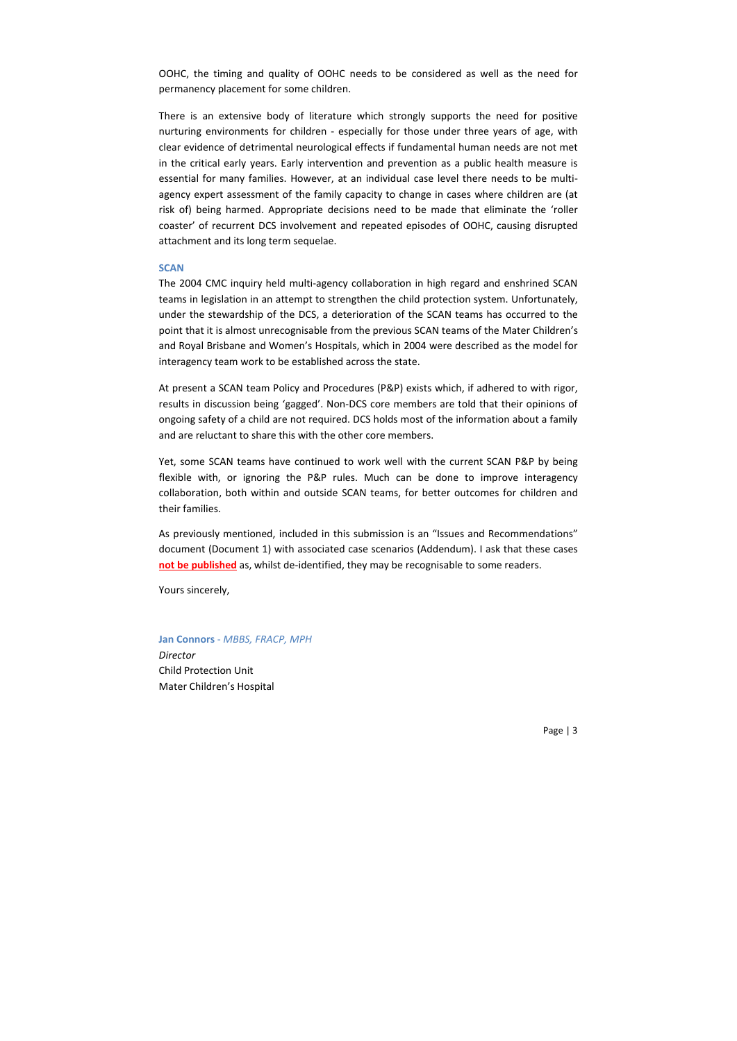OOHC, the timing and quality of OOHC needs to be considered as well as the need for permanency placement for some children.

There is an extensive body of literature which strongly supports the need for positive nurturing environments for children - especially for those under three years of age, with clear evidence of detrimental neurological effects if fundamental human needs are not met in the critical early years. Early intervention and prevention as a public health measure is essential for many families. However, at an individual case level there needs to be multiagency expert assessment of the family capacity to change in cases where children are (at risk of) being harmed. Appropriate decisions need to be made that eliminate the 'roller coaster' of recurrent DCS involvement and repeated episodes of OOHC, causing disrupted attachment and its long term sequelae.

## **SCAN**

The 2004 CMC inquiry held multi-agency collaboration in high regard and enshrined SCAN teams in legislation in an attempt to strengthen the child protection system. Unfortunately, under the stewardship of the DCS, a deterioration of the SCAN teams has occurred to the point that it is almost unrecognisable from the previous SCAN teams of the Mater Children's and Royal Brisbane and Women's Hospitals, which in 2004 were described as the model for interagency team work to be established across the state.

At present a SCAN team Policy and Procedures (P&P) exists which, if adhered to with rigor, results in discussion being 'gagged'. Non-DCS core members are told that their opinions of ongoing safety of a child are not required. DCS holds most of the information about a family and are reluctant to share this with the other core members.

Yet, some SCAN teams have continued to work well with the current SCAN P&P by being flexible with, or ignoring the P&P rules. Much can be done to improve interagency collaboration, both within and outside SCAN teams, for better outcomes for children and their families.

As previously mentioned, included in this submission is an "Issues and Recommendations" document (Document 1) with associated case scenarios (Addendum). I ask that these cases **not be published** as, whilst de-identified, they may be recognisable to some readers.

Yours sincerely,

**Jan Connors** - *MBBS, FRACP, MPH*

*Director* Child Protection Unit Mater Children's Hospital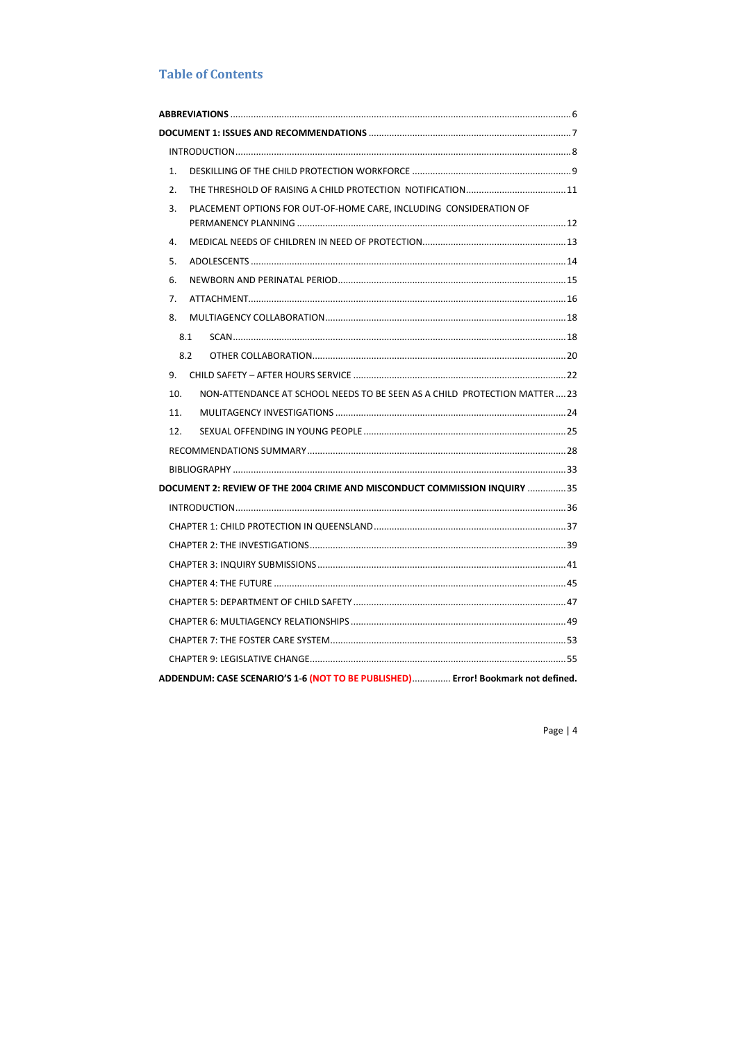# **Table of Contents**

| NON-ATTENDANCE AT SCHOOL NEEDS TO BE SEEN AS A CHILD PROTECTION MATTER23          |
|-----------------------------------------------------------------------------------|
|                                                                                   |
|                                                                                   |
|                                                                                   |
|                                                                                   |
| DOCUMENT 2: REVIEW OF THE 2004 CRIME AND MISCONDUCT COMMISSION INQUIRY 35         |
|                                                                                   |
|                                                                                   |
|                                                                                   |
|                                                                                   |
|                                                                                   |
|                                                                                   |
|                                                                                   |
|                                                                                   |
|                                                                                   |
| ADDENDUM: CASE SCENARIO'S 1-6 (NOT TO BE PUBLISHED)  Error! Bookmark not defined. |
|                                                                                   |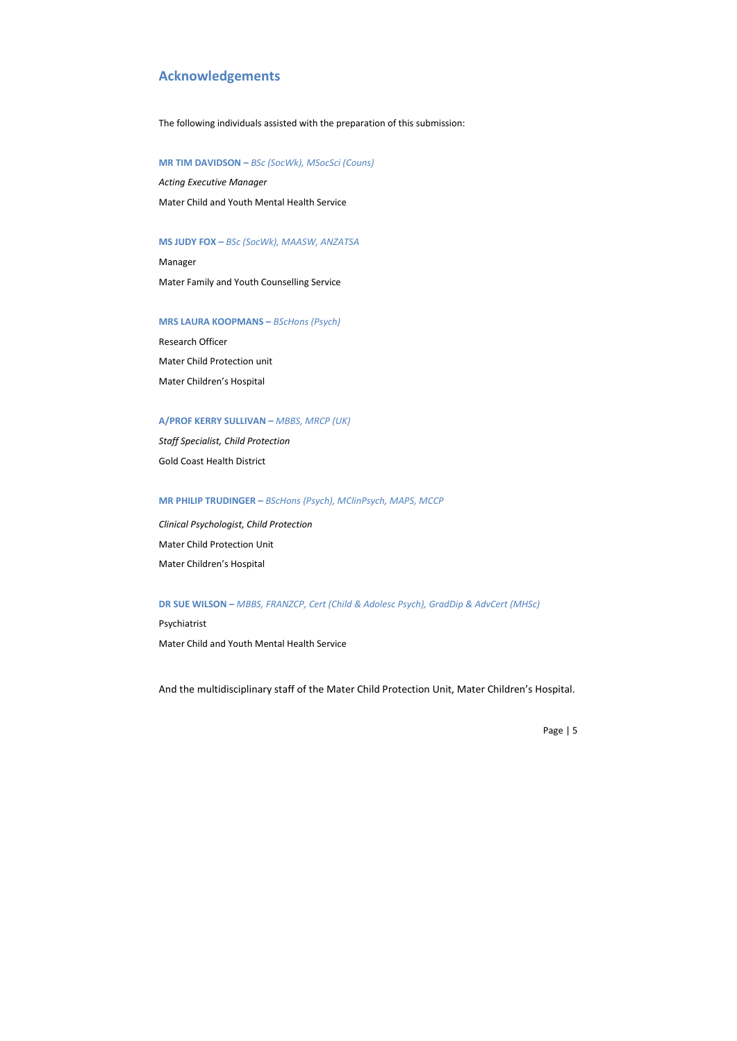# **Acknowledgements**

The following individuals assisted with the preparation of this submission:

#### **MR TIM DAVIDSON –** *BSc (SocWk), MSocSci (Couns)*

*Acting Executive Manager* Mater Child and Youth Mental Health Service

#### **MS JUDY FOX –** *BSc (SocWk), MAASW, ANZATSA*

Manager Mater Family and Youth Counselling Service

#### **MRS LAURA KOOPMANS –** *BScHons (Psych)*

Research Officer Mater Child Protection unit Mater Children's Hospital

## **A/PROF KERRY SULLIVAN –** *MBBS, MRCP (UK)*

*Staff Specialist, Child Protection* Gold Coast Health District

## **MR PHILIP TRUDINGER –** *BScHons (Psych), MClinPsych, MAPS, MCCP*

*Clinical Psychologist, Child Protection* Mater Child Protection Unit Mater Children's Hospital

#### **DR SUE WILSON –** *MBBS, FRANZCP, Cert (Child & Adolesc Psych), GradDip & AdvCert (MHSc)*

Psychiatrist Mater Child and Youth Mental Health Service

And the multidisciplinary staff of the Mater Child Protection Unit, Mater Children's Hospital.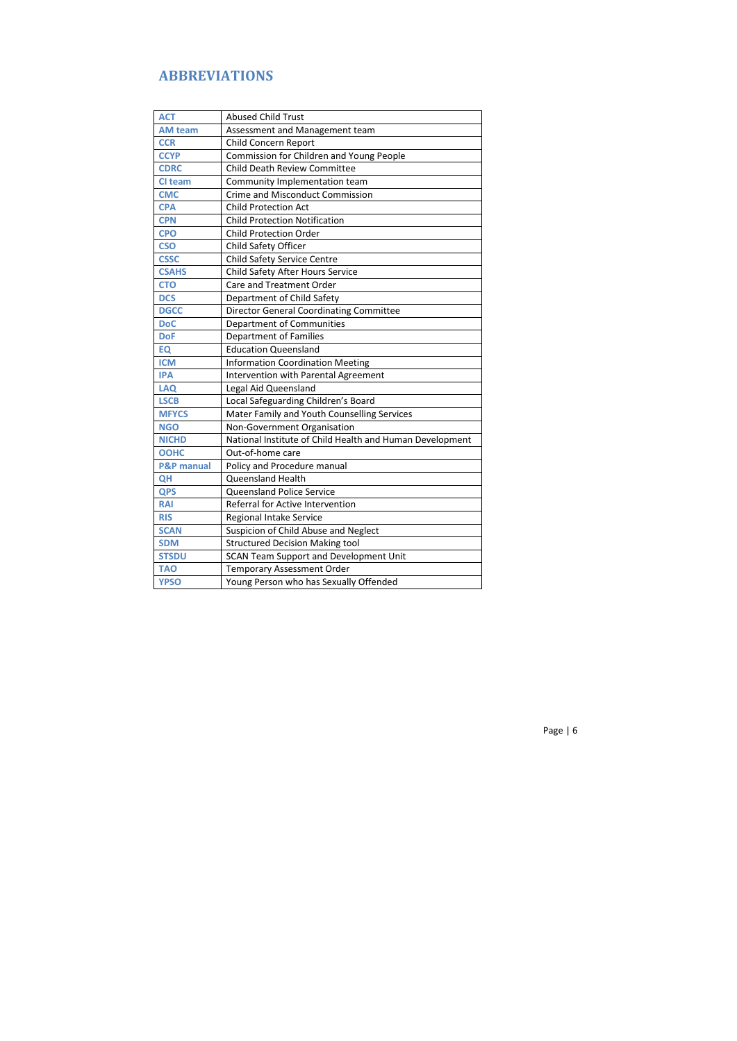# **ABBREVIATIONS**

| <b>ACT</b>            | <b>Abused Child Trust</b>                                |
|-----------------------|----------------------------------------------------------|
| <b>AM team</b>        | Assessment and Management team                           |
| <b>CCR</b>            | Child Concern Report                                     |
| <b>CCYP</b>           | Commission for Children and Young People                 |
| <b>CDRC</b>           | <b>Child Death Review Committee</b>                      |
| CI team               | Community Implementation team                            |
| <b>CMC</b>            | Crime and Misconduct Commission                          |
| <b>CPA</b>            | <b>Child Protection Act</b>                              |
| <b>CPN</b>            | <b>Child Protection Notification</b>                     |
| <b>CPO</b>            | <b>Child Protection Order</b>                            |
| <b>CSO</b>            | Child Safety Officer                                     |
| <b>CSSC</b>           | Child Safety Service Centre                              |
| <b>CSAHS</b>          | Child Safety After Hours Service                         |
| <b>CTO</b>            | Care and Treatment Order                                 |
| <b>DCS</b>            | Department of Child Safety                               |
| <b>DGCC</b>           | <b>Director General Coordinating Committee</b>           |
| <b>DoC</b>            | Department of Communities                                |
| <b>DoF</b>            | <b>Department of Families</b>                            |
| EQ                    | <b>Education Queensland</b>                              |
| <b>ICM</b>            | <b>Information Coordination Meeting</b>                  |
| <b>IPA</b>            | Intervention with Parental Agreement                     |
| <b>LAQ</b>            | Legal Aid Queensland                                     |
| <b>LSCB</b>           | Local Safeguarding Children's Board                      |
| <b>MFYCS</b>          | Mater Family and Youth Counselling Services              |
| <b>NGO</b>            | Non-Government Organisation                              |
| <b>NICHD</b>          | National Institute of Child Health and Human Development |
| <b>OOHC</b>           | Out-of-home care                                         |
| <b>P&amp;P manual</b> | Policy and Procedure manual                              |
| QH                    | <b>Queensland Health</b>                                 |
| <b>QPS</b>            | Queensland Police Service                                |
| <b>RAI</b>            | Referral for Active Intervention                         |
| <b>RIS</b>            | Regional Intake Service                                  |
| <b>SCAN</b>           | Suspicion of Child Abuse and Neglect                     |
| <b>SDM</b>            | <b>Structured Decision Making tool</b>                   |
| <b>STSDU</b>          | SCAN Team Support and Development Unit                   |
| TAO                   | <b>Temporary Assessment Order</b>                        |
| <b>YPSO</b>           | Young Person who has Sexually Offended                   |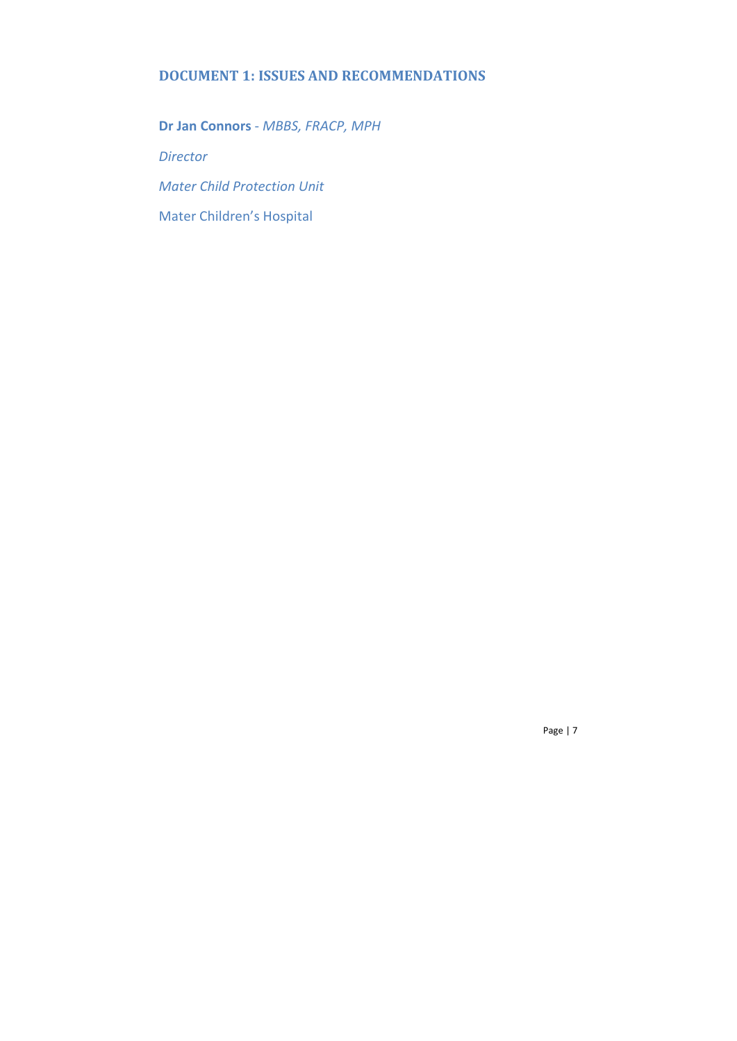# **DOCUMENT 1: ISSUES AND RECOMMENDATIONS**

**Dr Jan Connors** - *MBBS, FRACP, MPH Director Mater Child Protection Unit* Mater Children's Hospital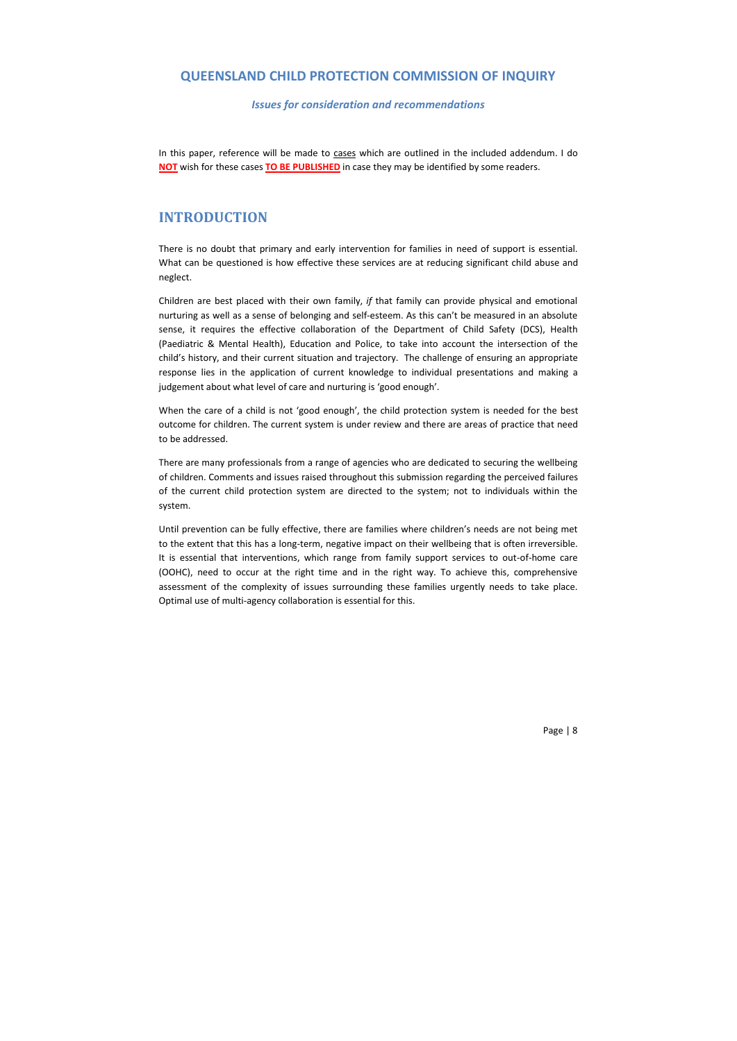# **QUEENSLAND CHILD PROTECTION COMMISSION OF INQUIRY**

*Issues for consideration and recommendations*

In this paper, reference will be made to cases which are outlined in the included addendum. I do **NOT** wish for these cases **TO BE PUBLISHED** in case they may be identified by some readers.

# **INTRODUCTION**

There is no doubt that primary and early intervention for families in need of support is essential. What can be questioned is how effective these services are at reducing significant child abuse and neglect.

Children are best placed with their own family, *if* that family can provide physical and emotional nurturing as well as a sense of belonging and self-esteem. As this can't be measured in an absolute sense, it requires the effective collaboration of the Department of Child Safety (DCS), Health (Paediatric & Mental Health), Education and Police, to take into account the intersection of the child's history, and their current situation and trajectory. The challenge of ensuring an appropriate response lies in the application of current knowledge to individual presentations and making a judgement about what level of care and nurturing is 'good enough'.

When the care of a child is not 'good enough', the child protection system is needed for the best outcome for children. The current system is under review and there are areas of practice that need to be addressed.

There are many professionals from a range of agencies who are dedicated to securing the wellbeing of children. Comments and issues raised throughout this submission regarding the perceived failures of the current child protection system are directed to the system; not to individuals within the system.

Until prevention can be fully effective, there are families where children's needs are not being met to the extent that this has a long-term, negative impact on their wellbeing that is often irreversible. It is essential that interventions, which range from family support services to out-of-home care (OOHC), need to occur at the right time and in the right way. To achieve this, comprehensive assessment of the complexity of issues surrounding these families urgently needs to take place. Optimal use of multi-agency collaboration is essential for this.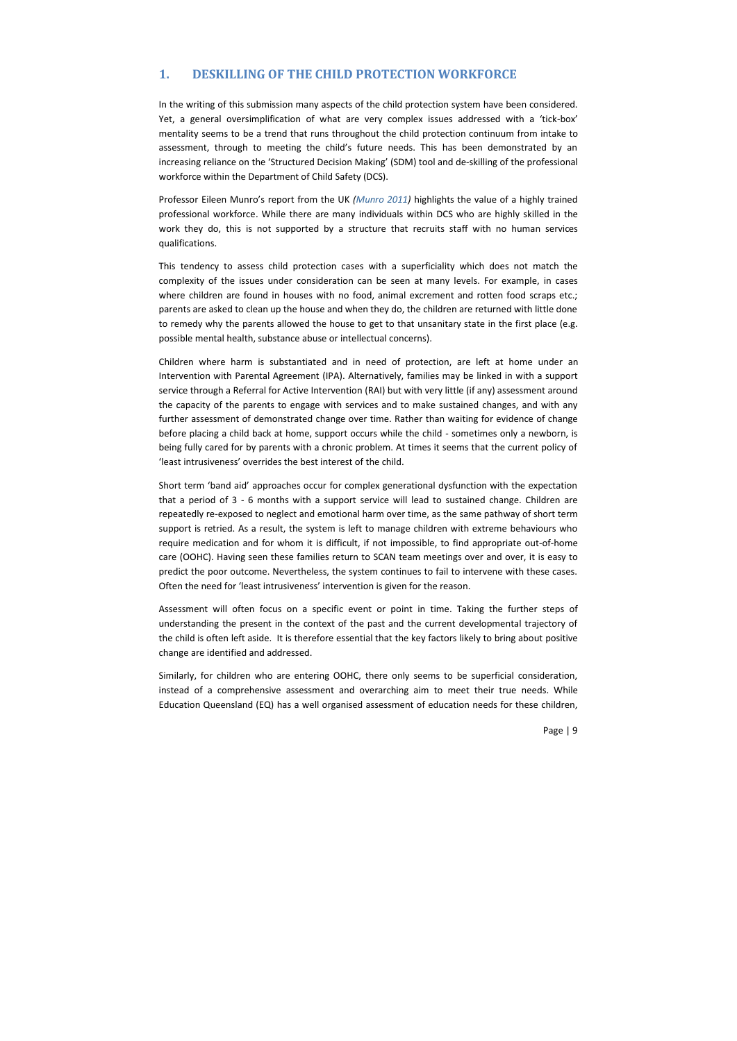# **1. DESKILLING OF THE CHILD PROTECTION WORKFORCE**

In the writing of this submission many aspects of the child protection system have been considered. Yet, a general oversimplification of what are very complex issues addressed with a 'tick-box' mentality seems to be a trend that runs throughout the child protection continuum from intake to assessment, through to meeting the child's future needs. This has been demonstrated by an increasing reliance on the 'Structured Decision Making' (SDM) tool and de-skilling of the professional workforce within the Department of Child Safety (DCS).

Professor Eileen Munro's report from the UK *(Munro 2011)* highlights the value of a highly trained professional workforce. While there are many individuals within DCS who are highly skilled in the work they do, this is not supported by a structure that recruits staff with no human services qualifications.

This tendency to assess child protection cases with a superficiality which does not match the complexity of the issues under consideration can be seen at many levels. For example, in cases where children are found in houses with no food, animal excrement and rotten food scraps etc.; parents are asked to clean up the house and when they do, the children are returned with little done to remedy why the parents allowed the house to get to that unsanitary state in the first place (e.g. possible mental health, substance abuse or intellectual concerns).

Children where harm is substantiated and in need of protection, are left at home under an Intervention with Parental Agreement (IPA). Alternatively, families may be linked in with a support service through a Referral for Active Intervention (RAI) but with very little (if any) assessment around the capacity of the parents to engage with services and to make sustained changes, and with any further assessment of demonstrated change over time. Rather than waiting for evidence of change before placing a child back at home, support occurs while the child - sometimes only a newborn, is being fully cared for by parents with a chronic problem. At times it seems that the current policy of 'least intrusiveness' overrides the best interest of the child.

Short term 'band aid' approaches occur for complex generational dysfunction with the expectation that a period of 3 - 6 months with a support service will lead to sustained change. Children are repeatedly re-exposed to neglect and emotional harm over time, as the same pathway of short term support is retried. As a result, the system is left to manage children with extreme behaviours who require medication and for whom it is difficult, if not impossible, to find appropriate out-of-home care (OOHC). Having seen these families return to SCAN team meetings over and over, it is easy to predict the poor outcome. Nevertheless, the system continues to fail to intervene with these cases. Often the need for 'least intrusiveness' intervention is given for the reason.

Assessment will often focus on a specific event or point in time. Taking the further steps of understanding the present in the context of the past and the current developmental trajectory of the child is often left aside. It is therefore essential that the key factors likely to bring about positive change are identified and addressed.

Similarly, for children who are entering OOHC, there only seems to be superficial consideration, instead of a comprehensive assessment and overarching aim to meet their true needs. While Education Queensland (EQ) has a well organised assessment of education needs for these children,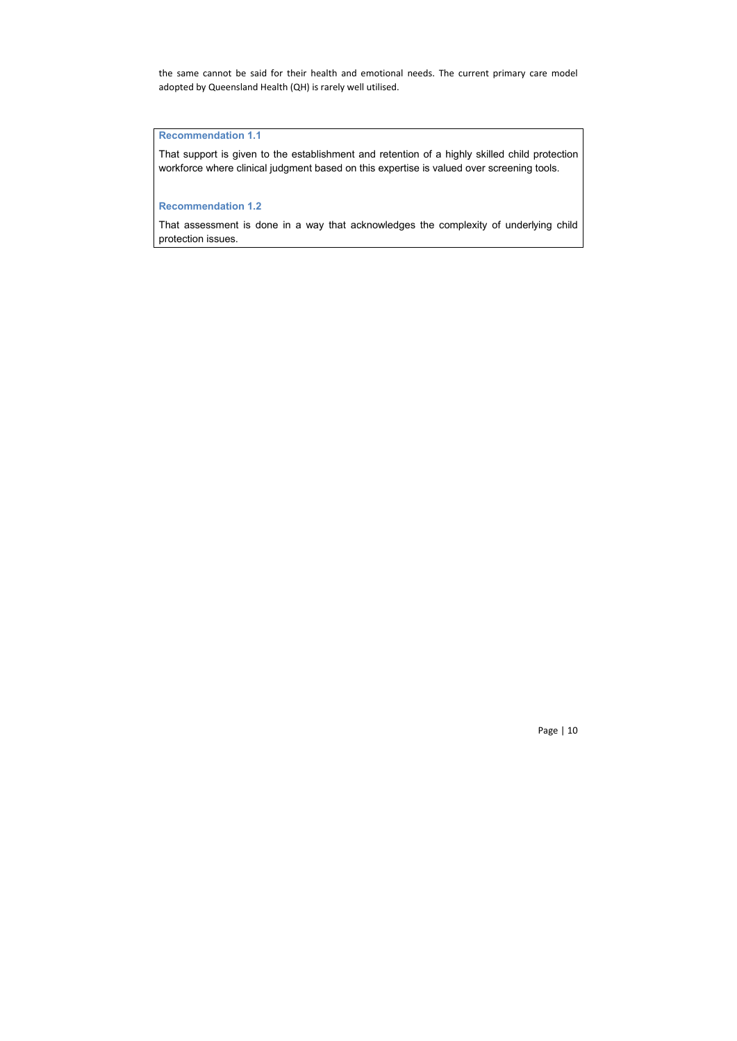the same cannot be said for their health and emotional needs. The current primary care model adopted by Queensland Health (QH) is rarely well utilised.

# **Recommendation 1.1**

That support is given to the establishment and retention of a highly skilled child protection workforce where clinical judgment based on this expertise is valued over screening tools.

## **Recommendation 1.2**

That assessment is done in a way that acknowledges the complexity of underlying child protection issues.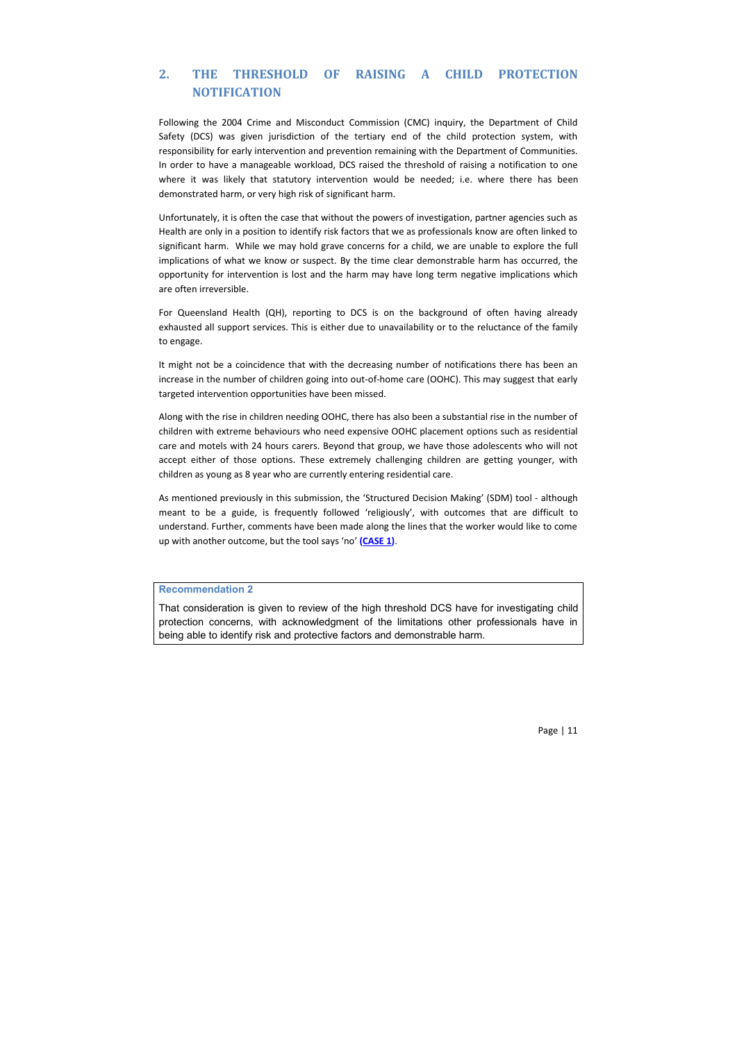# **2. THE THRESHOLD OF RAISING A CHILD PROTECTION NOTIFICATION**

Following the 2004 Crime and Misconduct Commission (CMC) inquiry, the Department of Child Safety (DCS) was given jurisdiction of the tertiary end of the child protection system, with responsibility for early intervention and prevention remaining with the Department of Communities. In order to have a manageable workload, DCS raised the threshold of raising a notification to one where it was likely that statutory intervention would be needed; i.e. where there has been demonstrated harm, or very high risk of significant harm.

Unfortunately, it is often the case that without the powers of investigation, partner agencies such as Health are only in a position to identify risk factors that we as professionals know are often linked to significant harm. While we may hold grave concerns for a child, we are unable to explore the full implications of what we know or suspect. By the time clear demonstrable harm has occurred, the opportunity for intervention is lost and the harm may have long term negative implications which are often irreversible.

For Queensland Health (QH), reporting to DCS is on the background of often having already exhausted all support services. This is either due to unavailability or to the reluctance of the family to engage.

It might not be a coincidence that with the decreasing number of notifications there has been an increase in the number of children going into out-of-home care (OOHC). This may suggest that early targeted intervention opportunities have been missed.

Along with the rise in children needing OOHC, there has also been a substantial rise in the number of children with extreme behaviours who need expensive OOHC placement options such as residential care and motels with 24 hours carers. Beyond that group, we have those adolescents who will not accept either of those options. These extremely challenging children are getting younger, with children as young as 8 year who are currently entering residential care.

As mentioned previously in this submission, the 'Structured Decision Making' (SDM) tool - although meant to be a guide, is frequently followed 'religiously', with outcomes that are difficult to understand. Further, comments have been made along the lines that the worker would like to come up with another outcome, but the tool says 'no' **(CASE 1)**.

#### **Recommendation 2**

That consideration is given to review of the high threshold DCS have for investigating child protection concerns, with acknowledgment of the limitations other professionals have in being able to identify risk and protective factors and demonstrable harm.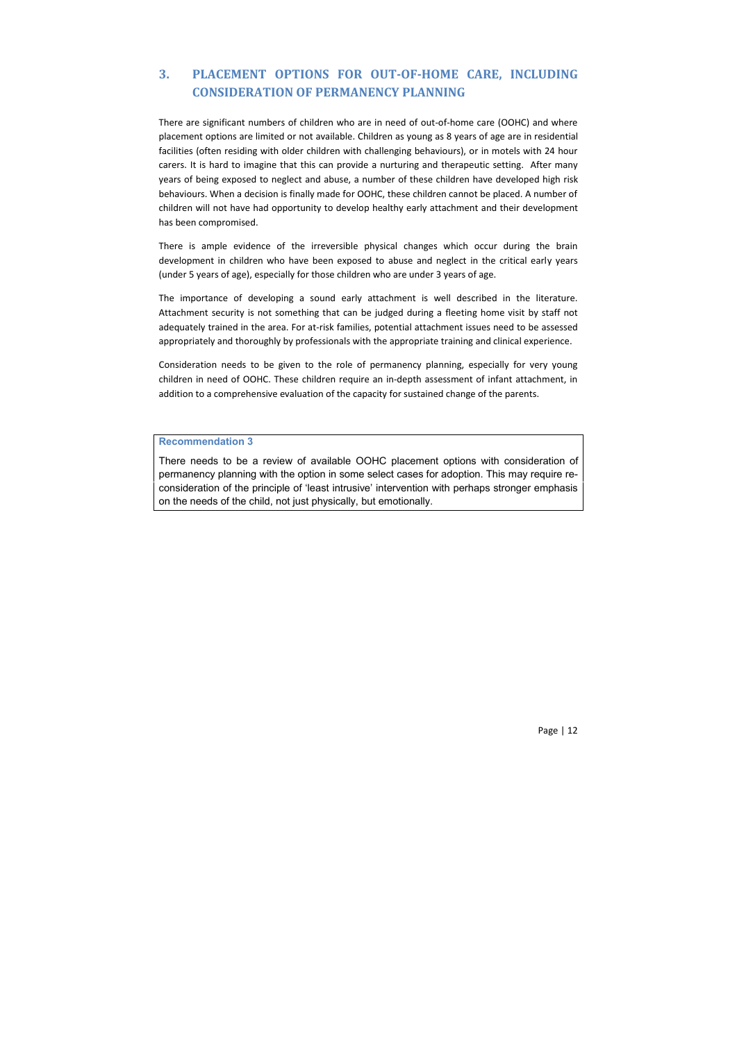# **3. PLACEMENT OPTIONS FOR OUT-OF-HOME CARE, INCLUDING CONSIDERATION OF PERMANENCY PLANNING**

There are significant numbers of children who are in need of out-of-home care (OOHC) and where placement options are limited or not available. Children as young as 8 years of age are in residential facilities (often residing with older children with challenging behaviours), or in motels with 24 hour carers. It is hard to imagine that this can provide a nurturing and therapeutic setting. After many years of being exposed to neglect and abuse, a number of these children have developed high risk behaviours. When a decision is finally made for OOHC, these children cannot be placed. A number of children will not have had opportunity to develop healthy early attachment and their development has been compromised.

There is ample evidence of the irreversible physical changes which occur during the brain development in children who have been exposed to abuse and neglect in the critical early years (under 5 years of age), especially for those children who are under 3 years of age.

The importance of developing a sound early attachment is well described in the literature. Attachment security is not something that can be judged during a fleeting home visit by staff not adequately trained in the area. For at-risk families, potential attachment issues need to be assessed appropriately and thoroughly by professionals with the appropriate training and clinical experience.

Consideration needs to be given to the role of permanency planning, especially for very young children in need of OOHC. These children require an in-depth assessment of infant attachment, in addition to a comprehensive evaluation of the capacity for sustained change of the parents.

## **Recommendation 3**

There needs to be a review of available OOHC placement options with consideration of permanency planning with the option in some select cases for adoption. This may require reconsideration of the principle of 'least intrusive' intervention with perhaps stronger emphasis on the needs of the child, not just physically, but emotionally.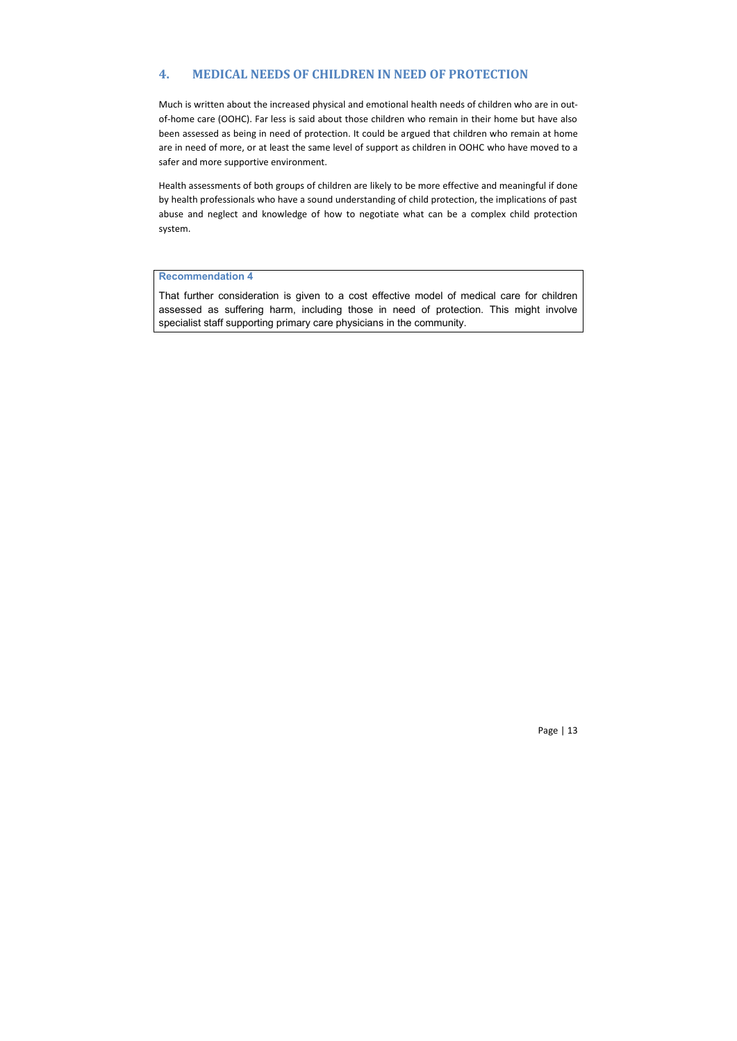# **4. MEDICAL NEEDS OF CHILDREN IN NEED OF PROTECTION**

Much is written about the increased physical and emotional health needs of children who are in outof-home care (OOHC). Far less is said about those children who remain in their home but have also been assessed as being in need of protection. It could be argued that children who remain at home are in need of more, or at least the same level of support as children in OOHC who have moved to a safer and more supportive environment.

Health assessments of both groups of children are likely to be more effective and meaningful if done by health professionals who have a sound understanding of child protection, the implications of past abuse and neglect and knowledge of how to negotiate what can be a complex child protection system.

### **Recommendation 4**

That further consideration is given to a cost effective model of medical care for children assessed as suffering harm, including those in need of protection. This might involve specialist staff supporting primary care physicians in the community.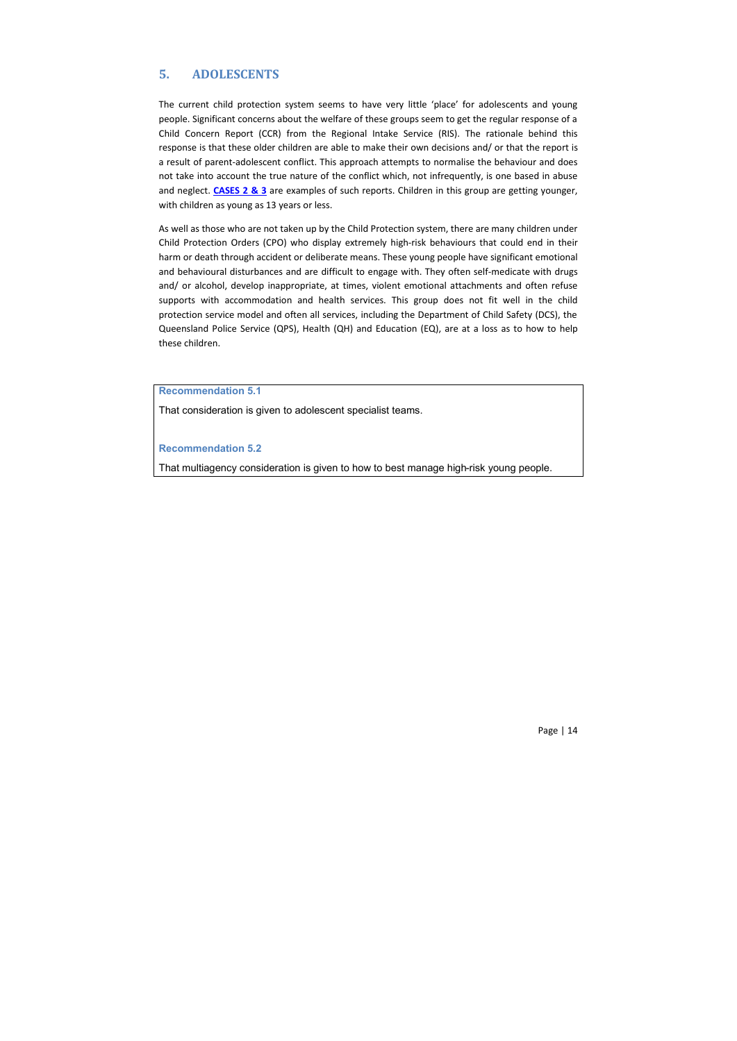# **5. ADOLESCENTS**

The current child protection system seems to have very little 'place' for adolescents and young people. Significant concerns about the welfare of these groups seem to get the regular response of a Child Concern Report (CCR) from the Regional Intake Service (RIS). The rationale behind this response is that these older children are able to make their own decisions and/ or that the report is a result of parent-adolescent conflict. This approach attempts to normalise the behaviour and does not take into account the true nature of the conflict which, not infrequently, is one based in abuse and neglect. **CASES 2 & 3** are examples of such reports. Children in this group are getting younger, with children as young as 13 years or less.

As well as those who are not taken up by the Child Protection system, there are many children under Child Protection Orders (CPO) who display extremely high-risk behaviours that could end in their harm or death through accident or deliberate means. These young people have significant emotional and behavioural disturbances and are difficult to engage with. They often self-medicate with drugs and/ or alcohol, develop inappropriate, at times, violent emotional attachments and often refuse supports with accommodation and health services. This group does not fit well in the child protection service model and often all services, including the Department of Child Safety (DCS), the Queensland Police Service (QPS), Health (QH) and Education (EQ), are at a loss as to how to help these children.

**Recommendation 5.1**

That consideration is given to adolescent specialist teams.

#### **Recommendation 5.2**

That multiagency consideration is given to how to best manage high-risk young people.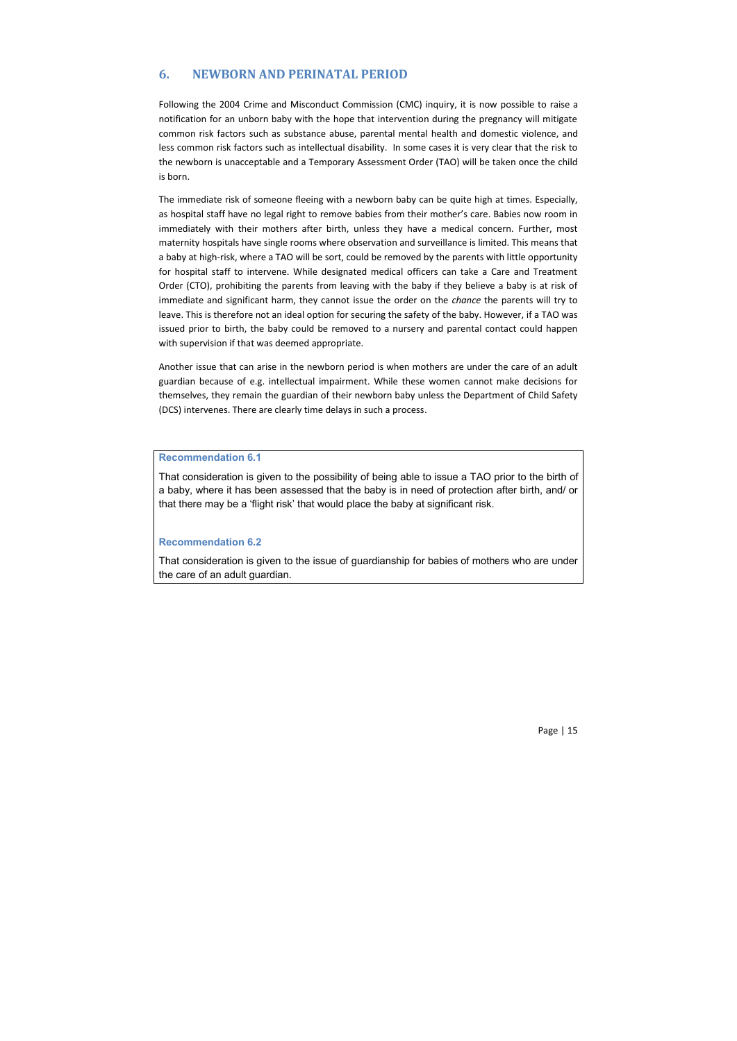# **6. NEWBORN AND PERINATAL PERIOD**

Following the 2004 Crime and Misconduct Commission (CMC) inquiry, it is now possible to raise a notification for an unborn baby with the hope that intervention during the pregnancy will mitigate common risk factors such as substance abuse, parental mental health and domestic violence, and less common risk factors such as intellectual disability. In some cases it is very clear that the risk to the newborn is unacceptable and a Temporary Assessment Order (TAO) will be taken once the child is born.

The immediate risk of someone fleeing with a newborn baby can be quite high at times. Especially, as hospital staff have no legal right to remove babies from their mother's care. Babies now room in immediately with their mothers after birth, unless they have a medical concern. Further, most maternity hospitals have single rooms where observation and surveillance is limited. This means that a baby at high-risk, where a TAO will be sort, could be removed by the parents with little opportunity for hospital staff to intervene. While designated medical officers can take a Care and Treatment Order (CTO), prohibiting the parents from leaving with the baby if they believe a baby is at risk of immediate and significant harm, they cannot issue the order on the *chance* the parents will try to leave. This is therefore not an ideal option for securing the safety of the baby. However, if a TAO was issued prior to birth, the baby could be removed to a nursery and parental contact could happen with supervision if that was deemed appropriate.

Another issue that can arise in the newborn period is when mothers are under the care of an adult guardian because of e.g. intellectual impairment. While these women cannot make decisions for themselves, they remain the guardian of their newborn baby unless the Department of Child Safety (DCS) intervenes. There are clearly time delays in such a process.

## **Recommendation 6.1**

That consideration is given to the possibility of being able to issue a TAO prior to the birth of a baby, where it has been assessed that the baby is in need of protection after birth, and/ or that there may be a 'flight risk' that would place the baby at significant risk.

#### **Recommendation 6.2**

That consideration is given to the issue of guardianship for babies of mothers who are under the care of an adult guardian.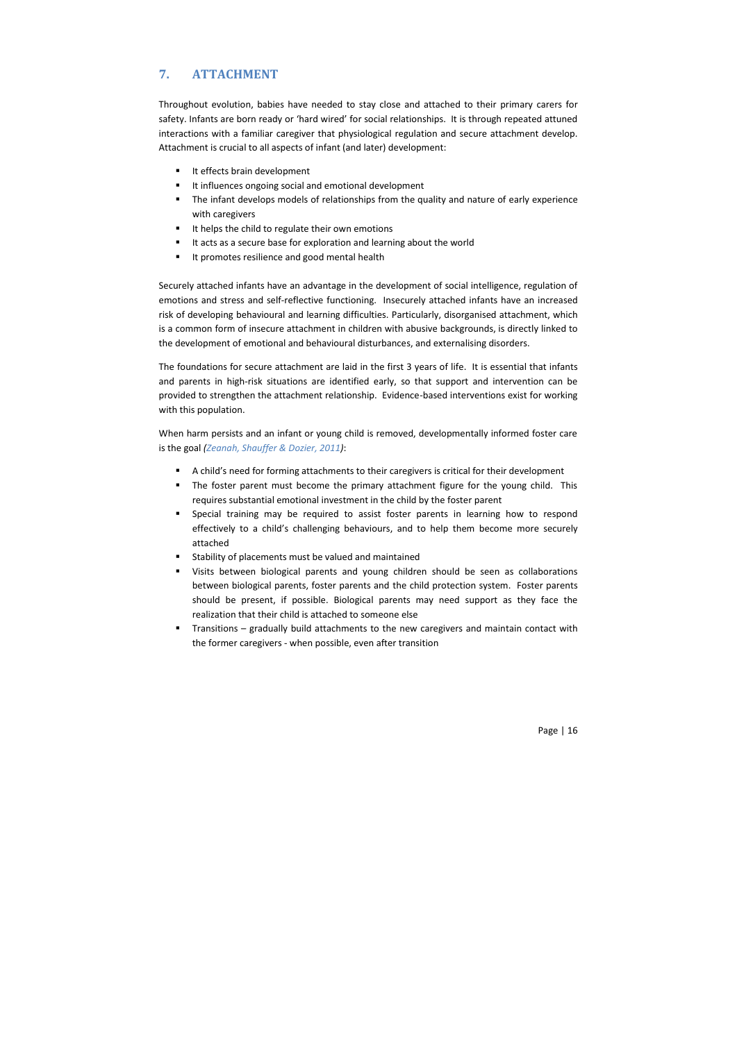# **7. ATTACHMENT**

Throughout evolution, babies have needed to stay close and attached to their primary carers for safety. Infants are born ready or 'hard wired' for social relationships. It is through repeated attuned interactions with a familiar caregiver that physiological regulation and secure attachment develop. Attachment is crucial to all aspects of infant (and later) development:

- It effects brain development
- It influences ongoing social and emotional development
- The infant develops models of relationships from the quality and nature of early experience with caregivers
- It helps the child to regulate their own emotions
- It acts as a secure base for exploration and learning about the world
- It promotes resilience and good mental health

Securely attached infants have an advantage in the development of social intelligence, regulation of emotions and stress and self-reflective functioning. Insecurely attached infants have an increased risk of developing behavioural and learning difficulties. Particularly, disorganised attachment, which is a common form of insecure attachment in children with abusive backgrounds, is directly linked to the development of emotional and behavioural disturbances, and externalising disorders.

The foundations for secure attachment are laid in the first 3 years of life. It is essential that infants and parents in high-risk situations are identified early, so that support and intervention can be provided to strengthen the attachment relationship. Evidence-based interventions exist for working with this population.

When harm persists and an infant or young child is removed, developmentally informed foster care is the goal *(Zeanah, Shauffer & Dozier, 2011)*:

- A child's need for forming attachments to their caregivers is critical for their development
- The foster parent must become the primary attachment figure for the young child. This requires substantial emotional investment in the child by the foster parent
- Special training may be required to assist foster parents in learning how to respond effectively to a child's challenging behaviours, and to help them become more securely attached
- Stability of placements must be valued and maintained
- Visits between biological parents and young children should be seen as collaborations between biological parents, foster parents and the child protection system. Foster parents should be present, if possible. Biological parents may need support as they face the realization that their child is attached to someone else
- Transitions gradually build attachments to the new caregivers and maintain contact with the former caregivers - when possible, even after transition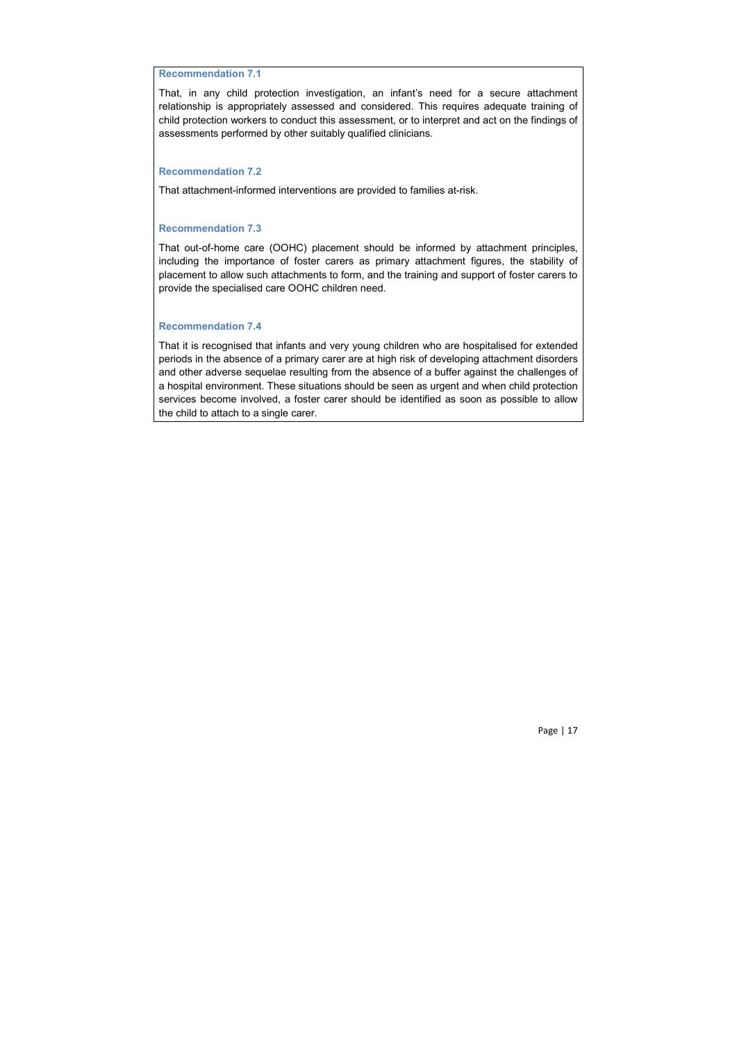# **Recommendation 7.1**

That, in any child protection investigation, an infant's need for a secure attachment relationship is appropriately assessed and considered. This requires adequate training of child protection workers to conduct this assessment, or to interpret and act on the findings of assessments performed by other suitably qualified clinicians.

## **Recommendation 7.2**

That attachment-informed interventions are provided to families at-risk.

## **Recommendation 7.3**

That out-of-home care (OOHC) placement should be informed by attachment principles, including the importance of foster carers as primary attachment figures, the stability of placement to allow such attachments to form, and the training and support of foster carers to provide the specialised care OOHC children need.

#### **Recommendation 7.4**

That it is recognised that infants and very young children who are hospitalised for extended periods in the absence of a primary carer are at high risk of developing attachment disorders and other adverse sequelae resulting from the absence of a buffer against the challenges of a hospital environment. These situations should be seen as urgent and when child protection services become involved, a foster carer should be identified as soon as possible to allow the child to attach to a single carer.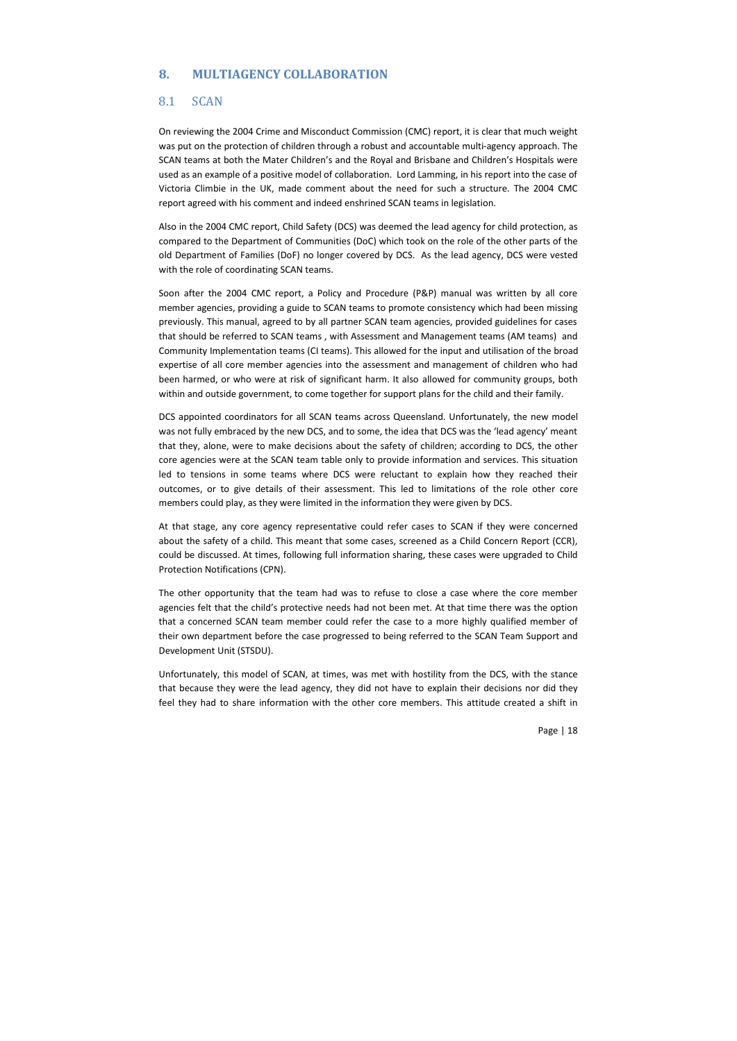# **8. MULTIAGENCY COLLABORATION**

## 8.1 SCAN

On reviewing the 2004 Crime and Misconduct Commission (CMC) report, it is clear that much weight was put on the protection of children through a robust and accountable multi-agency approach. The SCAN teams at both the Mater Children's and the Royal and Brisbane and Children's Hospitals were used as an example of a positive model of collaboration. Lord Lamming, in his report into the case of Victoria Climbie in the UK, made comment about the need for such a structure. The 2004 CMC report agreed with his comment and indeed enshrined SCAN teams in legislation.

Also in the 2004 CMC report, Child Safety (DCS) was deemed the lead agency for child protection, as compared to the Department of Communities (DoC) which took on the role of the other parts of the old Department of Families (DoF) no longer covered by DCS. As the lead agency, DCS were vested with the role of coordinating SCAN teams.

Soon after the 2004 CMC report, a Policy and Procedure (P&P) manual was written by all core member agencies, providing a guide to SCAN teams to promote consistency which had been missing previously. This manual, agreed to by all partner SCAN team agencies, provided guidelines for cases that should be referred to SCAN teams , with Assessment and Management teams (AM teams) and Community Implementation teams (CI teams). This allowed for the input and utilisation of the broad expertise of all core member agencies into the assessment and management of children who had been harmed, or who were at risk of significant harm. It also allowed for community groups, both within and outside government, to come together for support plans for the child and their family.

DCS appointed coordinators for all SCAN teams across Queensland. Unfortunately, the new model was not fully embraced by the new DCS, and to some, the idea that DCS was the 'lead agency' meant that they, alone, were to make decisions about the safety of children; according to DCS, the other core agencies were at the SCAN team table only to provide information and services. This situation led to tensions in some teams where DCS were reluctant to explain how they reached their outcomes, or to give details of their assessment. This led to limitations of the role other core members could play, as they were limited in the information they were given by DCS.

At that stage, any core agency representative could refer cases to SCAN if they were concerned about the safety of a child. This meant that some cases, screened as a Child Concern Report (CCR), could be discussed. At times, following full information sharing, these cases were upgraded to Child Protection Notifications (CPN).

The other opportunity that the team had was to refuse to close a case where the core member agencies felt that the child's protective needs had not been met. At that time there was the option that a concerned SCAN team member could refer the case to a more highly qualified member of their own department before the case progressed to being referred to the SCAN Team Support and Development Unit (STSDU).

Unfortunately, this model of SCAN, at times, was met with hostility from the DCS, with the stance that because they were the lead agency, they did not have to explain their decisions nor did they feel they had to share information with the other core members. This attitude created a shift in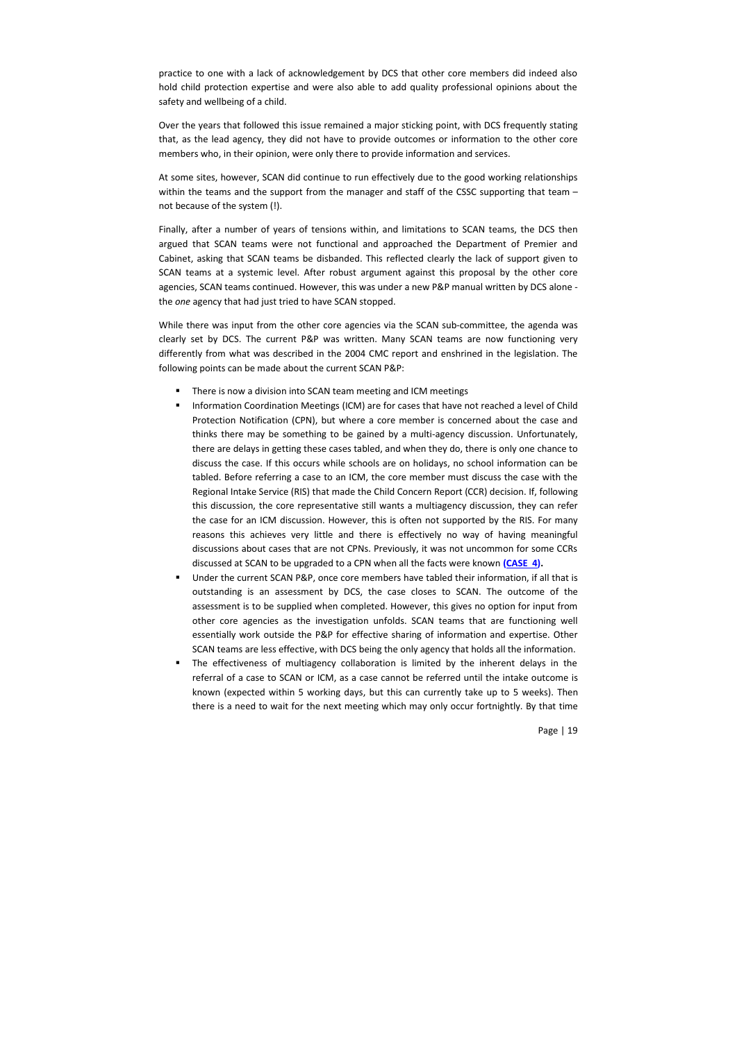practice to one with a lack of acknowledgement by DCS that other core members did indeed also hold child protection expertise and were also able to add quality professional opinions about the safety and wellbeing of a child.

Over the years that followed this issue remained a major sticking point, with DCS frequently stating that, as the lead agency, they did not have to provide outcomes or information to the other core members who, in their opinion, were only there to provide information and services.

At some sites, however, SCAN did continue to run effectively due to the good working relationships within the teams and the support from the manager and staff of the CSSC supporting that team – not because of the system (!).

Finally, after a number of years of tensions within, and limitations to SCAN teams, the DCS then argued that SCAN teams were not functional and approached the Department of Premier and Cabinet, asking that SCAN teams be disbanded. This reflected clearly the lack of support given to SCAN teams at a systemic level. After robust argument against this proposal by the other core agencies, SCAN teams continued. However, this was under a new P&P manual written by DCS alone the *one* agency that had just tried to have SCAN stopped.

While there was input from the other core agencies via the SCAN sub-committee, the agenda was clearly set by DCS. The current P&P was written. Many SCAN teams are now functioning very differently from what was described in the 2004 CMC report and enshrined in the legislation. The following points can be made about the current SCAN P&P:

- There is now a division into SCAN team meeting and ICM meetings
- Information Coordination Meetings (ICM) are for cases that have not reached a level of Child Protection Notification (CPN), but where a core member is concerned about the case and thinks there may be something to be gained by a multi-agency discussion. Unfortunately, there are delays in getting these cases tabled, and when they do, there is only one chance to discuss the case. If this occurs while schools are on holidays, no school information can be tabled. Before referring a case to an ICM, the core member must discuss the case with the Regional Intake Service (RIS) that made the Child Concern Report (CCR) decision. If, following this discussion, the core representative still wants a multiagency discussion, they can refer the case for an ICM discussion. However, this is often not supported by the RIS. For many reasons this achieves very little and there is effectively no way of having meaningful discussions about cases that are not CPNs. Previously, it was not uncommon for some CCRs discussed at SCAN to be upgraded to a CPN when all the facts were known **(CASE 4).**
- Under the current SCAN P&P, once core members have tabled their information, if all that is outstanding is an assessment by DCS, the case closes to SCAN. The outcome of the assessment is to be supplied when completed. However, this gives no option for input from other core agencies as the investigation unfolds. SCAN teams that are functioning well essentially work outside the P&P for effective sharing of information and expertise. Other SCAN teams are less effective, with DCS being the only agency that holds all the information.
- The effectiveness of multiagency collaboration is limited by the inherent delays in the referral of a case to SCAN or ICM, as a case cannot be referred until the intake outcome is known (expected within 5 working days, but this can currently take up to 5 weeks). Then there is a need to wait for the next meeting which may only occur fortnightly. By that time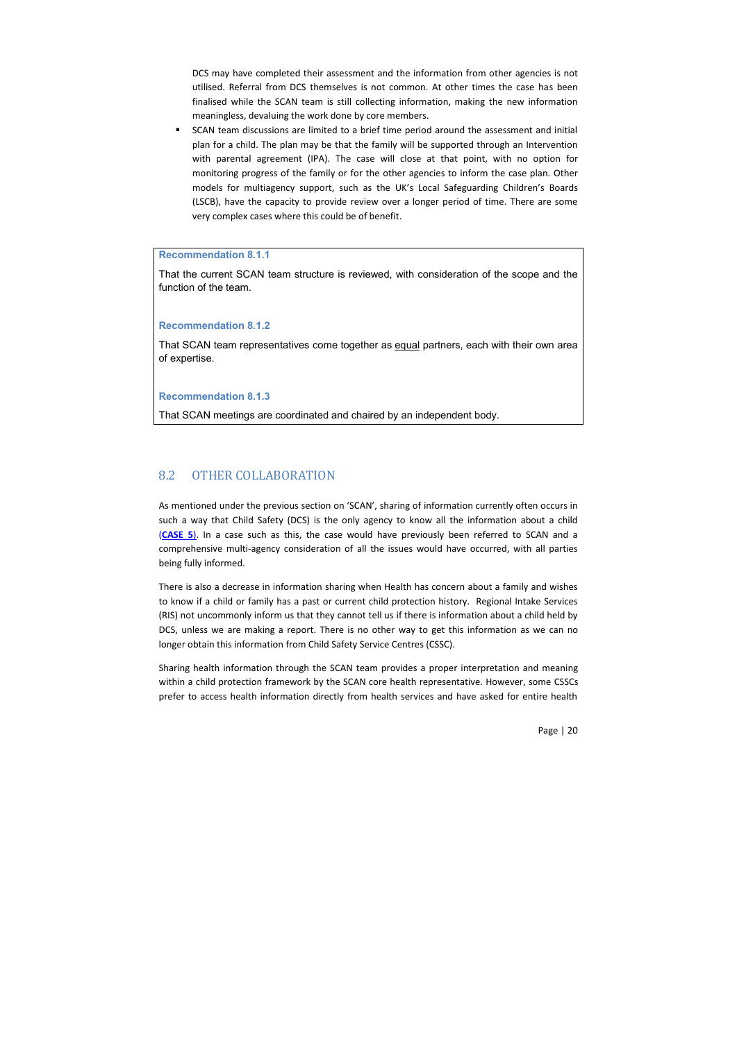DCS may have completed their assessment and the information from other agencies is not utilised. Referral from DCS themselves is not common. At other times the case has been finalised while the SCAN team is still collecting information, making the new information meaningless, devaluing the work done by core members.

 SCAN team discussions are limited to a brief time period around the assessment and initial plan for a child. The plan may be that the family will be supported through an Intervention with parental agreement (IPA). The case will close at that point, with no option for monitoring progress of the family or for the other agencies to inform the case plan. Other models for multiagency support, such as the UK's Local Safeguarding Children's Boards (LSCB), have the capacity to provide review over a longer period of time. There are some very complex cases where this could be of benefit.

# **Recommendation 8.1.1**

That the current SCAN team structure is reviewed, with consideration of the scope and the function of the team.

**Recommendation 8.1.2**

That SCAN team representatives come together as equal partners, each with their own area of expertise.

#### **Recommendation 8.1.3**

That SCAN meetings are coordinated and chaired by an independent body.

# 8.2 OTHER COLLABORATION

As mentioned under the previous section on 'SCAN', sharing of information currently often occurs in such a way that Child Safety (DCS) is the only agency to know all the information about a child (**CASE 5**). In a case such as this, the case would have previously been referred to SCAN and a comprehensive multi-agency consideration of all the issues would have occurred, with all parties being fully informed.

There is also a decrease in information sharing when Health has concern about a family and wishes to know if a child or family has a past or current child protection history. Regional Intake Services (RIS) not uncommonly inform us that they cannot tell us if there is information about a child held by DCS, unless we are making a report. There is no other way to get this information as we can no longer obtain this information from Child Safety Service Centres (CSSC).

Sharing health information through the SCAN team provides a proper interpretation and meaning within a child protection framework by the SCAN core health representative. However, some CSSCs prefer to access health information directly from health services and have asked for entire health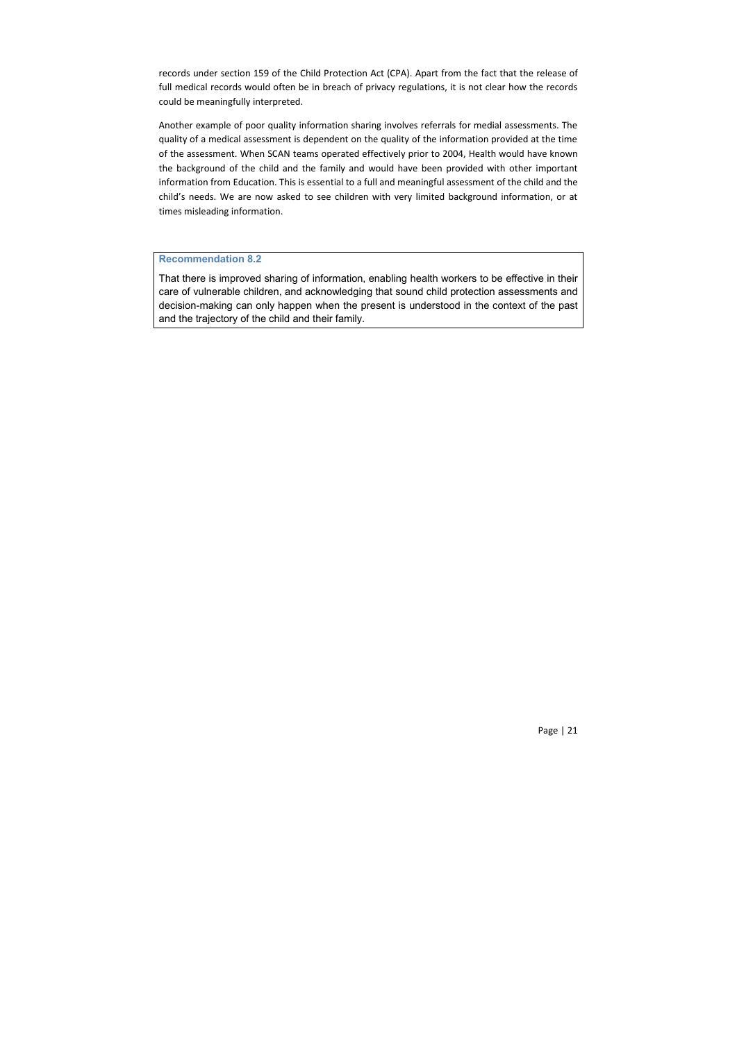records under section 159 of the Child Protection Act (CPA). Apart from the fact that the release of full medical records would often be in breach of privacy regulations, it is not clear how the records could be meaningfully interpreted.

Another example of poor quality information sharing involves referrals for medial assessments. The quality of a medical assessment is dependent on the quality of the information provided at the time of the assessment. When SCAN teams operated effectively prior to 2004, Health would have known the background of the child and the family and would have been provided with other important information from Education. This is essential to a full and meaningful assessment of the child and the child's needs. We are now asked to see children with very limited background information, or at times misleading information.

#### **Recommendation 8.2**

That there is improved sharing of information, enabling health workers to be effective in their care of vulnerable children, and acknowledging that sound child protection assessments and decision-making can only happen when the present is understood in the context of the past and the trajectory of the child and their family.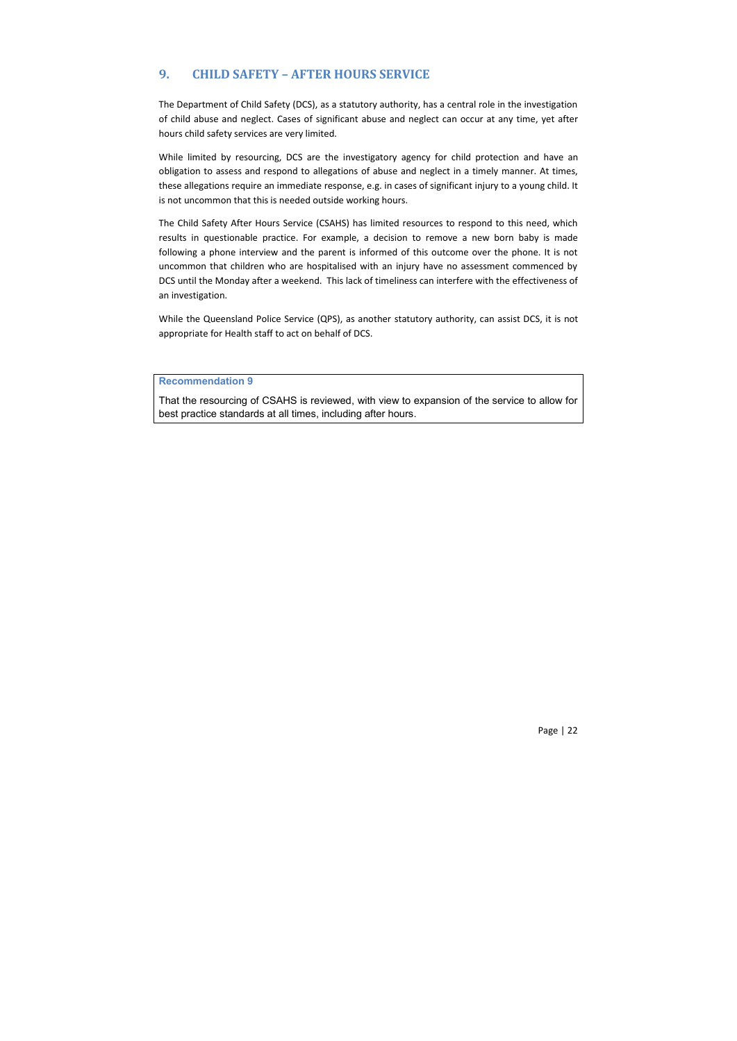# **9. CHILD SAFETY – AFTER HOURS SERVICE**

The Department of Child Safety (DCS), as a statutory authority, has a central role in the investigation of child abuse and neglect. Cases of significant abuse and neglect can occur at any time, yet after hours child safety services are very limited.

While limited by resourcing, DCS are the investigatory agency for child protection and have an obligation to assess and respond to allegations of abuse and neglect in a timely manner. At times, these allegations require an immediate response, e.g. in cases of significant injury to a young child. It is not uncommon that this is needed outside working hours.

The Child Safety After Hours Service (CSAHS) has limited resources to respond to this need, which results in questionable practice. For example, a decision to remove a new born baby is made following a phone interview and the parent is informed of this outcome over the phone. It is not uncommon that children who are hospitalised with an injury have no assessment commenced by DCS until the Monday after a weekend. This lack of timeliness can interfere with the effectiveness of an investigation.

While the Queensland Police Service (QPS), as another statutory authority, can assist DCS, it is not appropriate for Health staff to act on behalf of DCS.

## **Recommendation 9**

That the resourcing of CSAHS is reviewed, with view to expansion of the service to allow for best practice standards at all times, including after hours.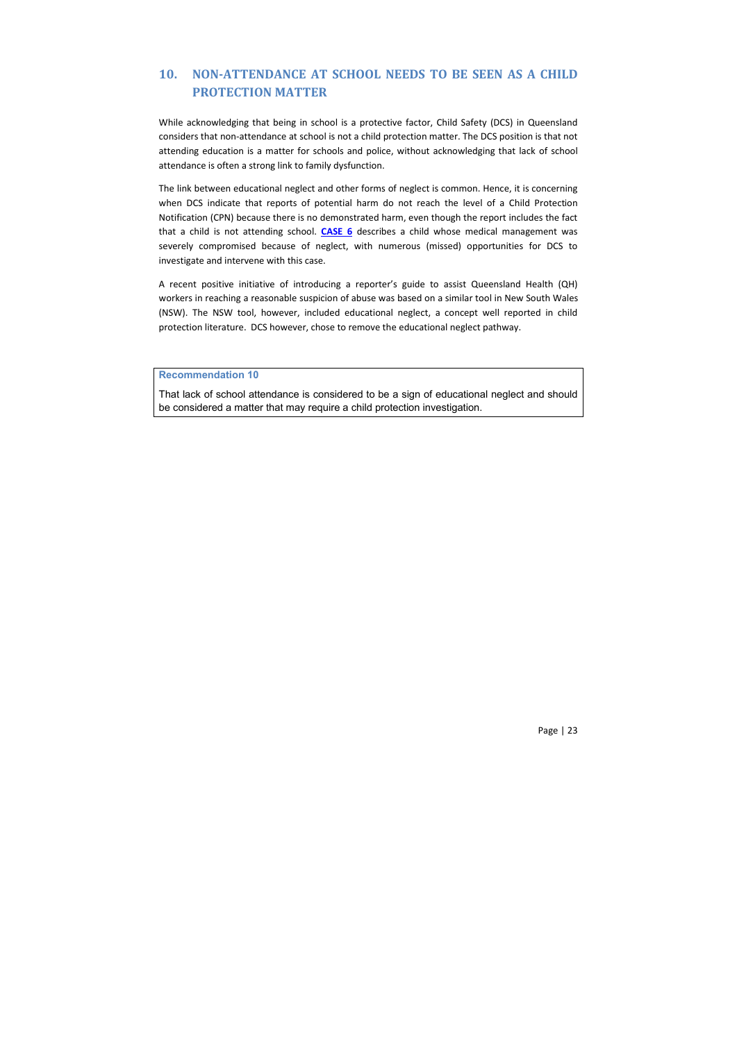# **10. NON-ATTENDANCE AT SCHOOL NEEDS TO BE SEEN AS A CHILD PROTECTION MATTER**

While acknowledging that being in school is a protective factor, Child Safety (DCS) in Queensland considers that non-attendance at school is not a child protection matter. The DCS position is that not attending education is a matter for schools and police, without acknowledging that lack of school attendance is often a strong link to family dysfunction.

The link between educational neglect and other forms of neglect is common. Hence, it is concerning when DCS indicate that reports of potential harm do not reach the level of a Child Protection Notification (CPN) because there is no demonstrated harm, even though the report includes the fact that a child is not attending school. **CASE 6** describes a child whose medical management was severely compromised because of neglect, with numerous (missed) opportunities for DCS to investigate and intervene with this case.

A recent positive initiative of introducing a reporter's guide to assist Queensland Health (QH) workers in reaching a reasonable suspicion of abuse was based on a similar tool in New South Wales (NSW). The NSW tool, however, included educational neglect, a concept well reported in child protection literature. DCS however, chose to remove the educational neglect pathway.

## **Recommendation 10**

That lack of school attendance is considered to be a sign of educational neglect and should be considered a matter that may require a child protection investigation.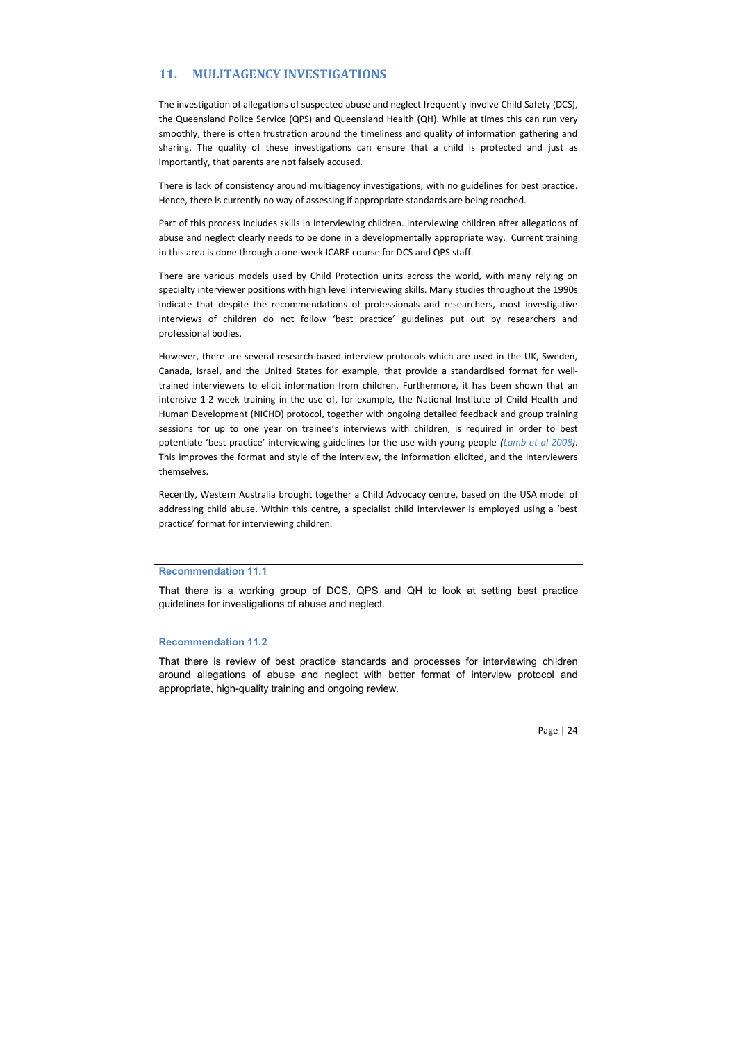# **11. MULITAGENCY INVESTIGATIONS**

The investigation of allegations of suspected abuse and neglect frequently involve Child Safety (DCS), the Queensland Police Service (QPS) and Queensland Health (QH). While at times this can run very smoothly, there is often frustration around the timeliness and quality of information gathering and sharing. The quality of these investigations can ensure that a child is protected and just as importantly, that parents are not falsely accused.

There is lack of consistency around multiagency investigations, with no guidelines for best practice. Hence, there is currently no way of assessing if appropriate standards are being reached.

Part of this process includes skills in interviewing children. Interviewing children after allegations of abuse and neglect clearly needs to be done in a developmentally appropriate way. Current training in this area is done through a one-week ICARE course for DCS and QPS staff.

There are various models used by Child Protection units across the world, with many relying on specialty interviewer positions with high level interviewing skills. Many studies throughout the 1990s indicate that despite the recommendations of professionals and researchers, most investigative interviews of children do not follow 'best practice' guidelines put out by researchers and professional bodies.

However, there are several research-based interview protocols which are used in the UK, Sweden, Canada, Israel, and the United States for example, that provide a standardised format for welltrained interviewers to elicit information from children. Furthermore, it has been shown that an intensive 1-2 week training in the use of, for example, the National Institute of Child Health and Human Development (NICHD) protocol, together with ongoing detailed feedback and group training sessions for up to one year on trainee's interviews with children, is required in order to best potentiate 'best practice' interviewing guidelines for the use with young people *(Lamb et al 2008)*. This improves the format and style of the interview, the information elicited, and the interviewers themselves.

Recently, Western Australia brought together a Child Advocacy centre, based on the USA model of addressing child abuse. Within this centre, a specialist child interviewer is employed using a 'best practice' format for interviewing children.

#### **Recommendation 11.1**

That there is a working group of DCS, QPS and QH to look at setting best practice guidelines for investigations of abuse and neglect.

#### **Recommendation 11.2**

That there is review of best practice standards and processes for interviewing children around allegations of abuse and neglect with better format of interview protocol and appropriate, high-quality training and ongoing review.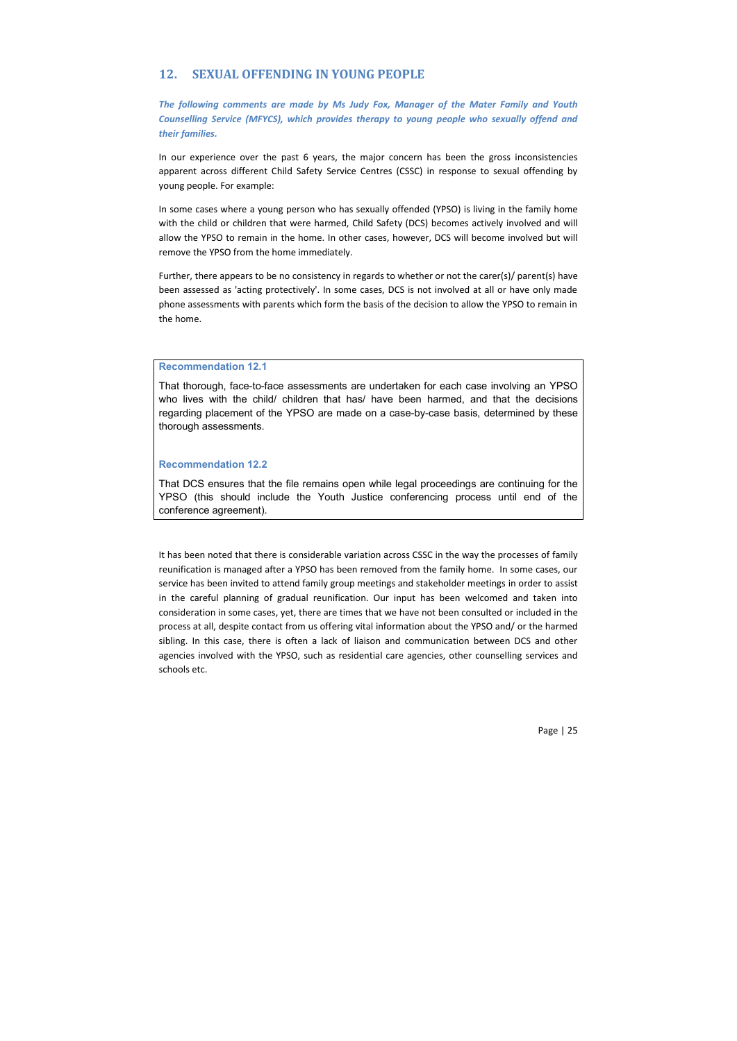# **12. SEXUAL OFFENDING IN YOUNG PEOPLE**

*The following comments are made by Ms Judy Fox, Manager of the Mater Family and Youth Counselling Service (MFYCS), which provides therapy to young people who sexually offend and their families.*

In our experience over the past 6 years, the major concern has been the gross inconsistencies apparent across different Child Safety Service Centres (CSSC) in response to sexual offending by young people. For example:

In some cases where a young person who has sexually offended (YPSO) is living in the family home with the child or children that were harmed, Child Safety (DCS) becomes actively involved and will allow the YPSO to remain in the home. In other cases, however, DCS will become involved but will remove the YPSO from the home immediately.

Further, there appears to be no consistency in regards to whether or not the carer(s)/ parent(s) have been assessed as 'acting protectively'. In some cases, DCS is not involved at all or have only made phone assessments with parents which form the basis of the decision to allow the YPSO to remain in the home.

#### **Recommendation 12.1**

That thorough, face-to-face assessments are undertaken for each case involving an YPSO who lives with the child/ children that has/ have been harmed, and that the decisions regarding placement of the YPSO are made on a case-by-case basis, determined by these thorough assessments.

## **Recommendation 12.2**

That DCS ensures that the file remains open while legal proceedings are continuing for the YPSO (this should include the Youth Justice conferencing process until end of the conference agreement).

It has been noted that there is considerable variation across CSSC in the way the processes of family reunification is managed after a YPSO has been removed from the family home. In some cases, our service has been invited to attend family group meetings and stakeholder meetings in order to assist in the careful planning of gradual reunification. Our input has been welcomed and taken into consideration in some cases, yet, there are times that we have not been consulted or included in the process at all, despite contact from us offering vital information about the YPSO and/ or the harmed sibling. In this case, there is often a lack of liaison and communication between DCS and other agencies involved with the YPSO, such as residential care agencies, other counselling services and schools etc.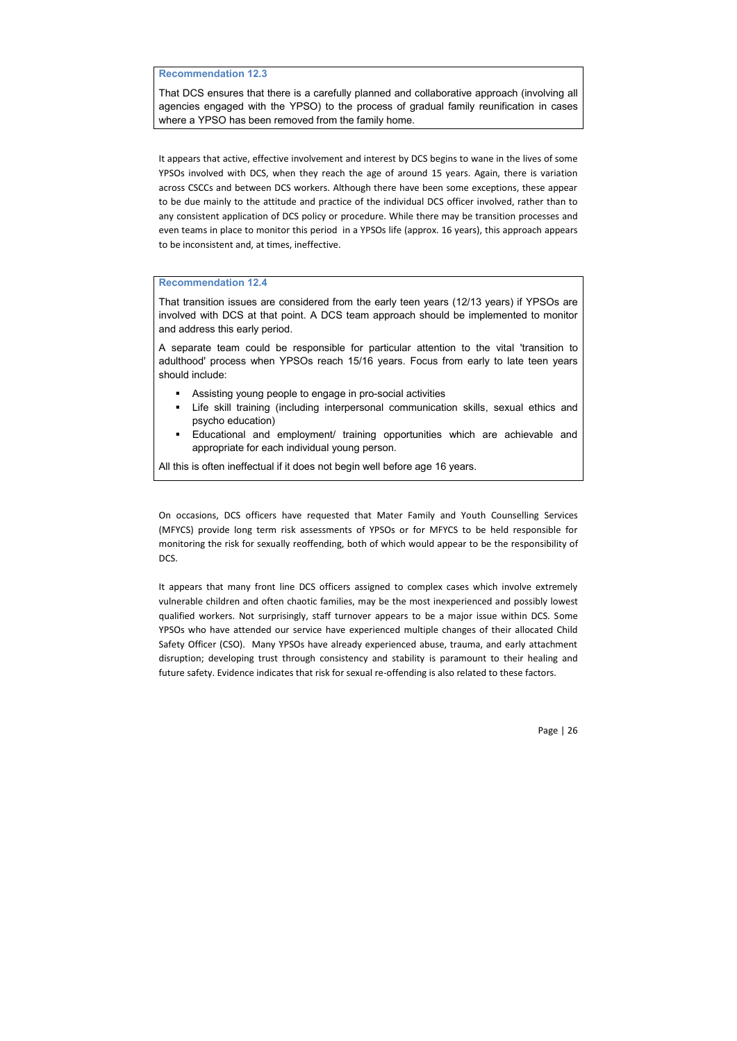## **Recommendation 12.3**

That DCS ensures that there is a carefully planned and collaborative approach (involving all agencies engaged with the YPSO) to the process of gradual family reunification in cases where a YPSO has been removed from the family home.

It appears that active, effective involvement and interest by DCS begins to wane in the lives of some YPSOs involved with DCS, when they reach the age of around 15 years. Again, there is variation across CSCCs and between DCS workers. Although there have been some exceptions, these appear to be due mainly to the attitude and practice of the individual DCS officer involved, rather than to any consistent application of DCS policy or procedure. While there may be transition processes and even teams in place to monitor this period in a YPSOs life (approx. 16 years), this approach appears to be inconsistent and, at times, ineffective.

#### **Recommendation 12.4**

That transition issues are considered from the early teen years (12/13 years) if YPSOs are involved with DCS at that point. A DCS team approach should be implemented to monitor and address this early period.

A separate team could be responsible for particular attention to the vital 'transition to adulthood' process when YPSOs reach 15/16 years. Focus from early to late teen years should include:

- Assisting young people to engage in pro-social activities
- Life skill training (including interpersonal communication skills, sexual ethics and psycho education)
- Educational and employment/ training opportunities which are achievable and appropriate for each individual young person.

All this is often ineffectual if it does not begin well before age 16 years.

On occasions, DCS officers have requested that Mater Family and Youth Counselling Services (MFYCS) provide long term risk assessments of YPSOs or for MFYCS to be held responsible for monitoring the risk for sexually reoffending, both of which would appear to be the responsibility of DCS.

It appears that many front line DCS officers assigned to complex cases which involve extremely vulnerable children and often chaotic families, may be the most inexperienced and possibly lowest qualified workers. Not surprisingly, staff turnover appears to be a major issue within DCS. Some YPSOs who have attended our service have experienced multiple changes of their allocated Child Safety Officer (CSO). Many YPSOs have already experienced abuse, trauma, and early attachment disruption; developing trust through consistency and stability is paramount to their healing and future safety. Evidence indicates that risk for sexual re-offending is also related to these factors.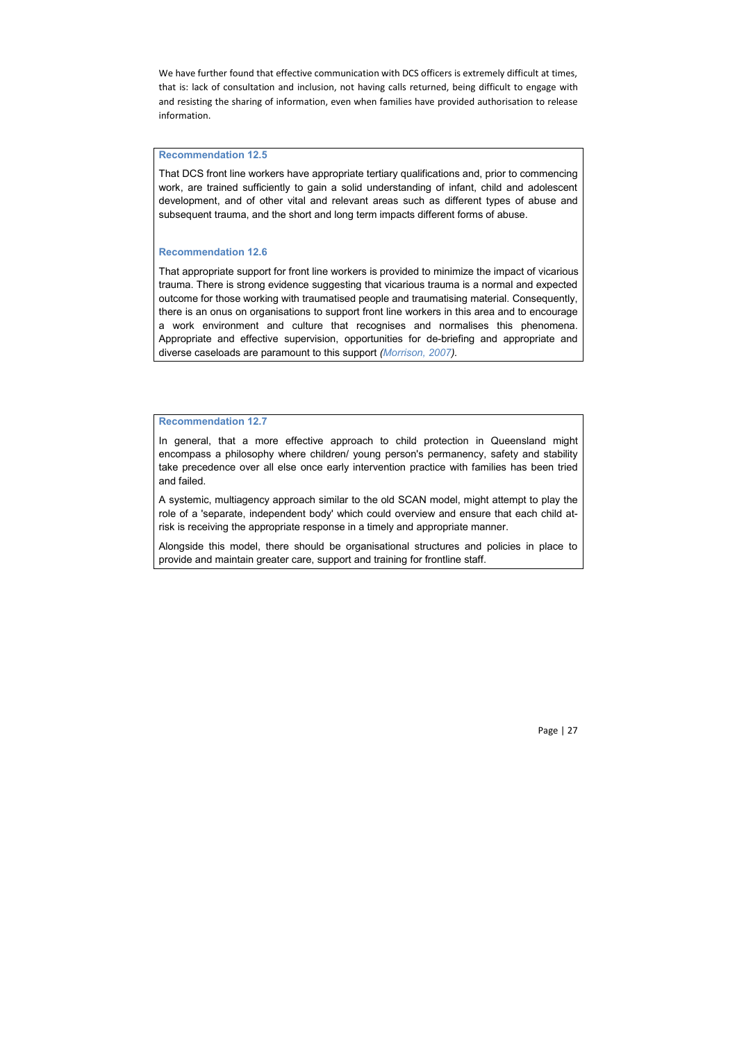We have further found that effective communication with DCS officers is extremely difficult at times, that is: lack of consultation and inclusion, not having calls returned, being difficult to engage with and resisting the sharing of information, even when families have provided authorisation to release information.

#### **Recommendation 12.5**

That DCS front line workers have appropriate tertiary qualifications and, prior to commencing work, are trained sufficiently to gain a solid understanding of infant, child and adolescent development, and of other vital and relevant areas such as different types of abuse and subsequent trauma, and the short and long term impacts different forms of abuse.

#### **Recommendation 12.6**

That appropriate support for front line workers is provided to minimize the impact of vicarious trauma. There is strong evidence suggesting that vicarious trauma is a normal and expected outcome for those working with traumatised people and traumatising material. Consequently, there is an onus on organisations to support front line workers in this area and to encourage a work environment and culture that recognises and normalises this phenomena. Appropriate and effective supervision, opportunities for de-briefing and appropriate and diverse caseloads are paramount to this support *(Morrison, 2007).*

#### **Recommendation 12.7**

In general, that a more effective approach to child protection in Queensland might encompass a philosophy where children/ young person's permanency, safety and stability take precedence over all else once early intervention practice with families has been tried and failed.

A systemic, multiagency approach similar to the old SCAN model, might attempt to play the role of a 'separate, independent body' which could overview and ensure that each child atrisk is receiving the appropriate response in a timely and appropriate manner.

Alongside this model, there should be organisational structures and policies in place to provide and maintain greater care, support and training for frontline staff.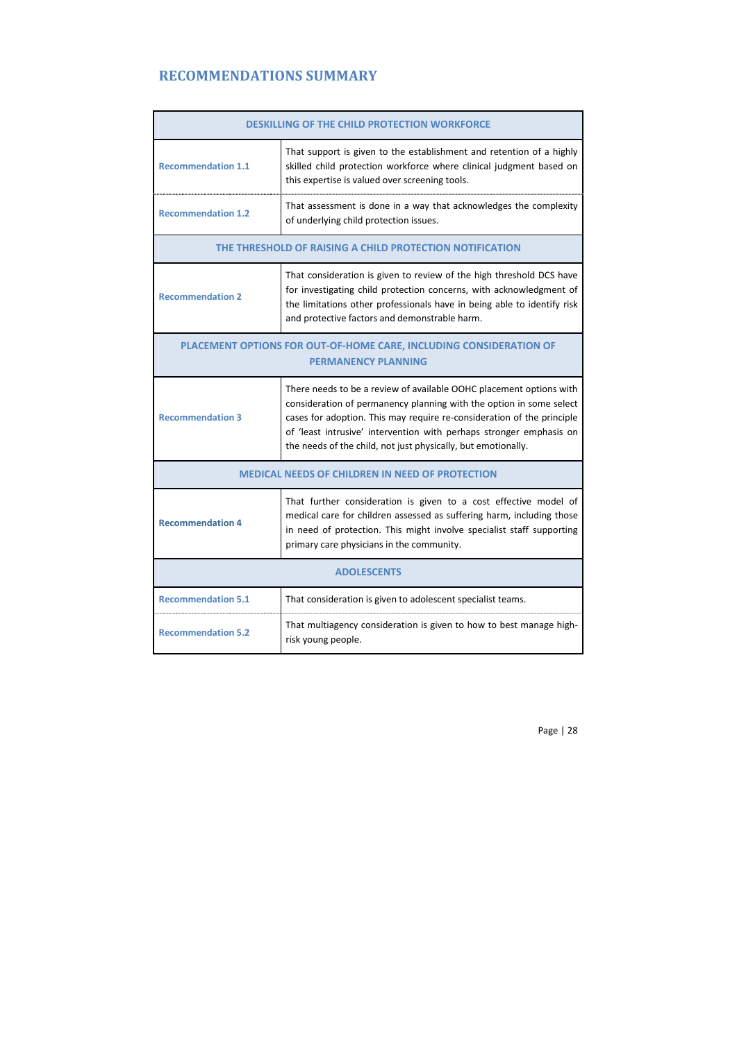# **RECOMMENDATIONS SUMMARY**

| <b>DESKILLING OF THE CHILD PROTECTION WORKFORCE</b>                                              |                                                                                                                                                                                                                                                                                                                                                              |  |
|--------------------------------------------------------------------------------------------------|--------------------------------------------------------------------------------------------------------------------------------------------------------------------------------------------------------------------------------------------------------------------------------------------------------------------------------------------------------------|--|
| <b>Recommendation 1.1</b>                                                                        | That support is given to the establishment and retention of a highly<br>skilled child protection workforce where clinical judgment based on<br>this expertise is valued over screening tools.                                                                                                                                                                |  |
| <b>Recommendation 1.2</b>                                                                        | That assessment is done in a way that acknowledges the complexity<br>of underlying child protection issues.                                                                                                                                                                                                                                                  |  |
| THE THRESHOLD OF RAISING A CHILD PROTECTION NOTIFICATION                                         |                                                                                                                                                                                                                                                                                                                                                              |  |
| <b>Recommendation 2</b>                                                                          | That consideration is given to review of the high threshold DCS have<br>for investigating child protection concerns, with acknowledgment of<br>the limitations other professionals have in being able to identify risk<br>and protective factors and demonstrable harm.                                                                                      |  |
| PLACEMENT OPTIONS FOR OUT-OF-HOME CARE, INCLUDING CONSIDERATION OF<br><b>PERMANENCY PLANNING</b> |                                                                                                                                                                                                                                                                                                                                                              |  |
| <b>Recommendation 3</b>                                                                          | There needs to be a review of available OOHC placement options with<br>consideration of permanency planning with the option in some select<br>cases for adoption. This may require re-consideration of the principle<br>of 'least intrusive' intervention with perhaps stronger emphasis on<br>the needs of the child, not just physically, but emotionally. |  |
| <b>MEDICAL NEEDS OF CHILDREN IN NEED OF PROTECTION</b>                                           |                                                                                                                                                                                                                                                                                                                                                              |  |
| <b>Recommendation 4</b>                                                                          | That further consideration is given to a cost effective model of<br>medical care for children assessed as suffering harm, including those<br>in need of protection. This might involve specialist staff supporting<br>primary care physicians in the community.                                                                                              |  |
| <b>ADOLESCENTS</b>                                                                               |                                                                                                                                                                                                                                                                                                                                                              |  |
| <b>Recommendation 5.1</b>                                                                        | That consideration is given to adolescent specialist teams.                                                                                                                                                                                                                                                                                                  |  |
| <b>Recommendation 5.2</b>                                                                        | That multiagency consideration is given to how to best manage high-<br>risk young people.                                                                                                                                                                                                                                                                    |  |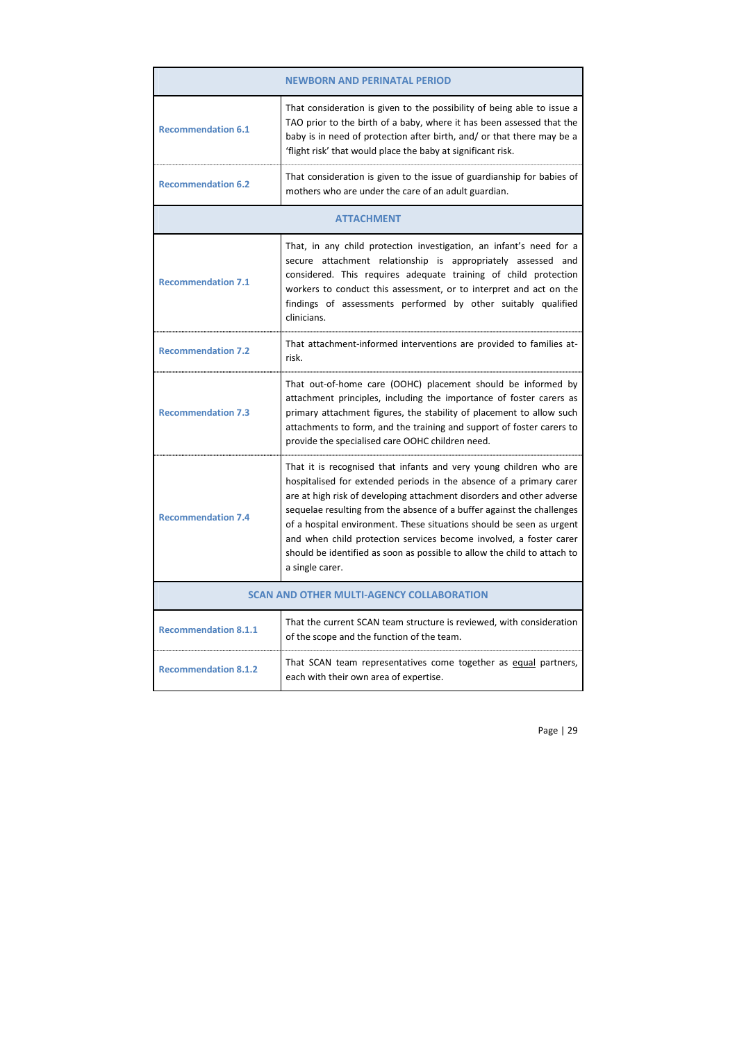|                                                  | <b>NEWBORN AND PERINATAL PERIOD</b>                                                                                                                                                                                                                                                                                                                                                                                                                                                                                                       |
|--------------------------------------------------|-------------------------------------------------------------------------------------------------------------------------------------------------------------------------------------------------------------------------------------------------------------------------------------------------------------------------------------------------------------------------------------------------------------------------------------------------------------------------------------------------------------------------------------------|
| <b>Recommendation 6.1</b>                        | That consideration is given to the possibility of being able to issue a<br>TAO prior to the birth of a baby, where it has been assessed that the<br>baby is in need of protection after birth, and/ or that there may be a<br>'flight risk' that would place the baby at significant risk.                                                                                                                                                                                                                                                |
| <b>Recommendation 6.2</b>                        | That consideration is given to the issue of guardianship for babies of<br>mothers who are under the care of an adult guardian.                                                                                                                                                                                                                                                                                                                                                                                                            |
|                                                  | <b>ATTACHMENT</b>                                                                                                                                                                                                                                                                                                                                                                                                                                                                                                                         |
| <b>Recommendation 7.1</b>                        | That, in any child protection investigation, an infant's need for a<br>secure attachment relationship is appropriately assessed and<br>considered. This requires adequate training of child protection<br>workers to conduct this assessment, or to interpret and act on the<br>findings of assessments performed by other suitably qualified<br>clinicians.                                                                                                                                                                              |
| <b>Recommendation 7.2</b>                        | That attachment-informed interventions are provided to families at-<br>risk.                                                                                                                                                                                                                                                                                                                                                                                                                                                              |
| <b>Recommendation 7.3</b>                        | That out-of-home care (OOHC) placement should be informed by<br>attachment principles, including the importance of foster carers as<br>primary attachment figures, the stability of placement to allow such<br>attachments to form, and the training and support of foster carers to<br>provide the specialised care OOHC children need.                                                                                                                                                                                                  |
| <b>Recommendation 7.4</b>                        | That it is recognised that infants and very young children who are<br>hospitalised for extended periods in the absence of a primary carer<br>are at high risk of developing attachment disorders and other adverse<br>sequelae resulting from the absence of a buffer against the challenges<br>of a hospital environment. These situations should be seen as urgent<br>and when child protection services become involved, a foster carer<br>should be identified as soon as possible to allow the child to attach to<br>a single carer. |
| <b>SCAN AND OTHER MULTI-AGENCY COLLABORATION</b> |                                                                                                                                                                                                                                                                                                                                                                                                                                                                                                                                           |
| <b>Recommendation 8.1.1</b>                      | That the current SCAN team structure is reviewed, with consideration<br>of the scope and the function of the team.                                                                                                                                                                                                                                                                                                                                                                                                                        |
| <b>Recommendation 8.1.2</b>                      | That SCAN team representatives come together as equal partners,<br>each with their own area of expertise.                                                                                                                                                                                                                                                                                                                                                                                                                                 |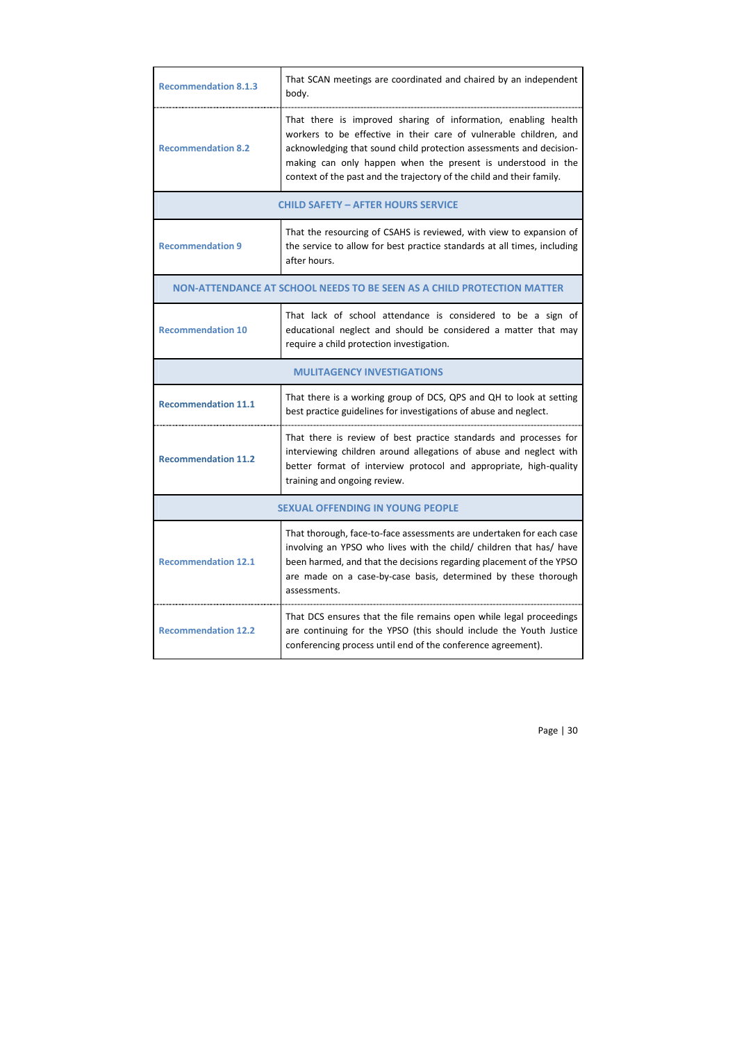| <b>Recommendation 8.1.3</b>                                            | That SCAN meetings are coordinated and chaired by an independent<br>body.                                                                                                                                                                                                                                                                           |  |
|------------------------------------------------------------------------|-----------------------------------------------------------------------------------------------------------------------------------------------------------------------------------------------------------------------------------------------------------------------------------------------------------------------------------------------------|--|
| <b>Recommendation 8.2</b>                                              | That there is improved sharing of information, enabling health<br>workers to be effective in their care of vulnerable children, and<br>acknowledging that sound child protection assessments and decision-<br>making can only happen when the present is understood in the<br>context of the past and the trajectory of the child and their family. |  |
|                                                                        | <b>CHILD SAFETY - AFTER HOURS SERVICE</b>                                                                                                                                                                                                                                                                                                           |  |
| <b>Recommendation 9</b>                                                | That the resourcing of CSAHS is reviewed, with view to expansion of<br>the service to allow for best practice standards at all times, including<br>after hours.                                                                                                                                                                                     |  |
| NON-ATTENDANCE AT SCHOOL NEEDS TO BE SEEN AS A CHILD PROTECTION MATTER |                                                                                                                                                                                                                                                                                                                                                     |  |
| <b>Recommendation 10</b>                                               | That lack of school attendance is considered to be a sign of<br>educational neglect and should be considered a matter that may<br>require a child protection investigation.                                                                                                                                                                         |  |
|                                                                        | <b>MULITAGENCY INVESTIGATIONS</b>                                                                                                                                                                                                                                                                                                                   |  |
| <b>Recommendation 11.1</b>                                             | That there is a working group of DCS, QPS and QH to look at setting<br>best practice guidelines for investigations of abuse and neglect.                                                                                                                                                                                                            |  |
| <b>Recommendation 11.2</b>                                             | That there is review of best practice standards and processes for<br>interviewing children around allegations of abuse and neglect with<br>better format of interview protocol and appropriate, high-quality<br>training and ongoing review.                                                                                                        |  |
| <b>SEXUAL OFFENDING IN YOUNG PEOPLE</b>                                |                                                                                                                                                                                                                                                                                                                                                     |  |
| <b>Recommendation 12.1</b>                                             | That thorough, face-to-face assessments are undertaken for each case<br>involving an YPSO who lives with the child/ children that has/ have<br>been harmed, and that the decisions regarding placement of the YPSO<br>are made on a case-by-case basis, determined by these thorough<br>assessments.                                                |  |
| <b>Recommendation 12.2</b>                                             | That DCS ensures that the file remains open while legal proceedings<br>are continuing for the YPSO (this should include the Youth Justice<br>conferencing process until end of the conference agreement).                                                                                                                                           |  |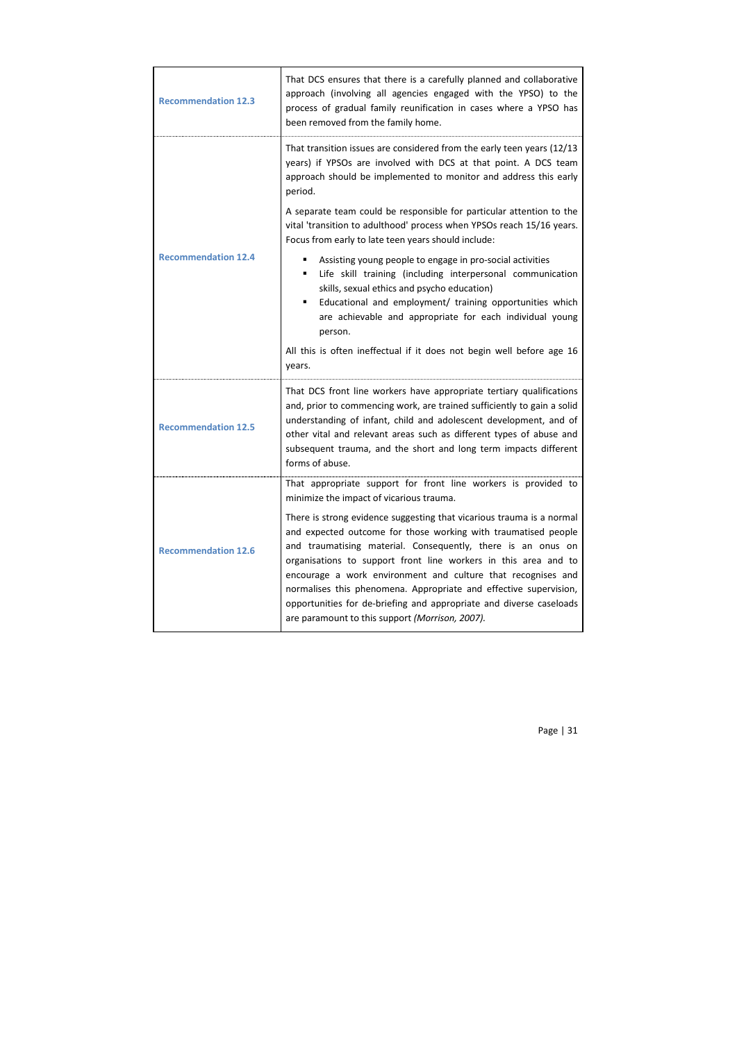| <b>Recommendation 12.3</b> | That DCS ensures that there is a carefully planned and collaborative<br>approach (involving all agencies engaged with the YPSO) to the<br>process of gradual family reunification in cases where a YPSO has<br>been removed from the family home.                                                                                                                                                                                                                                                                                         |
|----------------------------|-------------------------------------------------------------------------------------------------------------------------------------------------------------------------------------------------------------------------------------------------------------------------------------------------------------------------------------------------------------------------------------------------------------------------------------------------------------------------------------------------------------------------------------------|
|                            | That transition issues are considered from the early teen years (12/13)<br>years) if YPSOs are involved with DCS at that point. A DCS team<br>approach should be implemented to monitor and address this early<br>period.                                                                                                                                                                                                                                                                                                                 |
|                            | A separate team could be responsible for particular attention to the<br>vital 'transition to adulthood' process when YPSOs reach 15/16 years.<br>Focus from early to late teen years should include:                                                                                                                                                                                                                                                                                                                                      |
| <b>Recommendation 12.4</b> | Assisting young people to engage in pro-social activities<br>Life skill training (including interpersonal communication<br>skills, sexual ethics and psycho education)<br>Educational and employment/ training opportunities which<br>are achievable and appropriate for each individual young<br>person.                                                                                                                                                                                                                                 |
|                            | All this is often ineffectual if it does not begin well before age 16<br>years.                                                                                                                                                                                                                                                                                                                                                                                                                                                           |
| <b>Recommendation 12.5</b> | That DCS front line workers have appropriate tertiary qualifications<br>and, prior to commencing work, are trained sufficiently to gain a solid<br>understanding of infant, child and adolescent development, and of<br>other vital and relevant areas such as different types of abuse and<br>subsequent trauma, and the short and long term impacts different<br>forms of abuse.                                                                                                                                                        |
|                            | That appropriate support for front line workers is provided to<br>minimize the impact of vicarious trauma.                                                                                                                                                                                                                                                                                                                                                                                                                                |
| <b>Recommendation 12.6</b> | There is strong evidence suggesting that vicarious trauma is a normal<br>and expected outcome for those working with traumatised people<br>and traumatising material. Consequently, there is an onus on<br>organisations to support front line workers in this area and to<br>encourage a work environment and culture that recognises and<br>normalises this phenomena. Appropriate and effective supervision,<br>opportunities for de-briefing and appropriate and diverse caseloads<br>are paramount to this support (Morrison, 2007). |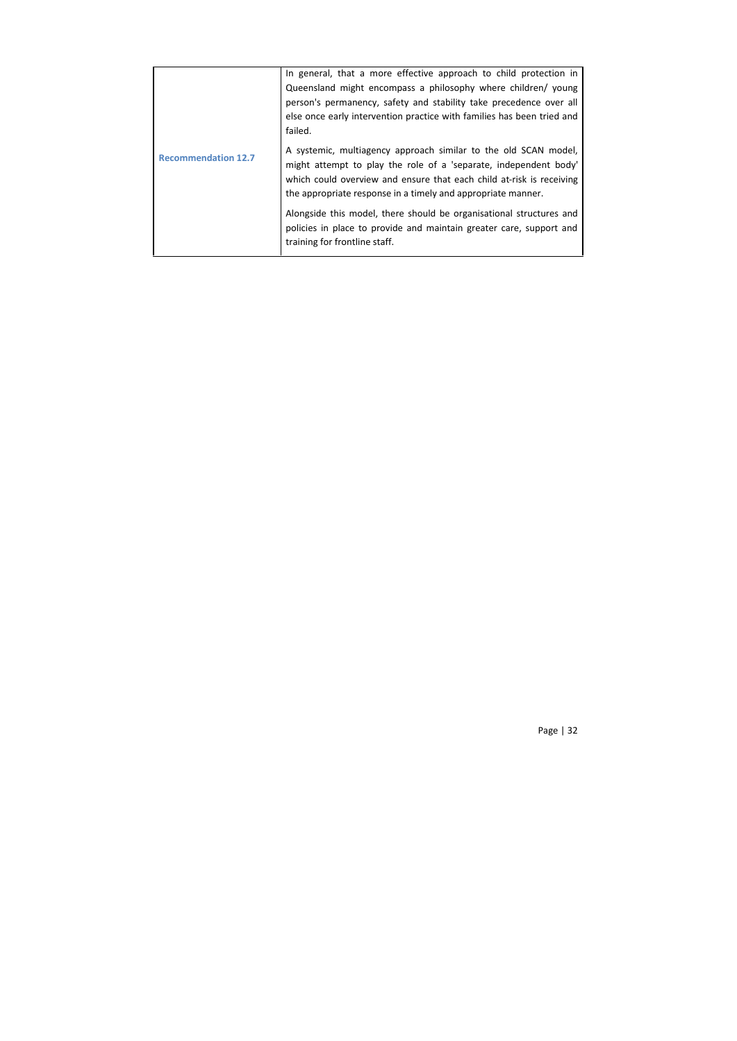| <b>Recommendation 12.7</b> | In general, that a more effective approach to child protection in<br>Queensland might encompass a philosophy where children/ young<br>person's permanency, safety and stability take precedence over all<br>else once early intervention practice with families has been tried and<br>failed. |
|----------------------------|-----------------------------------------------------------------------------------------------------------------------------------------------------------------------------------------------------------------------------------------------------------------------------------------------|
|                            | A systemic, multiagency approach similar to the old SCAN model,<br>might attempt to play the role of a 'separate, independent body'<br>which could overview and ensure that each child at-risk is receiving<br>the appropriate response in a timely and appropriate manner.                   |
|                            | Alongside this model, there should be organisational structures and<br>policies in place to provide and maintain greater care, support and<br>training for frontline staff.                                                                                                                   |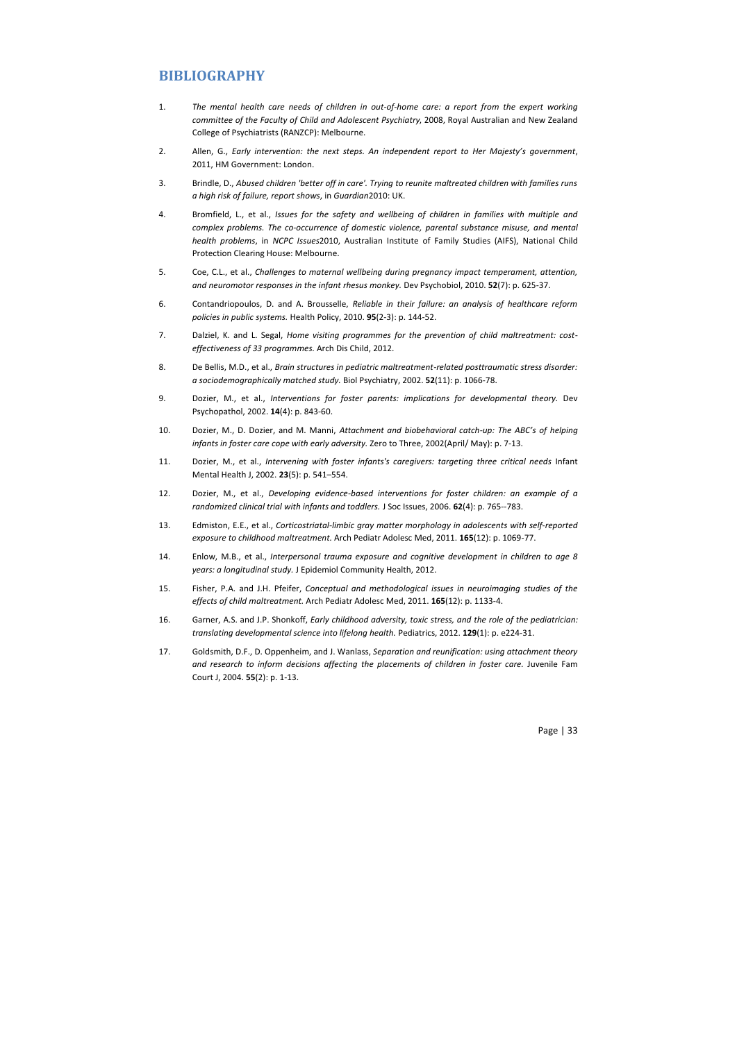# **BIBLIOGRAPHY**

- 1. *The mental health care needs of children in out-of-home care: a report from the expert working committee of the Faculty of Child and Adolescent Psychiatry*, 2008, Royal Australian and New Zealand College of Psychiatrists (RANZCP): Melbourne.
- 2. Allen, G., *Early intervention: the next steps. An independent report to Her Majesty's government*, 2011, HM Government: London.
- 3. Brindle, D., *Abused children 'better off in care'. Trying to reunite maltreated children with families runs a high risk of failure, report shows*, in *Guardian*2010: UK.
- 4. Bromfield, L., et al., *Issues for the safety and wellbeing of children in families with multiple and complex problems. The co-occurrence of domestic violence, parental substance misuse, and mental health problems*, in *NCPC Issues*2010, Australian Institute of Family Studies (AIFS), National Child Protection Clearing House: Melbourne.
- 5. Coe, C.L., et al., *Challenges to maternal wellbeing during pregnancy impact temperament, attention, and neuromotor responses in the infant rhesus monkey.* Dev Psychobiol, 2010. **52**(7): p. 625-37.
- 6. Contandriopoulos, D. and A. Brousselle, *Reliable in their failure: an analysis of healthcare reform policies in public systems.* Health Policy, 2010. **95**(2-3): p. 144-52.
- 7. Dalziel, K. and L. Segal, *Home visiting programmes for the prevention of child maltreatment: costeffectiveness of 33 programmes.* Arch Dis Child, 2012.
- 8. De Bellis, M.D., et al., *Brain structures in pediatric maltreatment-related posttraumatic stress disorder: a sociodemographically matched study.* Biol Psychiatry, 2002. **52**(11): p. 1066-78.
- 9. Dozier, M., et al., *Interventions for foster parents: implications for developmental theory.* Dev Psychopathol, 2002. **14**(4): p. 843-60.
- 10. Dozier, M., D. Dozier, and M. Manni, *Attachment and biobehavioral catch-up: The ABC's of helping infants in foster care cope with early adversity.* Zero to Three, 2002(April/ May): p. 7-13.
- 11. Dozier, M., et al., *Intervening with foster infants's caregivers: targeting three critical needs* Infant Mental Health J, 2002. **23**(5): p. 541–554.
- 12. Dozier, M., et al., *Developing evidence-based interventions for foster children: an example of a randomized clinical trial with infants and toddlers.* J Soc Issues, 2006. **62**(4): p. 765--783.
- 13. Edmiston, E.E., et al., *Corticostriatal-limbic gray matter morphology in adolescents with self-reported exposure to childhood maltreatment.* Arch Pediatr Adolesc Med, 2011. **165**(12): p. 1069-77.
- 14. Enlow, M.B., et al., *Interpersonal trauma exposure and cognitive development in children to age 8 years: a longitudinal study.* J Epidemiol Community Health, 2012.
- 15. Fisher, P.A. and J.H. Pfeifer, *Conceptual and methodological issues in neuroimaging studies of the effects of child maltreatment.* Arch Pediatr Adolesc Med, 2011. **165**(12): p. 1133-4.
- 16. Garner, A.S. and J.P. Shonkoff, *Early childhood adversity, toxic stress, and the role of the pediatrician: translating developmental science into lifelong health.* Pediatrics, 2012. **129**(1): p. e224-31.
- 17. Goldsmith, D.F., D. Oppenheim, and J. Wanlass, *Separation and reunification: using attachment theory and research to inform decisions affecting the placements of children in foster care.* Juvenile Fam Court J, 2004. **55**(2): p. 1-13.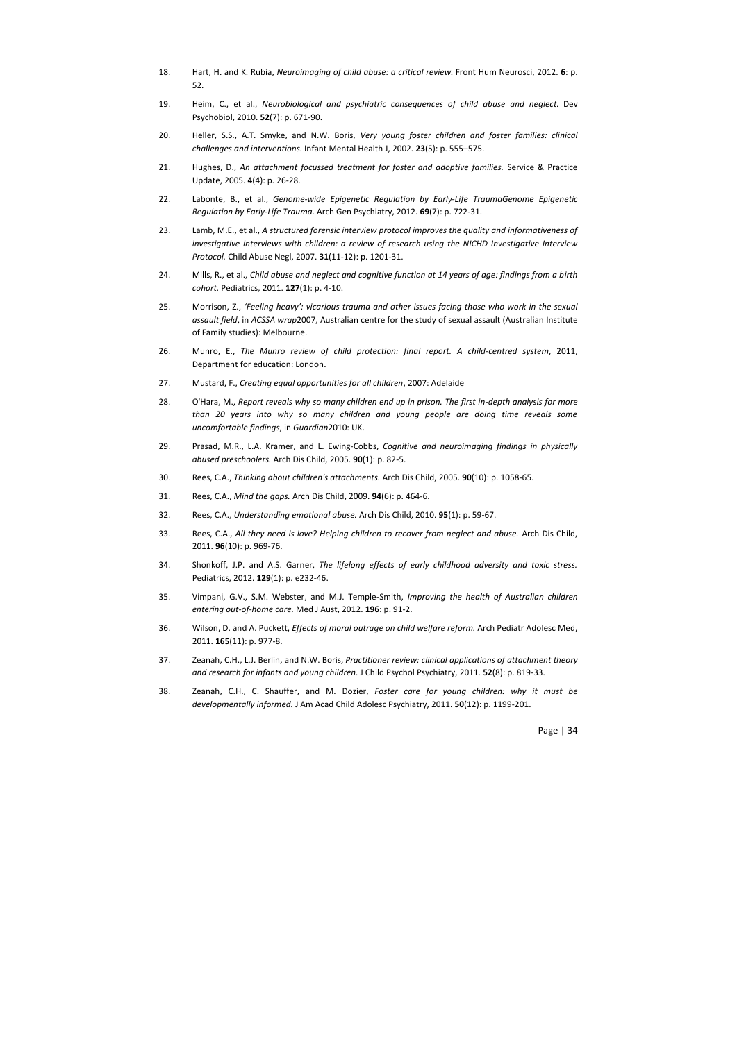- 18. Hart, H. and K. Rubia, *Neuroimaging of child abuse: a critical review.* Front Hum Neurosci, 2012. **6**: p. 52.
- 19. Heim, C., et al., *Neurobiological and psychiatric consequences of child abuse and neglect.* Dev Psychobiol, 2010. **52**(7): p. 671-90.
- 20. Heller, S.S., A.T. Smyke, and N.W. Boris, *Very young foster children and foster families: clinical challenges and interventions.* Infant Mental Health J, 2002. **23**(5): p. 555–575.
- 21. Hughes, D., *An attachment focussed treatment for foster and adoptive families.* Service & Practice Update, 2005. **4**(4): p. 26-28.
- 22. Labonte, B., et al., *Genome-wide Epigenetic Regulation by Early-Life TraumaGenome Epigenetic Regulation by Early-Life Trauma.* Arch Gen Psychiatry, 2012. **69**(7): p. 722-31.
- 23. Lamb, M.E., et al., *A structured forensic interview protocol improves the quality and informativeness of investigative interviews with children: a review of research using the NICHD Investigative Interview Protocol.* Child Abuse Negl, 2007. **31**(11-12): p. 1201-31.
- 24. Mills, R., et al., *Child abuse and neglect and cognitive function at 14 years of age: findings from a birth cohort.* Pediatrics, 2011. **127**(1): p. 4-10.
- 25. Morrison, Z., *'Feeling heavy': vicarious trauma and other issues facing those who work in the sexual assault field*, in *ACSSA wrap*2007, Australian centre for the study of sexual assault (Australian Institute of Family studies): Melbourne.
- 26. Munro, E., *The Munro review of child protection: final report. A child-centred system*, 2011, Department for education: London.
- 27. Mustard, F., *Creating equal opportunities for all children*, 2007: Adelaide
- 28. O'Hara, M., *Report reveals why so many children end up in prison. The first in-depth analysis for more than 20 years into why so many children and young people are doing time reveals some uncomfortable findings*, in *Guardian*2010: UK.
- 29. Prasad, M.R., L.A. Kramer, and L. Ewing-Cobbs, *Cognitive and neuroimaging findings in physically abused preschoolers.* Arch Dis Child, 2005. **90**(1): p. 82-5.
- 30. Rees, C.A., *Thinking about children's attachments.* Arch Dis Child, 2005. **90**(10): p. 1058-65.
- 31. Rees, C.A., *Mind the gaps.* Arch Dis Child, 2009. **94**(6): p. 464-6.
- 32. Rees, C.A., *Understanding emotional abuse.* Arch Dis Child, 2010. **95**(1): p. 59-67.
- 33. Rees, C.A., *All they need is love? Helping children to recover from neglect and abuse.* Arch Dis Child, 2011. **96**(10): p. 969-76.
- 34. Shonkoff, J.P. and A.S. Garner, *The lifelong effects of early childhood adversity and toxic stress.* Pediatrics, 2012. **129**(1): p. e232-46.
- 35. Vimpani, G.V., S.M. Webster, and M.J. Temple-Smith, *Improving the health of Australian children entering out-of-home care.* Med J Aust, 2012. **196**: p. 91-2.
- 36. Wilson, D. and A. Puckett, *Effects of moral outrage on child welfare reform.* Arch Pediatr Adolesc Med, 2011. **165**(11): p. 977-8.
- 37. Zeanah, C.H., L.J. Berlin, and N.W. Boris, *Practitioner review: clinical applications of attachment theory and research for infants and young children.* J Child Psychol Psychiatry, 2011. **52**(8): p. 819-33.
- 38. Zeanah, C.H., C. Shauffer, and M. Dozier, *Foster care for young children: why it must be developmentally informed.* J Am Acad Child Adolesc Psychiatry, 2011. **50**(12): p. 1199-201.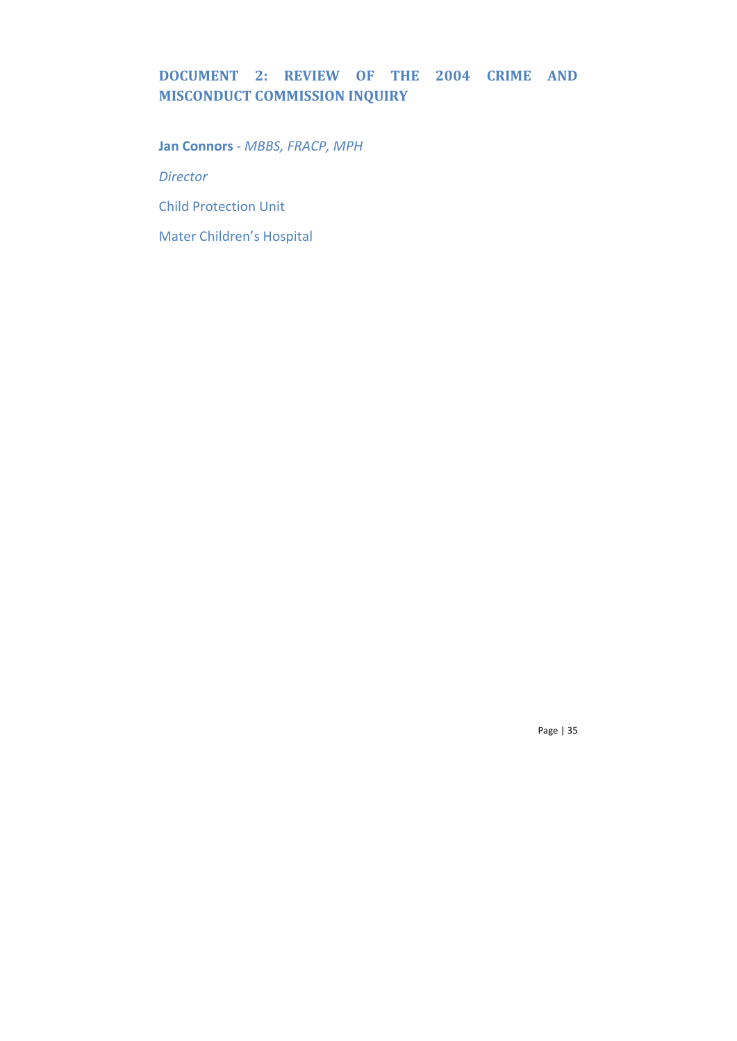# **DOCUMENT 2: REVIEW OF THE 2004 CRIME AND MISCONDUCT COMMISSION INQUIRY**

**Jan Connors** *- MBBS, FRACP, MPH*

*Director*

Child Protection Unit

Mater Children's Hospital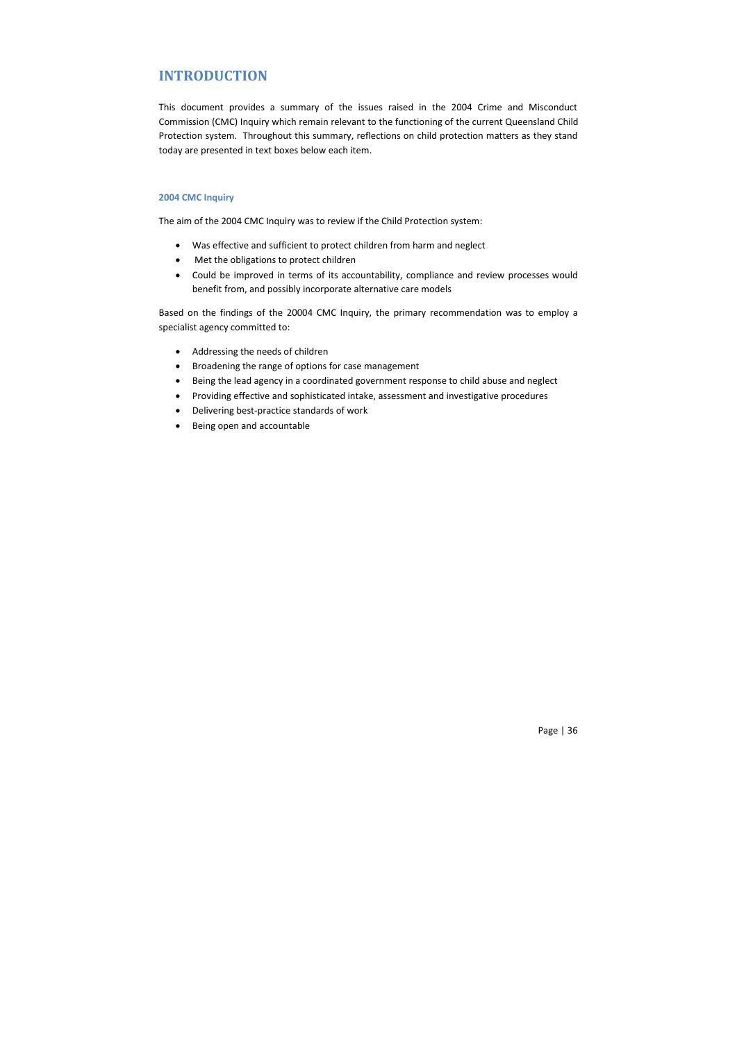# **INTRODUCTION**

This document provides a summary of the issues raised in the 2004 Crime and Misconduct Commission (CMC) Inquiry which remain relevant to the functioning of the current Queensland Child Protection system. Throughout this summary, reflections on child protection matters as they stand today are presented in text boxes below each item.

## **2004 CMC Inquiry**

The aim of the 2004 CMC Inquiry was to review if the Child Protection system:

- Was effective and sufficient to protect children from harm and neglect
- Met the obligations to protect children
- Could be improved in terms of its accountability, compliance and review processes would benefit from, and possibly incorporate alternative care models

Based on the findings of the 20004 CMC Inquiry, the primary recommendation was to employ a specialist agency committed to:

- Addressing the needs of children
- Broadening the range of options for case management
- Being the lead agency in a coordinated government response to child abuse and neglect
- Providing effective and sophisticated intake, assessment and investigative procedures
- Delivering best-practice standards of work
- Being open and accountable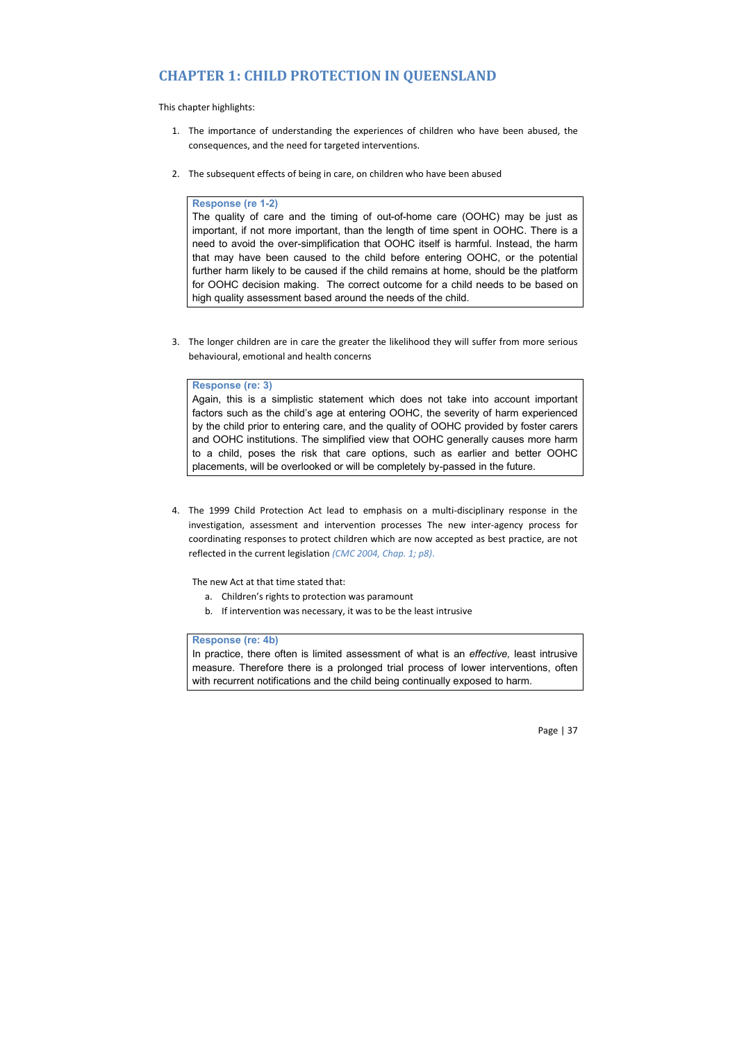# **CHAPTER 1: CHILD PROTECTION IN QUEENSLAND**

This chapter highlights:

- 1. The importance of understanding the experiences of children who have been abused, the consequences, and the need for targeted interventions.
- 2. The subsequent effects of being in care, on children who have been abused

#### **Response (re 1-2)**

The quality of care and the timing of out-of-home care (OOHC) may be just as important, if not more important, than the length of time spent in OOHC. There is a need to avoid the over-simplification that OOHC itself is harmful. Instead, the harm that may have been caused to the child before entering OOHC, or the potential further harm likely to be caused if the child remains at home, should be the platform for OOHC decision making. The correct outcome for a child needs to be based on high quality assessment based around the needs of the child.

3. The longer children are in care the greater the likelihood they will suffer from more serious behavioural, emotional and health concerns

## **Response (re: 3)**

Again, this is a simplistic statement which does not take into account important factors such as the child's age at entering OOHC, the severity of harm experienced by the child prior to entering care, and the quality of OOHC provided by foster carers and OOHC institutions. The simplified view that OOHC generally causes more harm to a child, poses the risk that care options, such as earlier and better OOHC placements, will be overlooked or will be completely by-passed in the future.

4. The 1999 Child Protection Act lead to emphasis on a multi-disciplinary response in the investigation, assessment and intervention processes The new inter-agency process for coordinating responses to protect children which are now accepted as best practice, are not reflected in the current legislation *(CMC 2004, Chap. 1; p8)*.

The new Act at that time stated that:

- a. Children's rights to protection was paramount
- b. If intervention was necessary, it was to be the least intrusive

## **Response (re: 4b)**

In practice, there often is limited assessment of what is an *effective,* least intrusive measure. Therefore there is a prolonged trial process of lower interventions, often with recurrent notifications and the child being continually exposed to harm.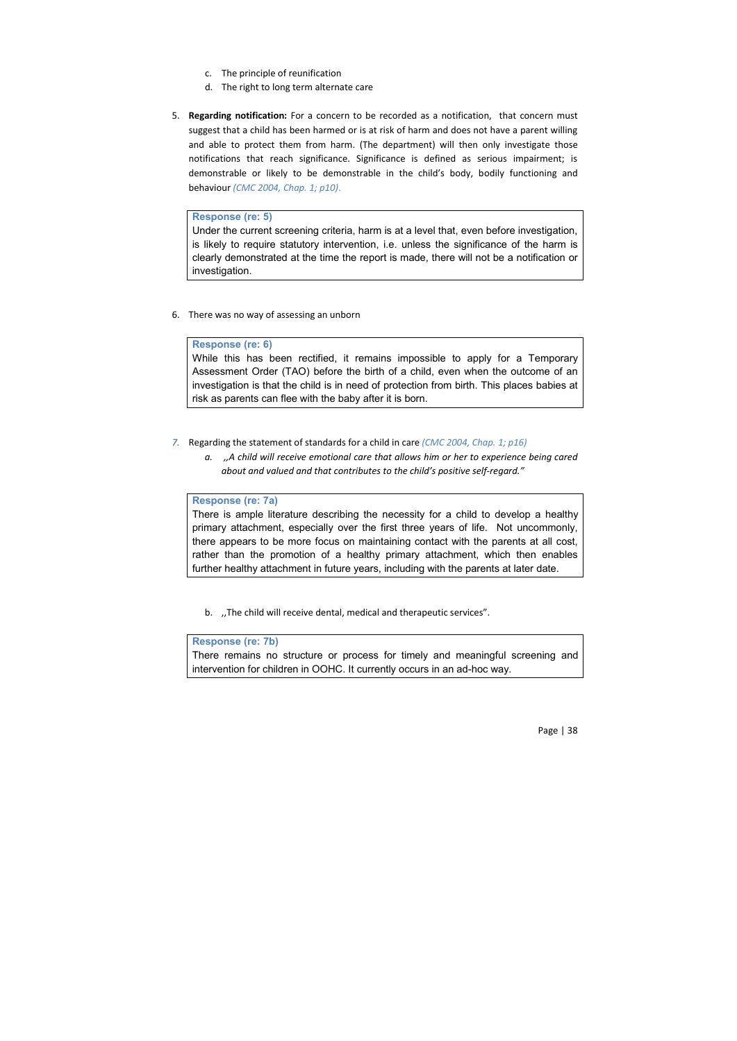- c. The principle of reunification
- d. The right to long term alternate care
- 5. **Regarding notification:** For a concern to be recorded as a notification,that concern must suggest that a child has been harmed or is at risk of harm and does not have a parent willing and able to protect them from harm. (The department) will then only investigate those notifications that reach significance. Significance is defined as serious impairment; is demonstrable or likely to be demonstrable in the child's body, bodily functioning and behaviour *(CMC 2004, Chap. 1; p10)*.

#### **Response (re: 5)**

Under the current screening criteria, harm is at a level that, even before investigation, is likely to require statutory intervention, i.e. unless the significance of the harm is clearly demonstrated at the time the report is made, there will not be a notification or investigation.

6. There was no way of assessing an unborn

#### **Response (re: 6)**

While this has been rectified, it remains impossible to apply for a Temporary Assessment Order (TAO) before the birth of a child, even when the outcome of an investigation is that the child is in need of protection from birth. This places babies at risk as parents can flee with the baby after it is born.

- *7.* Regarding the statement of standards for a child in care *(CMC 2004, Chap. 1; p16)*
	- *a. ,,A child will receive emotional care that allows him or her to experience being cared about and valued and that contributes to the child's positive self-regard."*

#### **Response (re: 7a)**

There is ample literature describing the necessity for a child to develop a healthy primary attachment, especially over the first three years of life. Not uncommonly, there appears to be more focus on maintaining contact with the parents at all cost, rather than the promotion of a healthy primary attachment, which then enables further healthy attachment in future years, including with the parents at later date.

b. "The child will receive dental, medical and therapeutic services".

## **Response (re: 7b)**

There remains no structure or process for timely and meaningful screening and intervention for children in OOHC. It currently occurs in an ad-hoc way.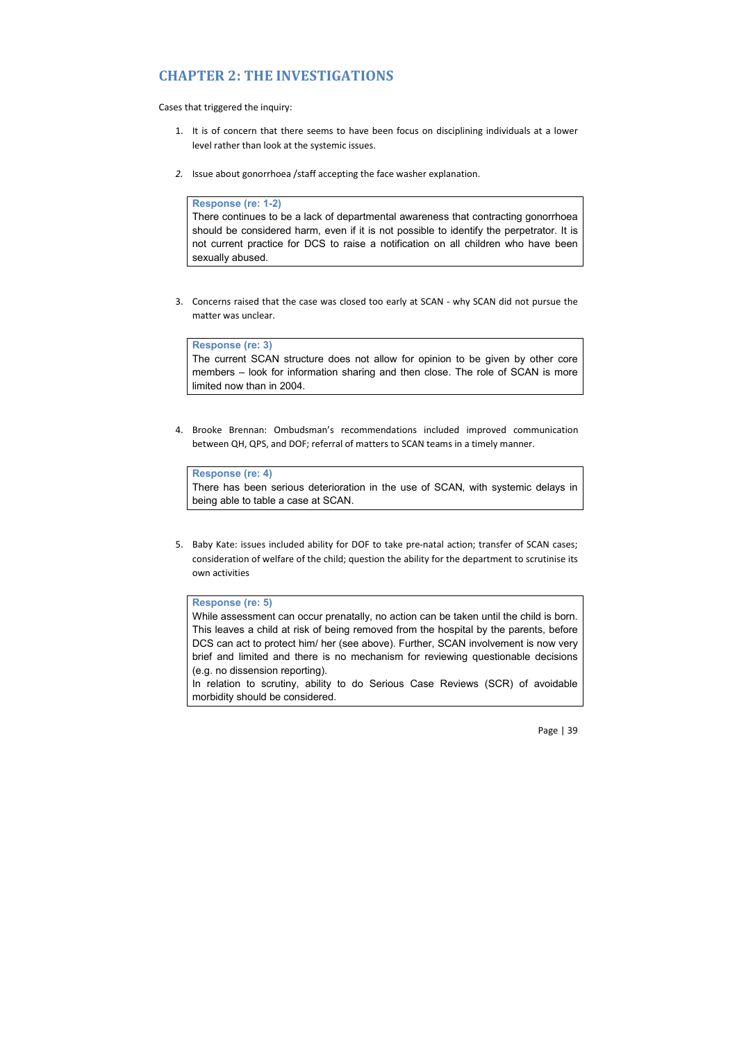# **CHAPTER 2: THE INVESTIGATIONS**

Cases that triggered the inquiry:

- 1. It is of concern that there seems to have been focus on disciplining individuals at a lower level rather than look at the systemic issues.
- *2.* Issue about gonorrhoea /staff accepting the face washer explanation.

#### **Response (re: 1-2)**

There continues to be a lack of departmental awareness that contracting gonorrhoea should be considered harm, even if it is not possible to identify the perpetrator. It is not current practice for DCS to raise a notification on all children who have been sexually abused.

3. Concerns raised that the case was closed too early at SCAN - why SCAN did not pursue the matter was unclear.

**Response (re: 3)**

The current SCAN structure does not allow for opinion to be given by other core members – look for information sharing and then close. The role of SCAN is more limited now than in 2004.

4. Brooke Brennan: Ombudsman's recommendations included improved communication between QH, QPS, and DOF; referral of matters to SCAN teams in a timely manner.

# **Response (re: 4)**

There has been serious deterioration in the use of SCAN, with systemic delays in being able to table a case at SCAN.

5. Baby Kate: issues included ability for DOF to take pre-natal action; transfer of SCAN cases; consideration of welfare of the child; question the ability for the department to scrutinise its own activities

## **Response (re: 5)**

While assessment can occur prenatally, no action can be taken until the child is born. This leaves a child at risk of being removed from the hospital by the parents, before DCS can act to protect him/ her (see above). Further, SCAN involvement is now very brief and limited and there is no mechanism for reviewing questionable decisions (e.g. no dissension reporting).

In relation to scrutiny, ability to do Serious Case Reviews (SCR) of avoidable morbidity should be considered.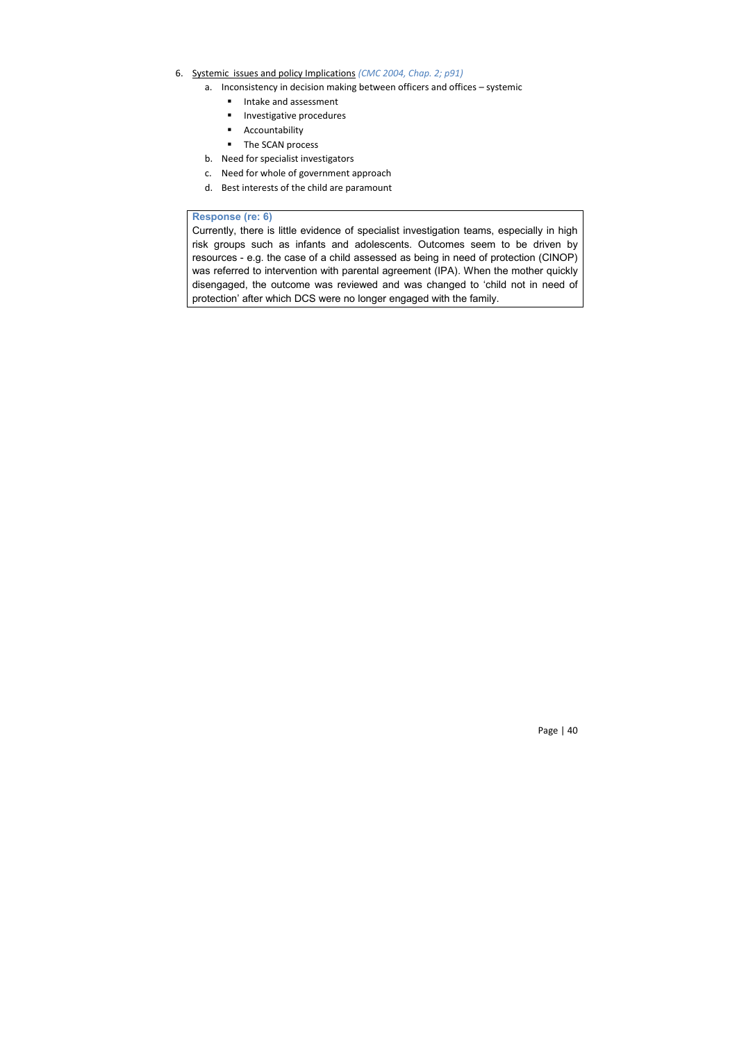- 6. Systemic issues and policy Implications *(CMC 2004, Chap. 2; p91)*
	- a. Inconsistency in decision making between officers and offices systemic
		- **Intake and assessment**
		- **Investigative procedures**
		- **Accountability**
		- The SCAN process
	- b. Need for specialist investigators
	- c. Need for whole of government approach
	- d. Best interests of the child are paramount

## **Response (re: 6)**

Currently, there is little evidence of specialist investigation teams, especially in high risk groups such as infants and adolescents. Outcomes seem to be driven by resources - e.g. the case of a child assessed as being in need of protection (CINOP) was referred to intervention with parental agreement (IPA). When the mother quickly disengaged, the outcome was reviewed and was changed to 'child not in need of protection' after which DCS were no longer engaged with the family.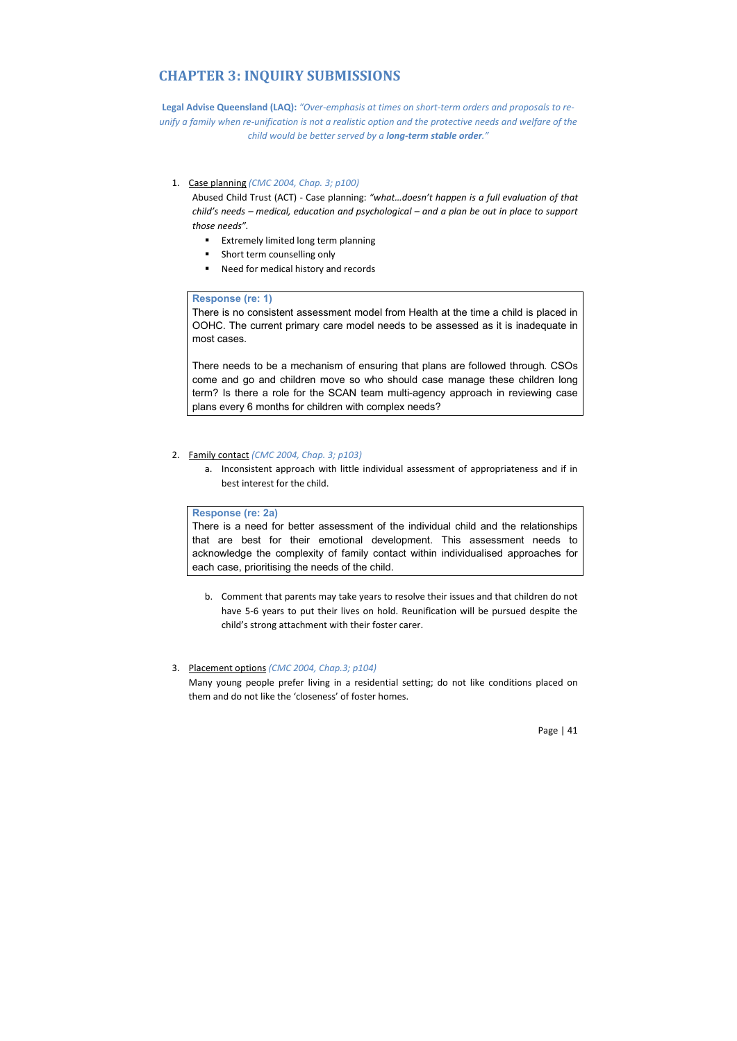# **CHAPTER 3: INQUIRY SUBMISSIONS**

**Legal Advise Queensland (LAQ):** *"Over-emphasis at times on short-term orders and proposals to reunify a family when re-unification is not a realistic option and the protective needs and welfare of the child would be better served by a long-term stable order."*

## 1. Case planning *(CMC 2004, Chap. 3; p100)*

Abused Child Trust (ACT) - Case planning: *"what…doesn't happen is a full evaluation of that child's needs – medical, education and psychological – and a plan be out in place to support those needs".*

- **Extremely limited long term planning**
- **short term counselling only**
- Need for medical history and records

#### **Response (re: 1)**

There is no consistent assessment model from Health at the time a child is placed in OOHC. The current primary care model needs to be assessed as it is inadequate in most cases.

There needs to be a mechanism of ensuring that plans are followed through. CSOs come and go and children move so who should case manage these children long term? Is there a role for the SCAN team multi-agency approach in reviewing case plans every 6 months for children with complex needs?

#### 2. Family contact *(CMC 2004, Chap. 3; p103)*

a. Inconsistent approach with little individual assessment of appropriateness and if in best interest for the child.

# **Response (re: 2a)**

There is a need for better assessment of the individual child and the relationships that are best for their emotional development. This assessment needs to acknowledge the complexity of family contact within individualised approaches for each case, prioritising the needs of the child.

b. Comment that parents may take years to resolve their issues and that children do not have 5-6 years to put their lives on hold. Reunification will be pursued despite the child's strong attachment with their foster carer.

#### 3. Placement options *(CMC 2004, Chap.3; p104)*

Many young people prefer living in a residential setting; do not like conditions placed on them and do not like the 'closeness' of foster homes.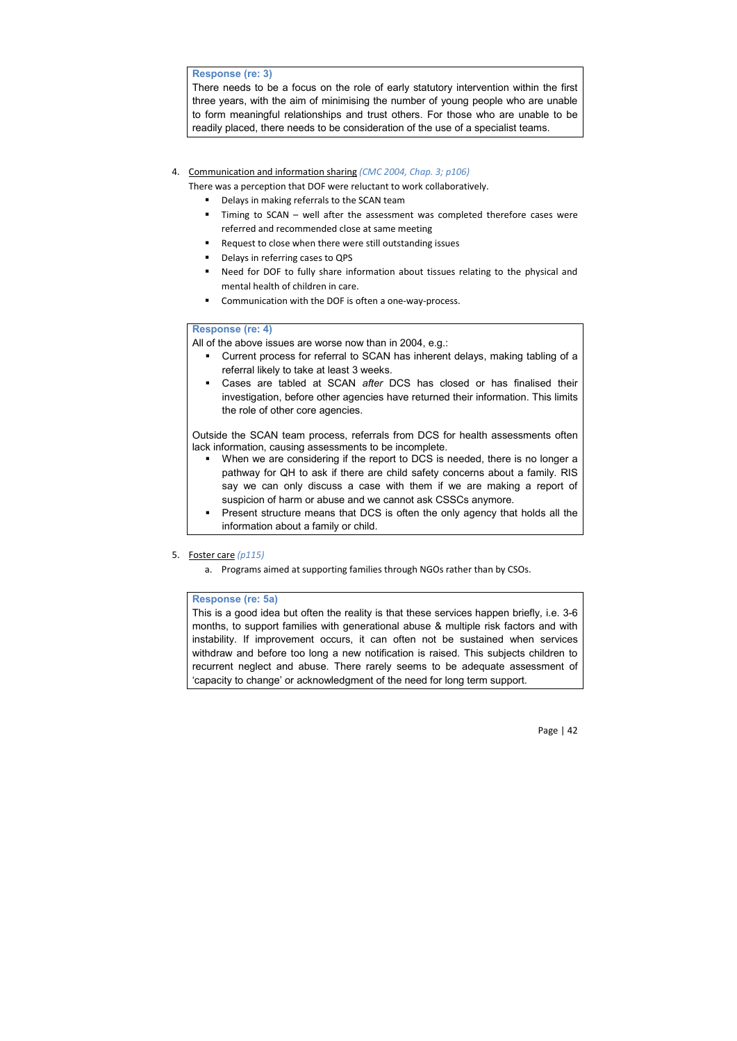## **Response (re: 3)**

There needs to be a focus on the role of early statutory intervention within the first three years, with the aim of minimising the number of young people who are unable to form meaningful relationships and trust others. For those who are unable to be readily placed, there needs to be consideration of the use of a specialist teams.

- 4. Communication and information sharing *(CMC 2004, Chap. 3; p106)*
	- There was a perception that DOF were reluctant to work collaboratively.
		- **•** Delays in making referrals to the SCAN team
		- Timing to SCAN well after the assessment was completed therefore cases were referred and recommended close at same meeting
		- Request to close when there were still outstanding issues
		- Delays in referring cases to QPS
		- Need for DOF to fully share information about tissues relating to the physical and mental health of children in care.
		- Communication with the DOF is often a one-way-process.

#### **Response (re: 4)**

- All of the above issues are worse now than in 2004, e.g.:
	- Current process for referral to SCAN has inherent delays, making tabling of a referral likely to take at least 3 weeks.
	- Cases are tabled at SCAN *after* DCS has closed or has finalised their investigation, before other agencies have returned their information. This limits the role of other core agencies.

Outside the SCAN team process, referrals from DCS for health assessments often lack information, causing assessments to be incomplete.

- When we are considering if the report to DCS is needed, there is no longer a pathway for QH to ask if there are child safety concerns about a family. RIS say we can only discuss a case with them if we are making a report of suspicion of harm or abuse and we cannot ask CSSCs anymore.
- Present structure means that DCS is often the only agency that holds all the information about a family or child.

5. Foster care *(p115)*

a. Programs aimed at supporting families through NGOs rather than by CSOs.

#### **Response (re: 5a)**

This is a good idea but often the reality is that these services happen briefly, i.e. 3-6 months, to support families with generational abuse & multiple risk factors and with instability. If improvement occurs, it can often not be sustained when services withdraw and before too long a new notification is raised. This subjects children to recurrent neglect and abuse. There rarely seems to be adequate assessment of 'capacity to change' or acknowledgment of the need for long term support.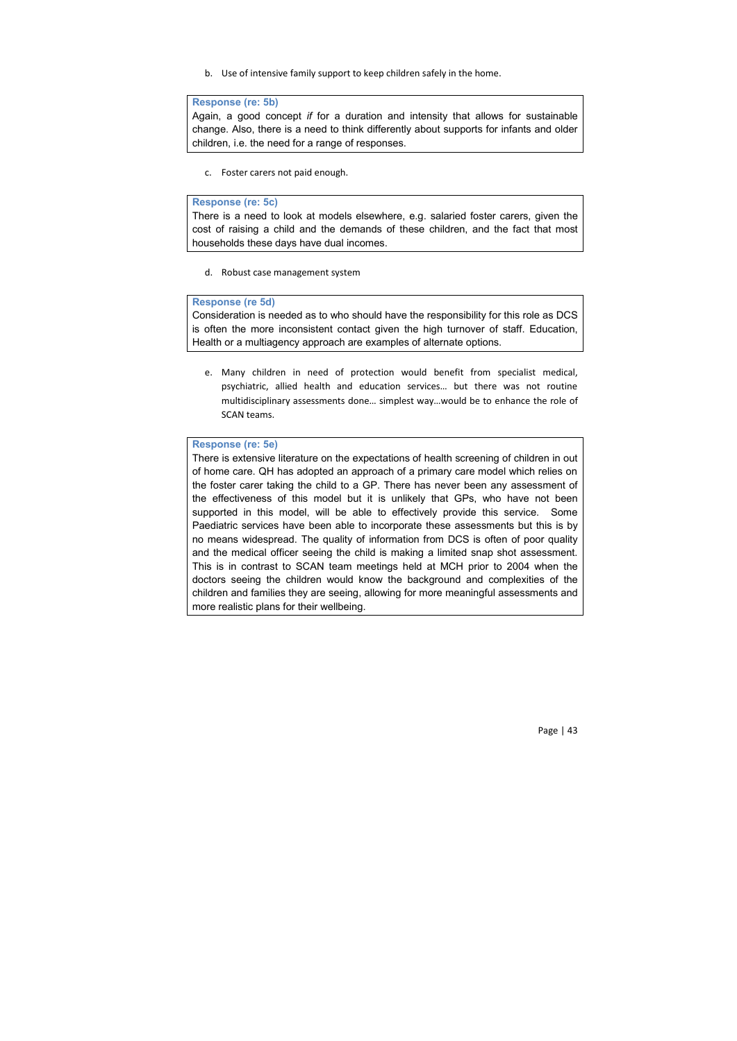b. Use of intensive family support to keep children safely in the home.

## **Response (re: 5b)**

Again, a good concept *if* for a duration and intensity that allows for sustainable change. Also, there is a need to think differently about supports for infants and older children, i.e. the need for a range of responses.

c. Foster carers not paid enough.

### **Response (re: 5c)**

There is a need to look at models elsewhere, e.g. salaried foster carers, given the cost of raising a child and the demands of these children, and the fact that most households these days have dual incomes.

d. Robust case management system

### **Response (re 5d)**

Consideration is needed as to who should have the responsibility for this role as DCS is often the more inconsistent contact given the high turnover of staff. Education, Health or a multiagency approach are examples of alternate options.

e. Many children in need of protection would benefit from specialist medical, psychiatric, allied health and education services… but there was not routine multidisciplinary assessments done… simplest way…would be to enhance the role of SCAN teams.

# **Response (re: 5e)**

There is extensive literature on the expectations of health screening of children in out of home care. QH has adopted an approach of a primary care model which relies on the foster carer taking the child to a GP. There has never been any assessment of the effectiveness of this model but it is unlikely that GPs, who have not been supported in this model, will be able to effectively provide this service. Some Paediatric services have been able to incorporate these assessments but this is by no means widespread. The quality of information from DCS is often of poor quality and the medical officer seeing the child is making a limited snap shot assessment. This is in contrast to SCAN team meetings held at MCH prior to 2004 when the doctors seeing the children would know the background and complexities of the children and families they are seeing, allowing for more meaningful assessments and more realistic plans for their wellbeing.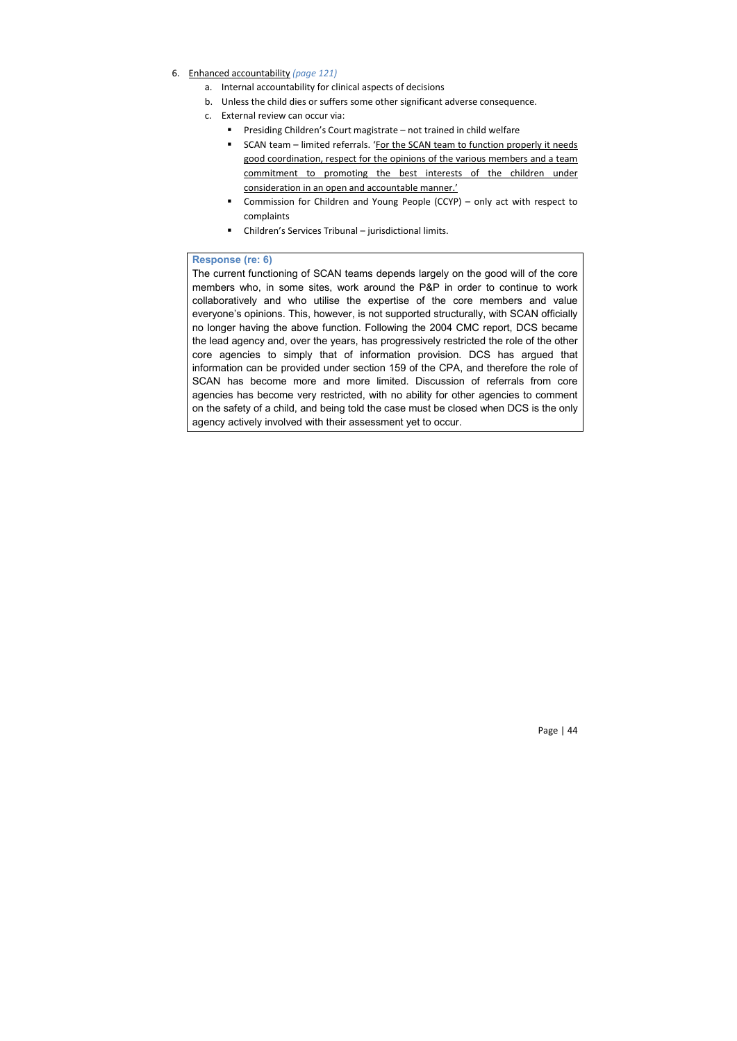- 6. Enhanced accountability *(page 121)*
	- a. Internal accountability for clinical aspects of decisions
	- b. Unless the child dies or suffers some other significant adverse consequence.
	- c. External review can occur via:
		- Presiding Children's Court magistrate not trained in child welfare
		- **SCAN team limited referrals. 'For the SCAN team to function properly it needs** good coordination, respect for the opinions of the various members and a team commitment to promoting the best interests of the children under consideration in an open and accountable manner.'
		- Commission for Children and Young People (CCYP) only act with respect to complaints
		- Children's Services Tribunal jurisdictional limits.

## **Response (re: 6)**

The current functioning of SCAN teams depends largely on the good will of the core members who, in some sites, work around the P&P in order to continue to work collaboratively and who utilise the expertise of the core members and value everyone's opinions. This, however, is not supported structurally, with SCAN officially no longer having the above function. Following the 2004 CMC report, DCS became the lead agency and, over the years, has progressively restricted the role of the other core agencies to simply that of information provision. DCS has argued that information can be provided under section 159 of the CPA, and therefore the role of SCAN has become more and more limited. Discussion of referrals from core agencies has become very restricted, with no ability for other agencies to comment on the safety of a child, and being told the case must be closed when DCS is the only agency actively involved with their assessment yet to occur.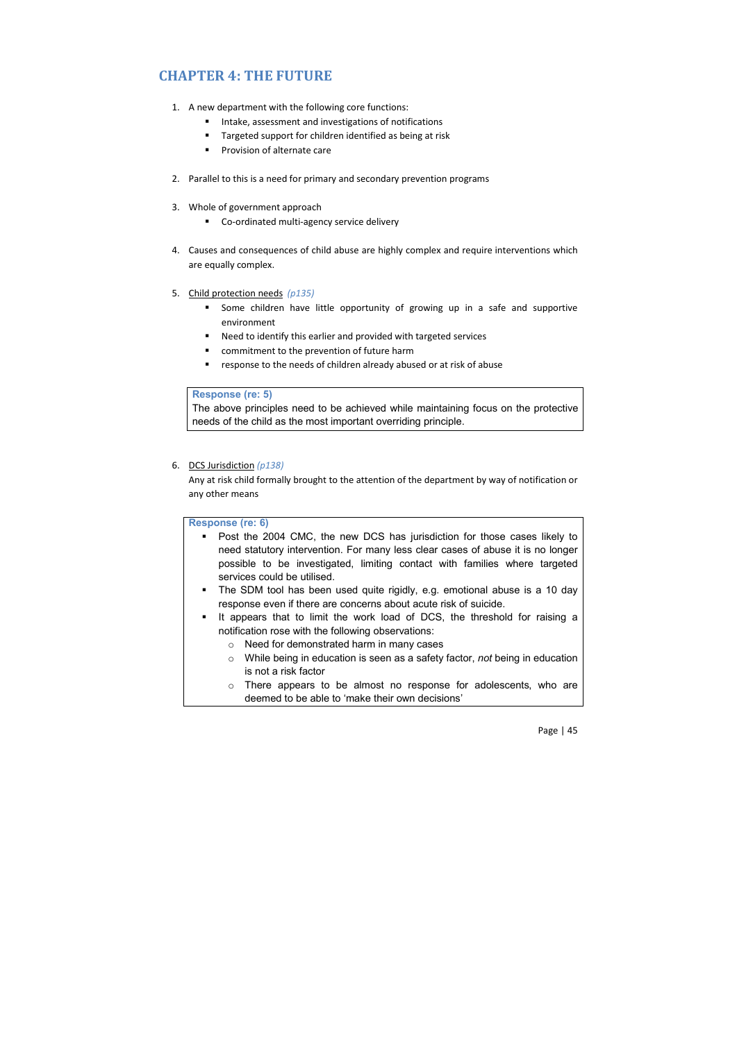# **CHAPTER 4: THE FUTURE**

- 1. A new department with the following core functions:
	- Intake, assessment and investigations of notifications
	- Targeted support for children identified as being at risk
	- Provision of alternate care
- 2. Parallel to this is a need for primary and secondary prevention programs
- 3. Whole of government approach
	- Co-ordinated multi-agency service delivery
- 4. Causes and consequences of child abuse are highly complex and require interventions which are equally complex.
- 5. Child protection needs *(p135)*
	- **Some children have little opportunity of growing up in a safe and supportive** environment
	- Need to identify this earlier and provided with targeted services
	- commitment to the prevention of future harm
	- response to the needs of children already abused or at risk of abuse

#### **Response (re: 5)**

The above principles need to be achieved while maintaining focus on the protective needs of the child as the most important overriding principle.

# 6. DCS Jurisdiction *(p138)*

Any at risk child formally brought to the attention of the department by way of notification or any other means

## **Response (re: 6)**

 Post the 2004 CMC, the new DCS has jurisdiction for those cases likely to need statutory intervention. For many less clear cases of abuse it is no longer possible to be investigated, limiting contact with families where targeted services could be utilised.

- The SDM tool has been used quite rigidly, e.g. emotional abuse is a 10 day response even if there are concerns about acute risk of suicide.
- It appears that to limit the work load of DCS, the threshold for raising a notification rose with the following observations:
	- o Need for demonstrated harm in many cases
	- o While being in education is seen as a safety factor, *not* being in education is not a risk factor
	- o There appears to be almost no response for adolescents, who are deemed to be able to 'make their own decisions'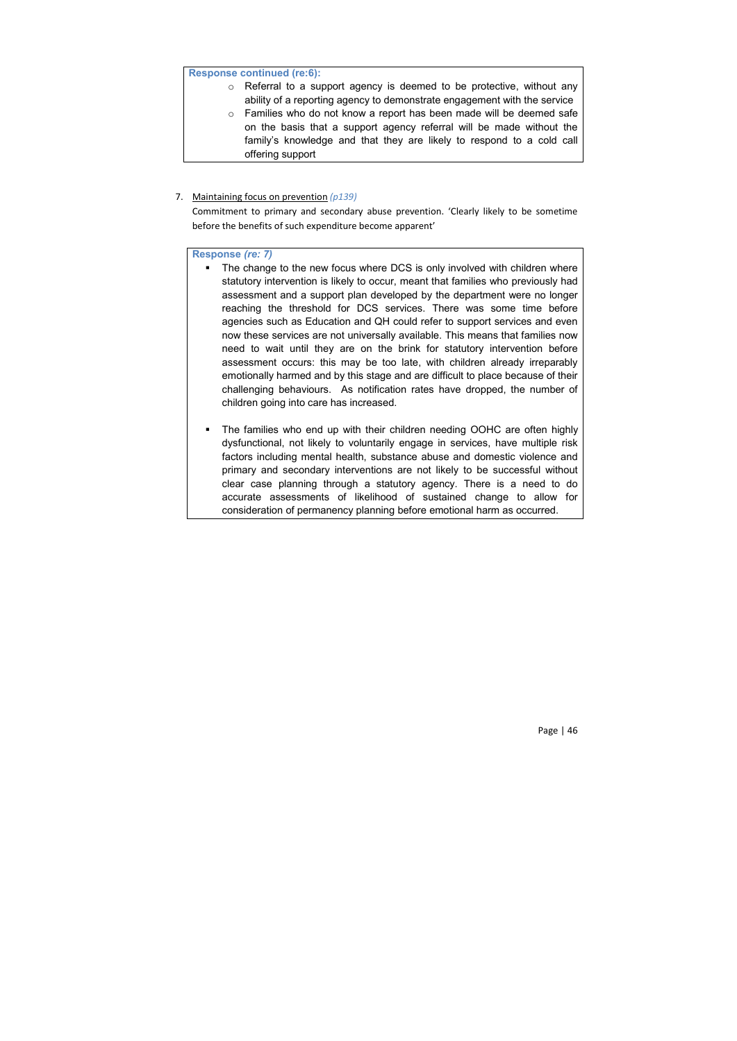## **Response continued (re:6):**

- o Referral to a support agency is deemed to be protective, without any ability of a reporting agency to demonstrate engagement with the service
- o Families who do not know a report has been made will be deemed safe on the basis that a support agency referral will be made without the family's knowledge and that they are likely to respond to a cold call offering support

#### 7. Maintaining focus on prevention *(p139)*

Commitment to primary and secondary abuse prevention. 'Clearly likely to be sometime before the benefits of such expenditure become apparent'

## **Response** *(re: 7)*

- The change to the new focus where DCS is only involved with children where statutory intervention is likely to occur, meant that families who previously had assessment and a support plan developed by the department were no longer reaching the threshold for DCS services. There was some time before agencies such as Education and QH could refer to support services and even now these services are not universally available. This means that families now need to wait until they are on the brink for statutory intervention before assessment occurs: this may be too late, with children already irreparably emotionally harmed and by this stage and are difficult to place because of their challenging behaviours. As notification rates have dropped, the number of children going into care has increased.
- The families who end up with their children needing OOHC are often highly dysfunctional, not likely to voluntarily engage in services, have multiple risk factors including mental health, substance abuse and domestic violence and primary and secondary interventions are not likely to be successful without clear case planning through a statutory agency. There is a need to do accurate assessments of likelihood of sustained change to allow for consideration of permanency planning before emotional harm as occurred.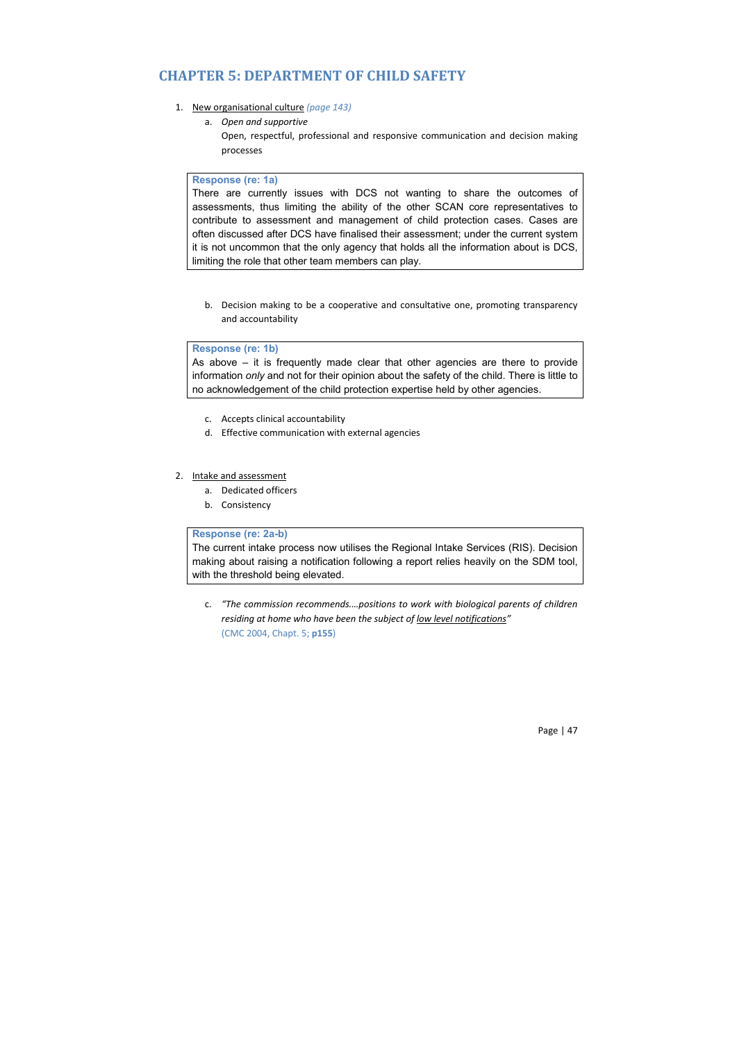# **CHAPTER 5: DEPARTMENT OF CHILD SAFETY**

- 1. New organisational culture *(page 143)*
	- a. *Open and supportive*
		- Open, respectful, professional and responsive communication and decision making processes

#### **Response (re: 1a)**

There are currently issues with DCS not wanting to share the outcomes of assessments, thus limiting the ability of the other SCAN core representatives to contribute to assessment and management of child protection cases. Cases are often discussed after DCS have finalised their assessment; under the current system it is not uncommon that the only agency that holds all the information about is DCS, limiting the role that other team members can play.

b. Decision making to be a cooperative and consultative one, promoting transparency and accountability

#### **Response (re: 1b)**

As above – it is frequently made clear that other agencies are there to provide information *only* and not for their opinion about the safety of the child. There is little to no acknowledgement of the child protection expertise held by other agencies.

- c. Accepts clinical accountability
- d. Effective communication with external agencies

#### 2. Intake and assessment

- a. Dedicated officers
- b. Consistency

### **Response (re: 2a-b)**

The current intake process now utilises the Regional Intake Services (RIS). Decision making about raising a notification following a report relies heavily on the SDM tool, with the threshold being elevated.

c. *"The commission recommends.…positions to work with biological parents of children residing at home who have been the subject of low level notifications"* (CMC 2004, Chapt. 5; **p155**)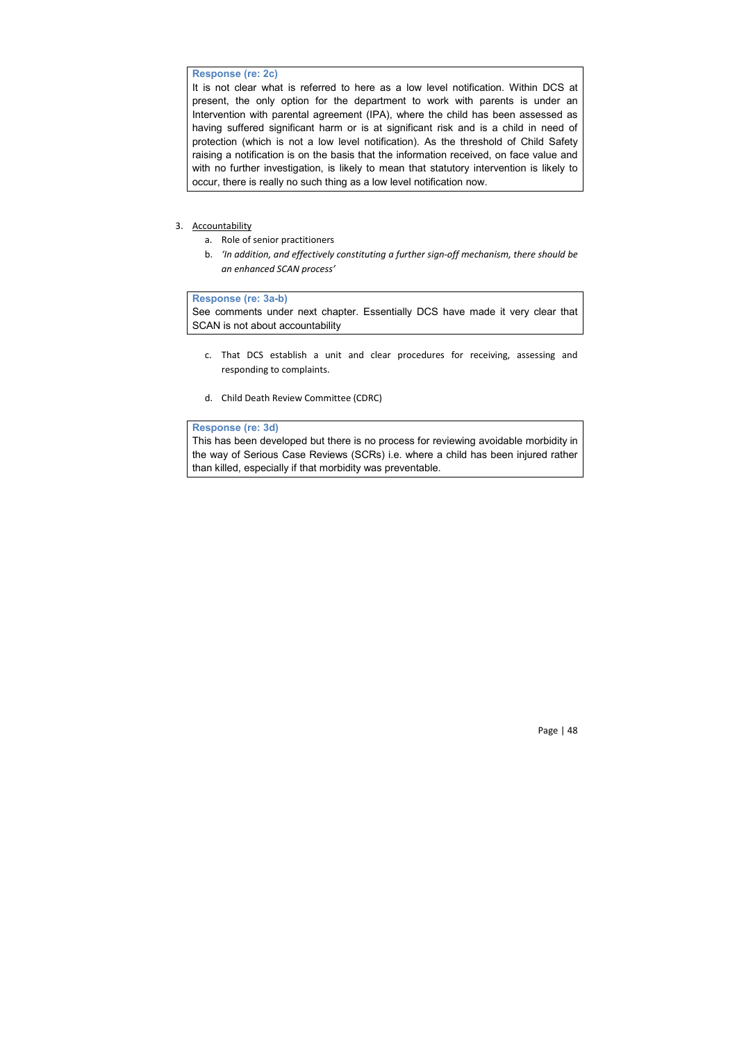# **Response (re: 2c)**

It is not clear what is referred to here as a low level notification. Within DCS at present, the only option for the department to work with parents is under an Intervention with parental agreement (IPA), where the child has been assessed as having suffered significant harm or is at significant risk and is a child in need of protection (which is not a low level notification). As the threshold of Child Safety raising a notification is on the basis that the information received, on face value and with no further investigation, is likely to mean that statutory intervention is likely to occur, there is really no such thing as a low level notification now.

# 3. Accountability

- a. Role of senior practitioners
- b. *'In addition, and effectively constituting a further sign-off mechanism, there should be an enhanced SCAN process'*

## **Response (re: 3a-b)**

See comments under next chapter. Essentially DCS have made it very clear that SCAN is not about accountability

- c. That DCS establish a unit and clear procedures for receiving, assessing and responding to complaints.
- d. Child Death Review Committee (CDRC)

## **Response (re: 3d)**

This has been developed but there is no process for reviewing avoidable morbidity in the way of Serious Case Reviews (SCRs) i.e. where a child has been injured rather than killed, especially if that morbidity was preventable.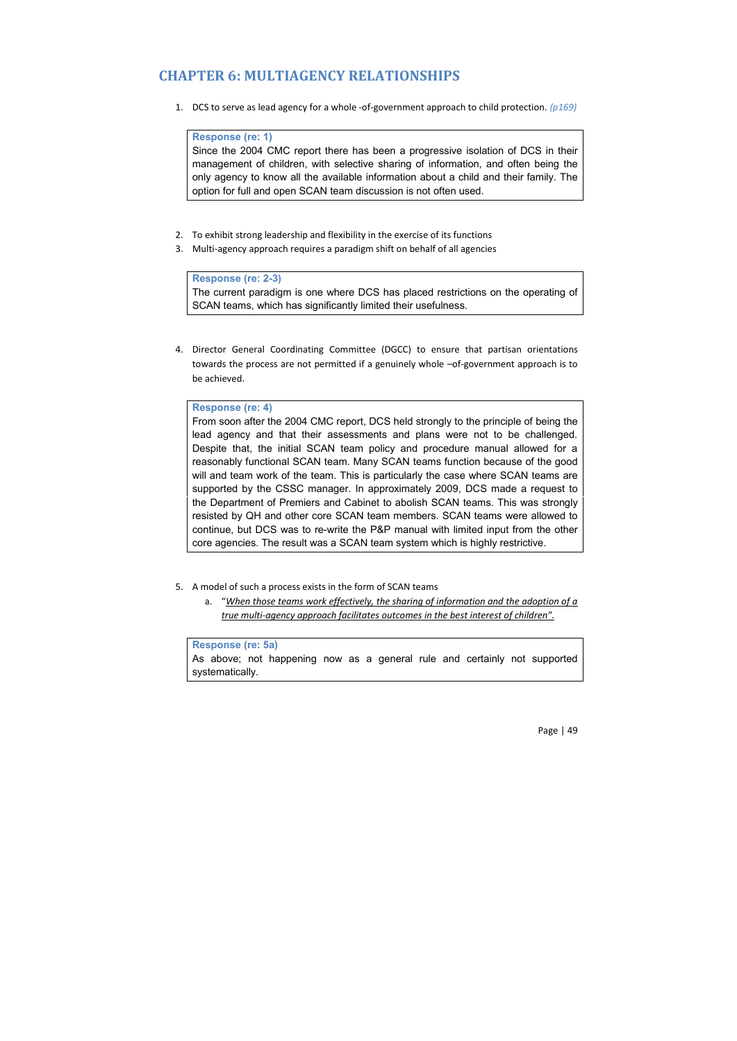# **CHAPTER 6: MULTIAGENCY RELATIONSHIPS**

1. DCS to serve as lead agency for a whole -of-government approach to child protection. *(p169)* 

#### **Response (re: 1)**

Since the 2004 CMC report there has been a progressive isolation of DCS in their management of children, with selective sharing of information, and often being the only agency to know all the available information about a child and their family. The option for full and open SCAN team discussion is not often used.

- 2. To exhibit strong leadership and flexibility in the exercise of its functions
- 3. Multi-agency approach requires a paradigm shift on behalf of all agencies

# **Response (re: 2-3)**

The current paradigm is one where DCS has placed restrictions on the operating of SCAN teams, which has significantly limited their usefulness.

4. Director General Coordinating Committee (DGCC) to ensure that partisan orientations towards the process are not permitted if a genuinely whole -of-government approach is to be achieved.

#### **Response (re: 4)**

From soon after the 2004 CMC report, DCS held strongly to the principle of being the lead agency and that their assessments and plans were not to be challenged. Despite that, the initial SCAN team policy and procedure manual allowed for a reasonably functional SCAN team. Many SCAN teams function because of the good will and team work of the team. This is particularly the case where SCAN teams are supported by the CSSC manager. In approximately 2009, DCS made a request to the Department of Premiers and Cabinet to abolish SCAN teams. This was strongly resisted by QH and other core SCAN team members. SCAN teams were allowed to continue, but DCS was to re-write the P&P manual with limited input from the other core agencies. The result was a SCAN team system which is highly restrictive.

- 5. A model of such a process exists in the form of SCAN teams
	- a. "*When those teams work effectively, the sharing of information and the adoption of a true multi-agency approach facilitates outcomes in the best interest of children".*

# **Response (re: 5a)**

As above; not happening now as a general rule and certainly not supported systematically.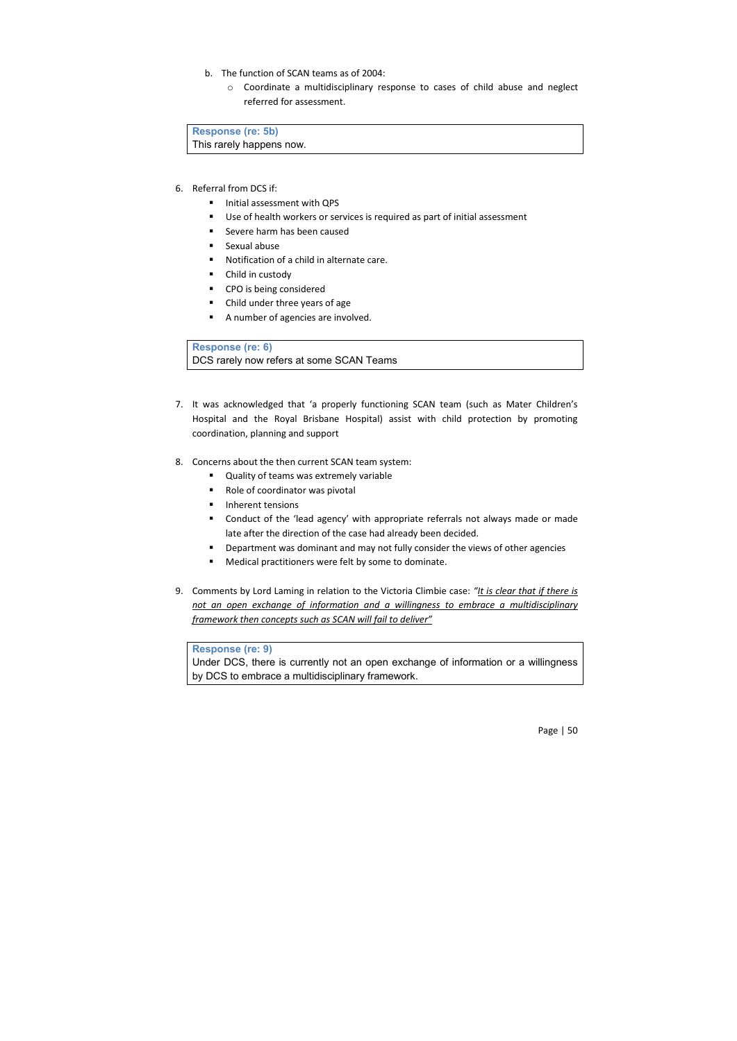- b. The function of SCAN teams as of 2004:
	- o Coordinate a multidisciplinary response to cases of child abuse and neglect referred for assessment.

**Response (re: 5b)** This rarely happens now.

- 6. Referral from DCS if:
	- **Initial assessment with QPS**
	- Use of health workers or services is required as part of initial assessment
	- **Severe harm has been caused**
	- **Sexual abuse**
	- Notification of a child in alternate care.
	- Child in custody
	- CPO is being considered
	- Child under three years of age
	- A number of agencies are involved.

## **Response (re: 6)**

DCS rarely now refers at some SCAN Teams

- 7. It was acknowledged that 'a properly functioning SCAN team (such as Mater Children's Hospital and the Royal Brisbane Hospital) assist with child protection by promoting coordination, planning and support
- 8. Concerns about the then current SCAN team system:
	- Quality of teams was extremely variable
	- Role of coordinator was pivotal
	- **Inherent tensions**
	- Conduct of the 'lead agency' with appropriate referrals not always made or made late after the direction of the case had already been decided.
	- Department was dominant and may not fully consider the views of other agencies
	- Medical practitioners were felt by some to dominate.
- 9. Comments by Lord Laming in relation to the Victoria Climbie case: *"It is clear that if there is not an open exchange of information and a willingness to embrace a multidisciplinary framework then concepts such as SCAN will fail to deliver"*

## **Response (re: 9)**

Under DCS, there is currently not an open exchange of information or a willingness by DCS to embrace a multidisciplinary framework.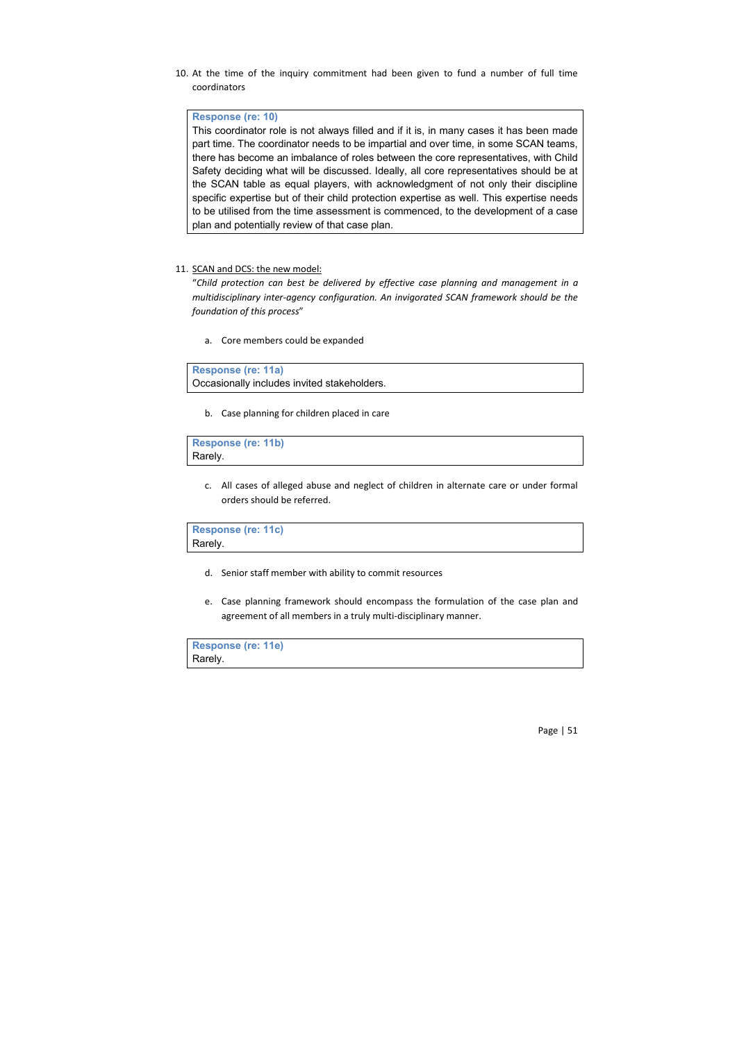10. At the time of the inquiry commitment had been given to fund a number of full time coordinators

## **Response (re: 10)**

This coordinator role is not always filled and if it is, in many cases it has been made part time. The coordinator needs to be impartial and over time, in some SCAN teams, there has become an imbalance of roles between the core representatives, with Child Safety deciding what will be discussed. Ideally, all core representatives should be at the SCAN table as equal players, with acknowledgment of not only their discipline specific expertise but of their child protection expertise as well. This expertise needs to be utilised from the time assessment is commenced, to the development of a case plan and potentially review of that case plan.

#### 11. SCAN and DCS: the new model:

"*Child protection can best be delivered by effective case planning and management in a multidisciplinary inter-agency configuration. An invigorated SCAN framework should be the foundation of this process*"

a. Core members could be expanded

**Response (re: 11a)** Occasionally includes invited stakeholders.

b. Case planning for children placed in care

**Response (re: 11b)** Rarely.

> c. All cases of alleged abuse and neglect of children in alternate care or under formal orders should be referred.

**Response (re: 11c)** Rarely.

- d. Senior staff member with ability to commit resources
- e. Case planning framework should encompass the formulation of the case plan and agreement of all members in a truly multi-disciplinary manner.

**Response (re: 11e)** Rarely.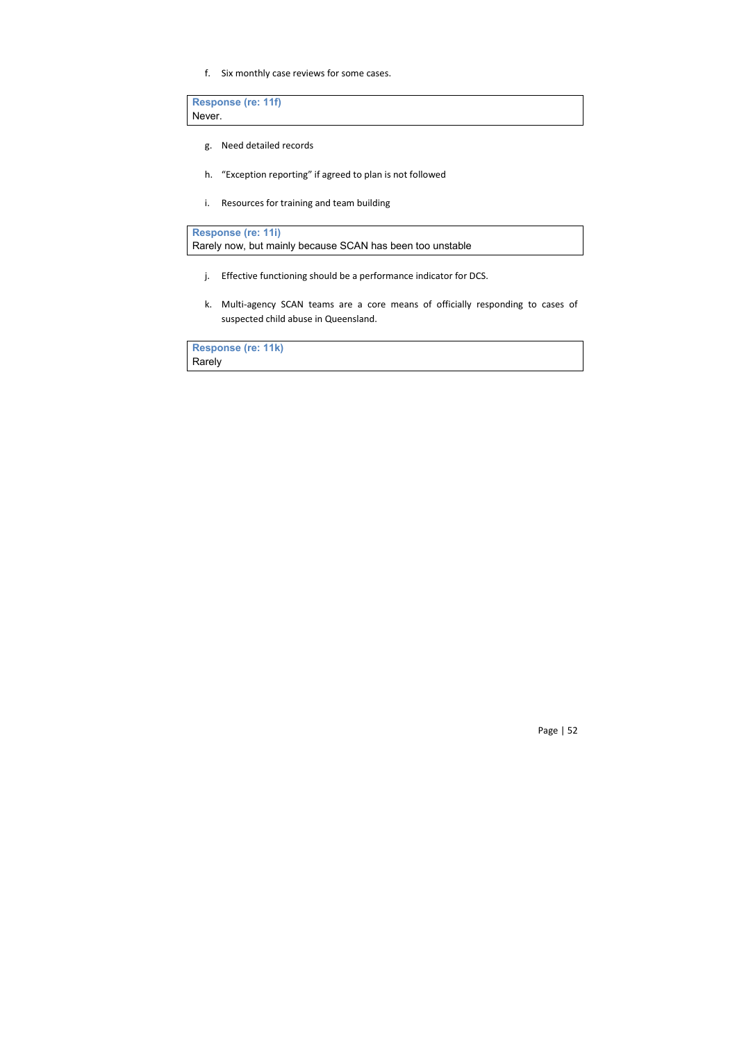f. Six monthly case reviews for some cases.

**Response (re: 11f)** Never.

- g. Need detailed records
- h. "Exception reporting" if agreed to plan is not followed
- i. Resources for training and team building

**Response (re: 11i)**

Rarely now, but mainly because SCAN has been too unstable

- j. Effective functioning should be a performance indicator for DCS.
- k. Multi-agency SCAN teams are a core means of officially responding to cases of suspected child abuse in Queensland.

**Response (re: 11k)** Rarely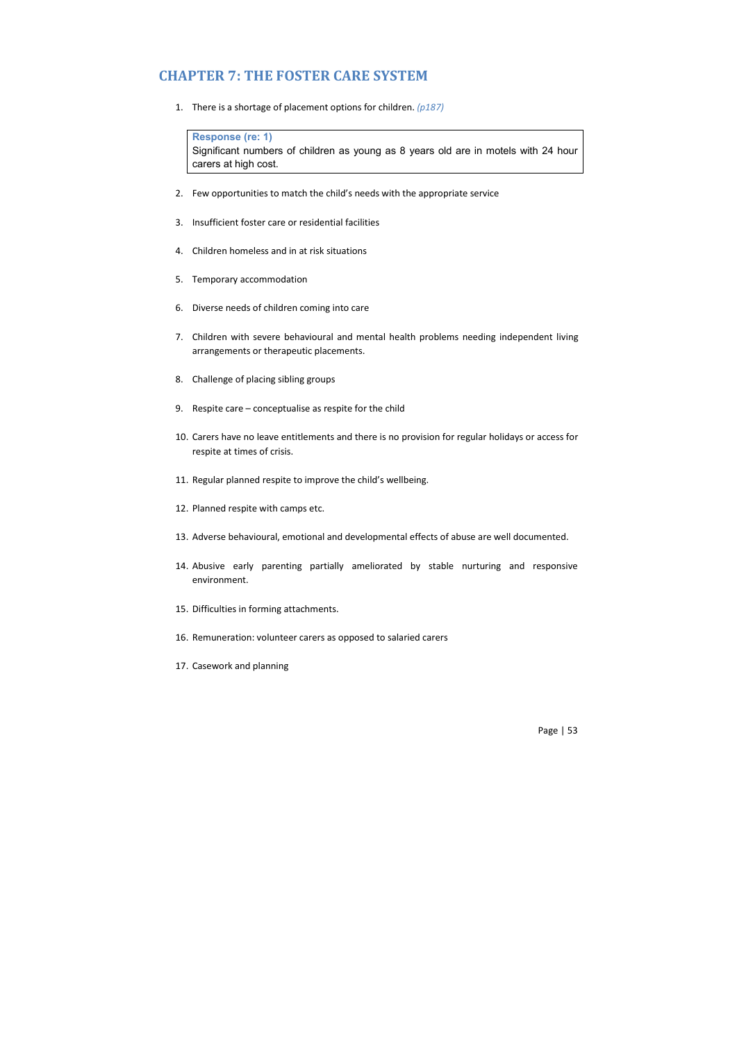# **CHAPTER 7: THE FOSTER CARE SYSTEM**

1. There is a shortage of placement options for children. *(p187)*

## **Response (re: 1)**

Significant numbers of children as young as 8 years old are in motels with 24 hour carers at high cost.

- 2. Few opportunities to match the child's needs with the appropriate service
- 3. Insufficient foster care or residential facilities
- 4. Children homeless and in at risk situations
- 5. Temporary accommodation
- 6. Diverse needs of children coming into care
- 7. Children with severe behavioural and mental health problems needing independent living arrangements or therapeutic placements.
- 8. Challenge of placing sibling groups
- 9. Respite care conceptualise as respite for the child
- 10. Carers have no leave entitlements and there is no provision for regular holidays or access for respite at times of crisis.
- 11. Regular planned respite to improve the child's wellbeing.
- 12. Planned respite with camps etc.
- 13. Adverse behavioural, emotional and developmental effects of abuse are well documented.
- 14. Abusive early parenting partially ameliorated by stable nurturing and responsive environment.
- 15. Difficulties in forming attachments.
- 16. Remuneration: volunteer carers as opposed to salaried carers
- 17. Casework and planning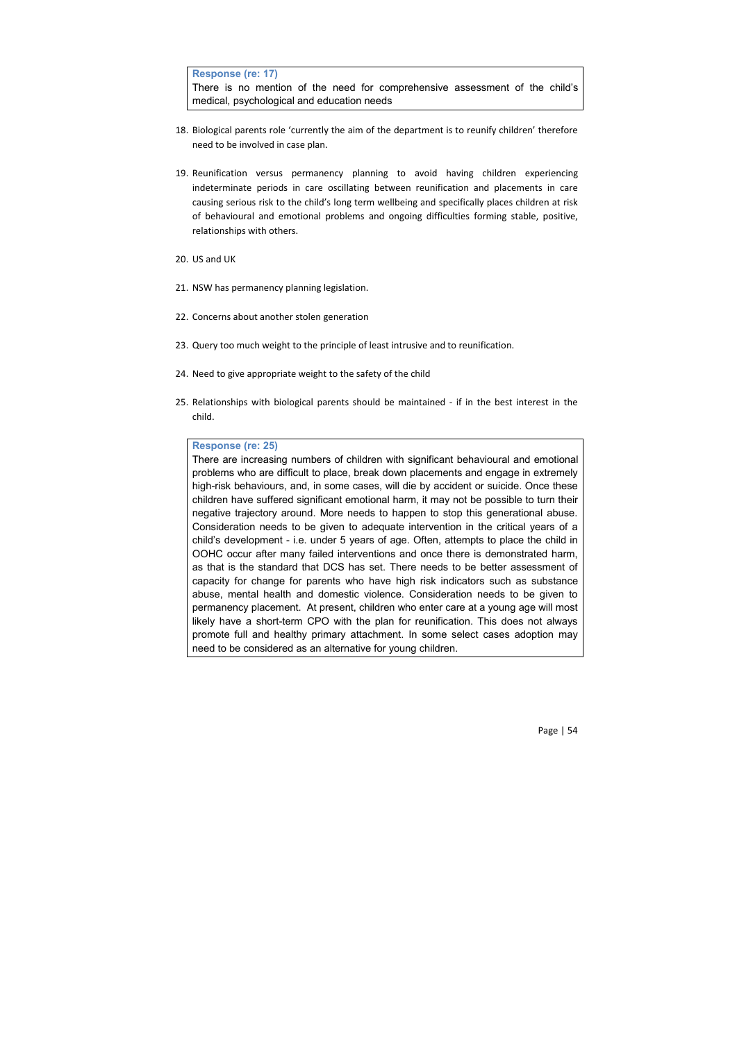**Response (re: 17)**

There is no mention of the need for comprehensive assessment of the child's medical, psychological and education needs

- 18. Biological parents role 'currently the aim of the department is to reunify children' therefore need to be involved in case plan.
- 19. Reunification versus permanency planning to avoid having children experiencing indeterminate periods in care oscillating between reunification and placements in care causing serious risk to the child's long term wellbeing and specifically places children at risk of behavioural and emotional problems and ongoing difficulties forming stable, positive, relationships with others.
- 20. US and UK
- 21. NSW has permanency planning legislation.
- 22. Concerns about another stolen generation
- 23. Query too much weight to the principle of least intrusive and to reunification.
- 24. Need to give appropriate weight to the safety of the child
- 25. Relationships with biological parents should be maintained if in the best interest in the child.

#### **Response (re: 25)**

There are increasing numbers of children with significant behavioural and emotional problems who are difficult to place, break down placements and engage in extremely high-risk behaviours, and, in some cases, will die by accident or suicide. Once these children have suffered significant emotional harm, it may not be possible to turn their negative trajectory around. More needs to happen to stop this generational abuse. Consideration needs to be given to adequate intervention in the critical years of a child's development - i.e. under 5 years of age. Often, attempts to place the child in OOHC occur after many failed interventions and once there is demonstrated harm, as that is the standard that DCS has set. There needs to be better assessment of capacity for change for parents who have high risk indicators such as substance abuse, mental health and domestic violence. Consideration needs to be given to permanency placement. At present, children who enter care at a young age will most likely have a short-term CPO with the plan for reunification. This does not always promote full and healthy primary attachment. In some select cases adoption may need to be considered as an alternative for young children.